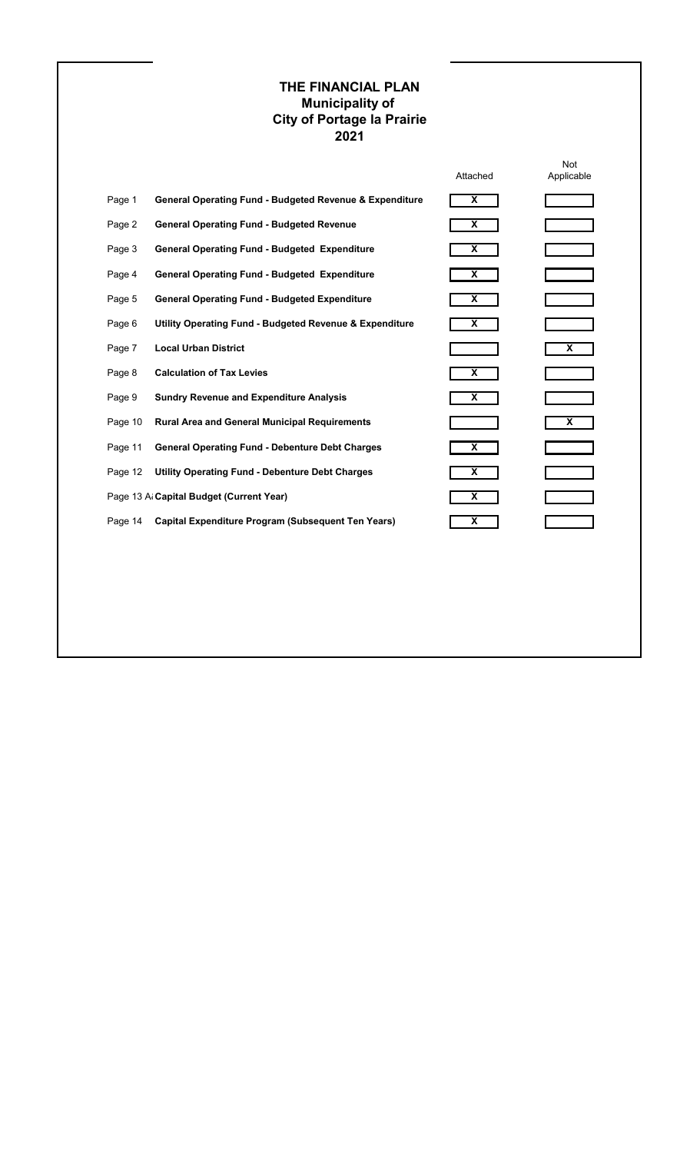Not

|         |                                                                    | Attached                | Applicable |
|---------|--------------------------------------------------------------------|-------------------------|------------|
| Page 1  | <b>General Operating Fund - Budgeted Revenue &amp; Expenditure</b> | $\overline{\mathbf{X}}$ |            |
| Page 2  | <b>General Operating Fund - Budgeted Revenue</b>                   | X                       |            |
| Page 3  | <b>General Operating Fund - Budgeted Expenditure</b>               | X                       |            |
| Page 4  | <b>General Operating Fund - Budgeted Expenditure</b>               | X                       |            |
| Page 5  | <b>General Operating Fund - Budgeted Expenditure</b>               | X                       |            |
| Page 6  | <b>Utility Operating Fund - Budgeted Revenue &amp; Expenditure</b> | X                       |            |
| Page 7  | <b>Local Urban District</b>                                        |                         | X          |
| Page 8  | <b>Calculation of Tax Levies</b>                                   | X                       |            |
| Page 9  | <b>Sundry Revenue and Expenditure Analysis</b>                     | X                       |            |
| Page 10 | <b>Rural Area and General Municipal Requirements</b>               |                         | X          |
| Page 11 | <b>General Operating Fund - Debenture Debt Charges</b>             | X                       |            |
| Page 12 | <b>Utility Operating Fund - Debenture Debt Charges</b>             | X                       |            |
|         | Page 13 Al Capital Budget (Current Year)                           | X                       |            |
| Page 14 | <b>Capital Expenditure Program (Subsequent Ten Years)</b>          | X                       |            |

## **THE FINANCIAL PLAN Municipality of City of Portage la Prairie 2021**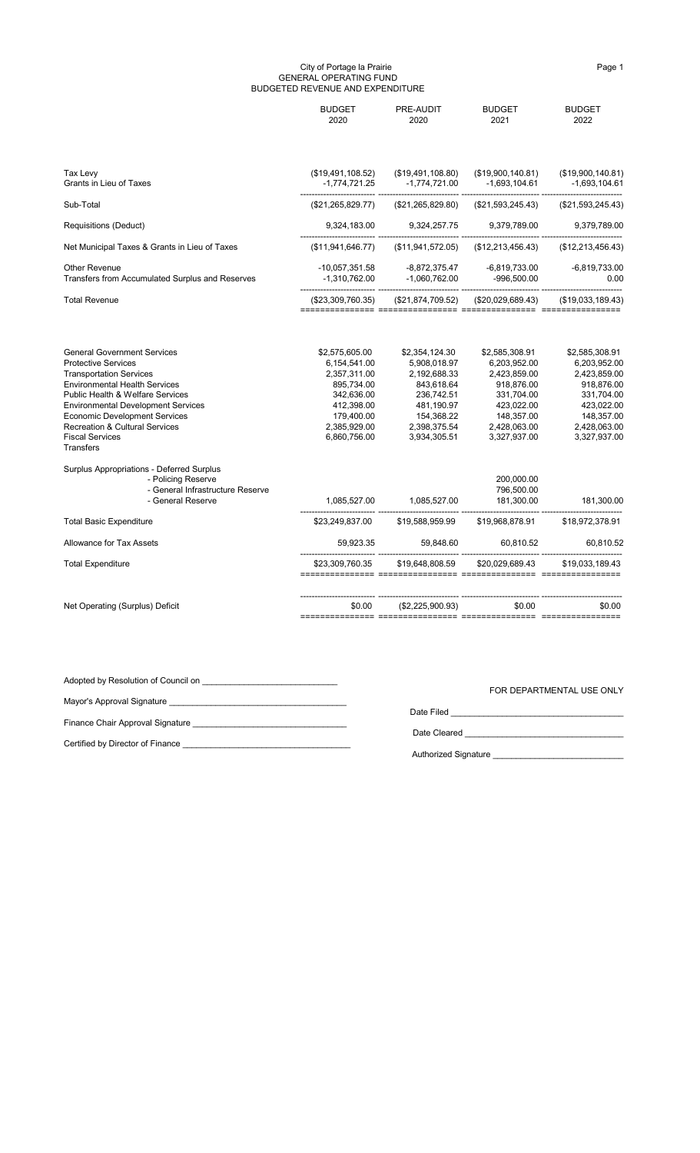#### City of Portage la Prairie **Page 1** and 2011 11 and 2012 12:30 Page 1 GENERAL OPERATING FUND BUDGETED REVENUE AND EXPENDITURE

|                                                                                                                                                                                                                                                                                                                                                                                                                                                                                     | <b>BUDGET</b><br>2020                                                                                                                                  | PRE-AUDIT<br>2020                                                                                                                                      | <b>BUDGET</b><br>2021                                                                                                                                                            | <b>BUDGET</b><br>2022                                                                                                                                |
|-------------------------------------------------------------------------------------------------------------------------------------------------------------------------------------------------------------------------------------------------------------------------------------------------------------------------------------------------------------------------------------------------------------------------------------------------------------------------------------|--------------------------------------------------------------------------------------------------------------------------------------------------------|--------------------------------------------------------------------------------------------------------------------------------------------------------|----------------------------------------------------------------------------------------------------------------------------------------------------------------------------------|------------------------------------------------------------------------------------------------------------------------------------------------------|
| Tax Levy<br>Grants in Lieu of Taxes                                                                                                                                                                                                                                                                                                                                                                                                                                                 | (\$19,491,108.52)<br>$-1,774,721.25$                                                                                                                   | (\$19,491,108.80)<br>$-1,774,721.00$                                                                                                                   | (\$19,900,140.81)<br>$-1,693,104.61$                                                                                                                                             | (\$19,900,140.81)<br>$-1,693,104.61$                                                                                                                 |
| Sub-Total                                                                                                                                                                                                                                                                                                                                                                                                                                                                           | (\$21,265,829.77)                                                                                                                                      | (\$21,265,829.80)                                                                                                                                      | (\$21,593,245.43)                                                                                                                                                                | (\$21,593,245.43)                                                                                                                                    |
| <b>Requisitions (Deduct)</b>                                                                                                                                                                                                                                                                                                                                                                                                                                                        | 9,324,183.00                                                                                                                                           | 9,324,257.75                                                                                                                                           | 9,379,789.00                                                                                                                                                                     | 9,379,789.00                                                                                                                                         |
| Net Municipal Taxes & Grants in Lieu of Taxes                                                                                                                                                                                                                                                                                                                                                                                                                                       | (\$11,941,646.77)                                                                                                                                      | (\$11,941,572.05)                                                                                                                                      | (\$12,213,456.43)                                                                                                                                                                | (\$12,213,456.43)                                                                                                                                    |
| <b>Other Revenue</b><br>Transfers from Accumulated Surplus and Reserves                                                                                                                                                                                                                                                                                                                                                                                                             | $-10,057,351.58$<br>$-1,310,762.00$                                                                                                                    | $-8,872,375.47$<br>$-1,060,762.00$                                                                                                                     | -6,819,733.00<br>$-996,500.00$                                                                                                                                                   | $-6,819,733.00$<br>0.00                                                                                                                              |
| <b>Total Revenue</b>                                                                                                                                                                                                                                                                                                                                                                                                                                                                | (\$23,309,760.35)                                                                                                                                      | (\$21,874,709.52)                                                                                                                                      | (\$20,029,689.43)                                                                                                                                                                | (\$19,033,189.43)                                                                                                                                    |
| <b>General Government Services</b><br><b>Protective Services</b><br><b>Transportation Services</b><br><b>Environmental Health Services</b><br>Public Health & Welfare Services<br><b>Environmental Development Services</b><br><b>Economic Development Services</b><br><b>Recreation &amp; Cultural Services</b><br><b>Fiscal Services</b><br>Transfers<br>Surplus Appropriations - Deferred Surplus<br>- Policing Reserve<br>- General Infrastructure Reserve<br>- General Reserve | \$2,575,605.00<br>6,154,541.00<br>2,357,311.00<br>895,734.00<br>342,636.00<br>412,398.00<br>179,400.00<br>2,385,929.00<br>6,860,756.00<br>1,085,527.00 | \$2,354,124.30<br>5,908,018.97<br>2,192,688.33<br>843,618.64<br>236,742.51<br>481,190.97<br>154,368.22<br>2,398,375.54<br>3,934,305.51<br>1,085,527.00 | \$2,585,308.91<br>6,203,952.00<br>2,423,859.00<br>918,876.00<br>331,704.00<br>423,022.00<br>148,357.00<br>2,428,063.00<br>3,327,937.00<br>200,000.00<br>796,500.00<br>181,300.00 | \$2,585,308.91<br>6,203,952.00<br>2,423,859.00<br>918,876.00<br>331,704.00<br>423,022.00<br>148,357.00<br>2,428,063.00<br>3,327,937.00<br>181,300.00 |
| <b>Total Basic Expenditure</b>                                                                                                                                                                                                                                                                                                                                                                                                                                                      | \$23,249,837.00                                                                                                                                        | \$19,588,959.99                                                                                                                                        | \$19,968,878.91                                                                                                                                                                  | \$18,972,378.91                                                                                                                                      |
| Allowance for Tax Assets                                                                                                                                                                                                                                                                                                                                                                                                                                                            | 59,923.35                                                                                                                                              | 59,848.60                                                                                                                                              | 60,810.52                                                                                                                                                                        | 60,810.52                                                                                                                                            |
| <b>Total Expenditure</b>                                                                                                                                                                                                                                                                                                                                                                                                                                                            | \$23,309,760.35                                                                                                                                        | \$19,648,808.59                                                                                                                                        | \$20,029,689.43                                                                                                                                                                  | \$19,033,189.43                                                                                                                                      |
| Net Operating (Surplus) Deficit                                                                                                                                                                                                                                                                                                                                                                                                                                                     | \$0.00                                                                                                                                                 | (\$2,225,900.93)                                                                                                                                       | \$0.00                                                                                                                                                                           | \$0.00                                                                                                                                               |
|                                                                                                                                                                                                                                                                                                                                                                                                                                                                                     |                                                                                                                                                        |                                                                                                                                                        |                                                                                                                                                                                  |                                                                                                                                                      |

Adopted by Resolution of Council on \_\_\_\_\_\_\_\_\_\_\_\_\_\_\_\_\_\_\_\_\_\_\_\_\_\_\_\_\_

Mayor's Approval Signature \_\_\_\_\_\_\_\_\_\_\_\_\_\_\_\_\_\_\_\_\_\_\_\_\_\_\_\_\_\_\_\_\_\_\_\_\_\_

Date Filed \_\_\_\_\_\_\_\_\_\_\_\_\_\_\_\_\_\_\_\_\_\_\_\_\_\_\_\_\_\_\_\_\_\_\_\_\_

Finance Chair Approval Signature \_\_\_\_\_\_\_\_\_\_\_\_\_\_\_\_\_\_\_\_\_\_\_\_\_\_\_\_\_\_\_\_\_

Date Cleared \_\_\_\_\_\_\_\_\_\_\_\_\_\_\_\_\_\_\_\_\_\_\_\_\_\_\_\_\_\_\_\_\_\_

Certified by Director of Finance \_\_\_\_\_\_\_\_\_\_\_\_\_\_\_\_\_\_\_\_\_\_\_\_\_\_\_\_\_\_\_\_\_\_\_\_

Authorized Signature \_\_\_\_\_\_\_\_\_\_\_\_\_\_\_\_\_\_\_\_\_\_\_\_\_\_\_\_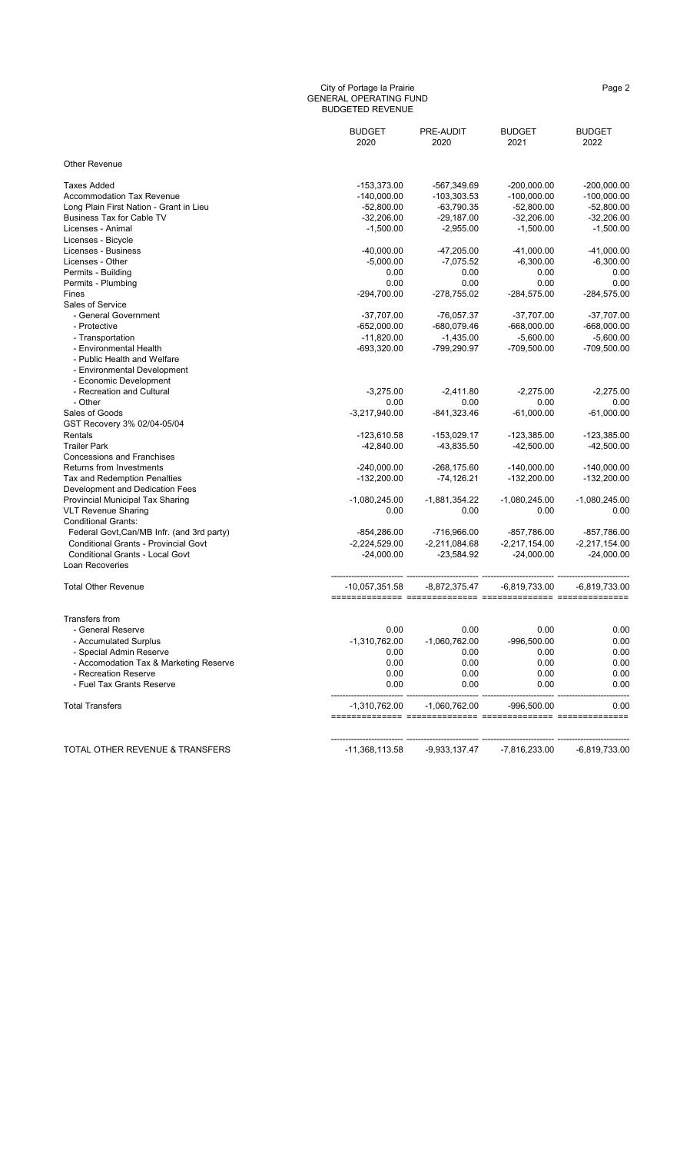#### City of Portage la Prairie Page 2 (Page 2 ) and the Page 2 (Page 2 ) and the Page 2 GENERAL OPERATING FUND BUDGETED REVENUE

|                                             | <b>BUDGET</b><br>2020 | PRE-AUDIT<br>2020 | <b>BUDGET</b><br>2021 | <b>BUDGET</b><br>2022 |
|---------------------------------------------|-----------------------|-------------------|-----------------------|-----------------------|
| <b>Other Revenue</b>                        |                       |                   |                       |                       |
| <b>Taxes Added</b>                          | $-153,373.00$         | -567,349.69       | $-200,000.00$         | $-200,000.00$         |
| <b>Accommodation Tax Revenue</b>            | $-140,000.00$         | $-103,303.53$     | $-100,000.00$         | $-100,000.00$         |
| Long Plain First Nation - Grant in Lieu     | $-52,800.00$          | $-63,790.35$      | $-52,800.00$          | $-52,800.00$          |
| <b>Business Tax for Cable TV</b>            | $-32,206.00$          | $-29,187.00$      | $-32,206.00$          | $-32,206.00$          |
| Licenses - Animal                           | $-1,500.00$           | $-2,955.00$       | $-1,500.00$           | $-1,500.00$           |
| Licenses - Bicycle                          |                       |                   |                       |                       |
| Licenses - Business                         | $-40,000.00$          | $-47,205.00$      | $-41,000.00$          | $-41,000.00$          |
| Licenses - Other                            | $-5,000.00$           | $-7,075.52$       | $-6,300.00$           | $-6,300.00$           |
| Permits - Building                          | 0.00                  | 0.00              | 0.00                  | 0.00                  |
| Permits - Plumbing                          | 0.00                  | 0.00              | 0.00                  | 0.00                  |
| Fines                                       | $-294,700.00$         | -278,755.02       | $-284,575.00$         | -284,575.00           |
| Sales of Service                            |                       |                   |                       |                       |
| - General Government                        | $-37,707.00$          | $-76,057.37$      | $-37,707.00$          | $-37,707.00$          |
| - Protective                                | $-652,000.00$         | -680,079.46       | $-668,000.00$         | $-668,000.00$         |
| - Transportation                            | $-11,820.00$          | $-1,435.00$       | $-5,600.00$           | $-5,600.00$           |
| - Environmental Health                      | $-693,320.00$         | -799,290.97       | $-709,500.00$         | -709,500.00           |
| - Public Health and Welfare                 |                       |                   |                       |                       |
| - Environmental Development                 |                       |                   |                       |                       |
| - Economic Development                      |                       |                   |                       |                       |
| - Recreation and Cultural                   | $-3,275.00$           | $-2,411.80$       | $-2,275.00$           | $-2,275.00$           |
| - Other                                     | 0.00                  | 0.00              | 0.00                  | 0.00                  |
| Sales of Goods                              | $-3,217,940.00$       | $-841,323.46$     | $-61,000.00$          | $-61,000.00$          |
| GST Recovery 3% 02/04-05/04                 |                       |                   |                       |                       |
| Rentals                                     | $-123,610.58$         | $-153,029.17$     | $-123,385.00$         | $-123,385.00$         |
| <b>Trailer Park</b>                         | $-42,840.00$          | $-43,835.50$      | $-42,500.00$          | $-42,500.00$          |
| <b>Concessions and Franchises</b>           |                       |                   |                       |                       |
| <b>Returns from Investments</b>             | $-240,000.00$         | $-268, 175.60$    | $-140,000.00$         | $-140,000.00$         |
| Tax and Redemption Penalties                | $-132,200.00$         | $-74,126.21$      | $-132,200.00$         | $-132,200.00$         |
| Development and Dedication Fees             |                       |                   |                       |                       |
| Provincial Municipal Tax Sharing            | $-1,080,245.00$       | $-1,881,354.22$   | $-1,080,245.00$       | $-1,080,245.00$       |
| <b>VLT Revenue Sharing</b>                  | 0.00                  | 0.00              | 0.00                  | 0.00                  |
| <b>Conditional Grants:</b>                  |                       |                   |                       |                       |
| Federal Govt, Can/MB Infr. (and 3rd party)  | $-854,286.00$         | $-716,966.00$     | $-857,786.00$         | $-857,786.00$         |
| <b>Conditional Grants - Provincial Govt</b> | $-2,224,529.00$       | $-2,211,084.68$   | $-2,217,154.00$       | $-2,217,154.00$       |
| <b>Conditional Grants - Local Govt</b>      | $-24,000.00$          | $-23,584.92$      | $-24,000.00$          | $-24,000.00$          |
| Loan Recoveries                             |                       |                   |                       |                       |
| <b>Total Other Revenue</b>                  | $-10,057,351.58$      | -8,872,375.47     | -6,819,733.00         | $-6,819,733.00$       |
| <b>Transfers from</b>                       |                       |                   |                       |                       |
| - General Reserve                           | 0.00                  | 0.00              | 0.00                  | 0.00                  |
| - Accumulated Surplus                       | $-1,310,762.00$       | $-1,060,762.00$   | -996,500.00           | 0.00                  |
| - Special Admin Reserve                     | 0.00                  | 0.00              | 0.00                  | 0.00                  |
| - Accomodation Tax & Marketing Reserve      | 0.00                  | 0.00              | 0.00                  | 0.00                  |
| - Recreation Reserve                        | 0.00                  | 0.00              | 0.00                  | 0.00                  |
| - Fuel Tax Grants Reserve                   | 0.00                  | 0.00              | 0.00                  | 0.00                  |
|                                             |                       |                   |                       |                       |
| <b>Total Transfers</b>                      | $-1,310,762.00$       | $-1,060,762.00$   | $-996,500.00$         | 0.00<br>=======       |

------------------------- ------------------------- ------------------------- -------------------------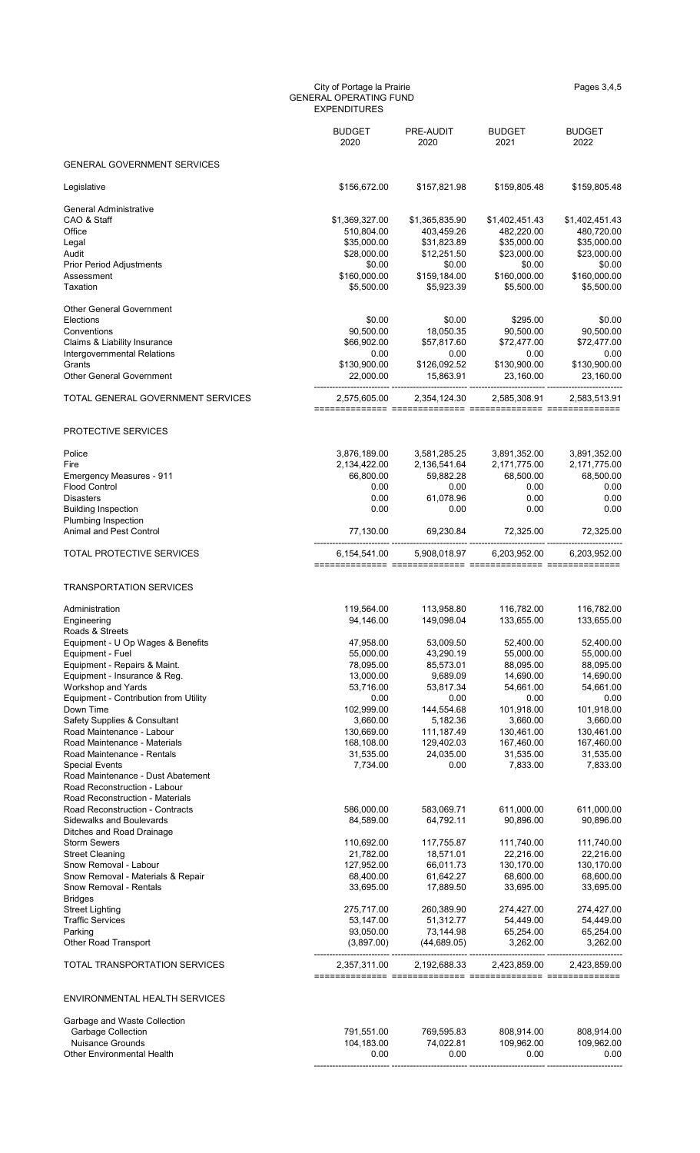#### City of Portage la Prairie Pages 3,4,5 GENERAL OPERATING FUND EXPENDITURES

|                                                                                                                                                                                                                                                                                                                                                                                                                                                                          | <b>BUDGET</b><br>2020                                                                                                                                | PRE-AUDIT<br>2020                                                                                                                               | <b>BUDGET</b><br>2021                                                                                                                                | <b>BUDGET</b><br>2022                                                                                                                                |
|--------------------------------------------------------------------------------------------------------------------------------------------------------------------------------------------------------------------------------------------------------------------------------------------------------------------------------------------------------------------------------------------------------------------------------------------------------------------------|------------------------------------------------------------------------------------------------------------------------------------------------------|-------------------------------------------------------------------------------------------------------------------------------------------------|------------------------------------------------------------------------------------------------------------------------------------------------------|------------------------------------------------------------------------------------------------------------------------------------------------------|
| <b>GENERAL GOVERNMENT SERVICES</b>                                                                                                                                                                                                                                                                                                                                                                                                                                       |                                                                                                                                                      |                                                                                                                                                 |                                                                                                                                                      |                                                                                                                                                      |
| Legislative                                                                                                                                                                                                                                                                                                                                                                                                                                                              | \$156,672.00                                                                                                                                         | \$157,821.98                                                                                                                                    | \$159,805.48                                                                                                                                         | \$159,805.48                                                                                                                                         |
| <b>General Administrative</b><br>CAO & Staff<br>Office<br>Legal<br>Audit<br><b>Prior Period Adjustments</b><br>Assessment<br>Taxation                                                                                                                                                                                                                                                                                                                                    | \$1,369,327.00<br>510,804.00<br>\$35,000.00<br>\$28,000.00<br>\$0.00<br>\$160,000.00<br>\$5,500.00                                                   | \$1,365,835.90<br>403,459.26<br>\$31,823.89<br>\$12,251.50<br>\$0.00<br>\$159,184.00<br>\$5,923.39                                              | \$1,402,451.43<br>482,220.00<br>\$35,000.00<br>\$23,000.00<br>\$0.00<br>\$160,000.00<br>\$5,500.00                                                   | \$1,402,451.43<br>480,720.00<br>\$35,000.00<br>\$23,000.00<br>\$0.00<br>\$160,000.00<br>\$5,500.00                                                   |
| <b>Other General Government</b><br>Elections<br>Conventions<br>Claims & Liability Insurance<br>Intergovernmental Relations<br>Grants<br><b>Other General Government</b>                                                                                                                                                                                                                                                                                                  | \$0.00<br>90,500.00<br>\$66,902.00<br>0.00<br>\$130,900.00<br>22,000.00                                                                              | \$0.00<br>18,050.35<br>\$57,817.60<br>0.00<br>\$126,092.52<br>15,863.91                                                                         | \$295.00<br>90,500.00<br>\$72,477.00<br>0.00<br>\$130,900.00<br>23,160.00                                                                            | \$0.00<br>90,500.00<br>\$72,477.00<br>0.00<br>\$130,900.00<br>23,160.00                                                                              |
| TOTAL GENERAL GOVERNMENT SERVICES                                                                                                                                                                                                                                                                                                                                                                                                                                        | 2,575,605.00                                                                                                                                         | 2,354,124.30                                                                                                                                    | 2,585,308.91                                                                                                                                         | 2,583,513.91                                                                                                                                         |
| PROTECTIVE SERVICES                                                                                                                                                                                                                                                                                                                                                                                                                                                      |                                                                                                                                                      |                                                                                                                                                 |                                                                                                                                                      |                                                                                                                                                      |
| Police<br>Fire<br><b>Emergency Measures - 911</b><br><b>Flood Control</b><br><b>Disasters</b><br><b>Building Inspection</b><br><b>Plumbing Inspection</b>                                                                                                                                                                                                                                                                                                                | 3,876,189.00<br>2,134,422.00<br>66,800.00<br>0.00<br>0.00<br>0.00                                                                                    | 3,581,285.25<br>2,136,541.64<br>59,882.28<br>0.00<br>61,078.96<br>0.00                                                                          | 3,891,352.00<br>2,171,775.00<br>68,500.00<br>0.00<br>0.00<br>0.00                                                                                    | 3,891,352.00<br>2,171,775.00<br>68,500.00<br>0.00<br>0.00<br>0.00                                                                                    |
| <b>Animal and Pest Control</b>                                                                                                                                                                                                                                                                                                                                                                                                                                           | 77,130.00                                                                                                                                            | 69,230.84                                                                                                                                       | 72,325.00                                                                                                                                            | 72,325.00                                                                                                                                            |
| TOTAL PROTECTIVE SERVICES                                                                                                                                                                                                                                                                                                                                                                                                                                                | 6,154,541.00                                                                                                                                         | 5,908,018.97                                                                                                                                    | 6,203,952.00                                                                                                                                         | 6,203,952.00                                                                                                                                         |
| <b>TRANSPORTATION SERVICES</b>                                                                                                                                                                                                                                                                                                                                                                                                                                           |                                                                                                                                                      |                                                                                                                                                 |                                                                                                                                                      |                                                                                                                                                      |
| Administration<br>Engineering<br>Roads & Streets                                                                                                                                                                                                                                                                                                                                                                                                                         | 119,564.00<br>94,146.00                                                                                                                              | 113,958.80<br>149,098.04                                                                                                                        | 116,782.00<br>133,655.00                                                                                                                             | 116,782.00<br>133,655.00                                                                                                                             |
| Equipment - U Op Wages & Benefits<br>Equipment - Fuel<br>Equipment - Repairs & Maint.<br>Equipment - Insurance & Reg.<br>Workshop and Yards<br>Equipment - Contribution from Utility<br>Down Time<br><b>Safety Supplies &amp; Consultant</b><br>Road Maintenance - Labour<br>Road Maintenance - Materials<br>Road Maintenance - Rentals<br><b>Special Events</b><br>Road Maintenance - Dust Abatement<br>Road Reconstruction - Labour<br>Road Reconstruction - Materials | 47,958.00<br>55,000.00<br>78,095.00<br>13,000.00<br>53,716.00<br>0.00<br>102,999.00<br>3,660.00<br>130,669.00<br>168,108.00<br>31,535.00<br>7,734.00 | 53,009.50<br>43,290.19<br>85,573.01<br>9,689.09<br>53,817.34<br>0.00<br>144,554.68<br>5,182.36<br>111,187.49<br>129,402.03<br>24,035.00<br>0.00 | 52,400.00<br>55,000.00<br>88,095.00<br>14,690.00<br>54,661.00<br>0.00<br>101,918.00<br>3,660.00<br>130,461.00<br>167,460.00<br>31,535.00<br>7,833.00 | 52,400.00<br>55,000.00<br>88,095.00<br>14,690.00<br>54,661.00<br>0.00<br>101,918.00<br>3,660.00<br>130,461.00<br>167,460.00<br>31,535.00<br>7,833.00 |
| Road Reconstruction - Contracts<br><b>Sidewalks and Boulevards</b><br>Ditches and Road Drainage<br><b>Storm Sewers</b><br><b>Street Cleaning</b><br>Snow Removal - Labour<br>Snow Removal - Materials & Repair                                                                                                                                                                                                                                                           | 586,000.00<br>84,589.00<br>110,692.00<br>21,782.00<br>127,952.00<br>68,400.00                                                                        | 583,069.71<br>64,792.11<br>117,755.87<br>18,571.01<br>66,011.73<br>61,642.27                                                                    | 611,000.00<br>90,896.00<br>111,740.00<br>22,216.00<br>130,170.00<br>68,600.00                                                                        | 611,000.00<br>90,896.00<br>111,740.00<br>22,216.00<br>130,170.00<br>68,600.00                                                                        |
| Snow Removal - Rentals<br><b>Bridges</b><br><b>Street Lighting</b><br><b>Traffic Services</b><br>Parking                                                                                                                                                                                                                                                                                                                                                                 | 33,695.00<br>275,717.00<br>53,147.00<br>93,050.00<br>(3,897.00)                                                                                      | 17,889.50<br>260,389.90<br>51,312.77<br>73,144.98<br>(44, 689.05)                                                                               | 33,695.00<br>274,427.00<br>54,449.00<br>65,254.00<br>3,262.00                                                                                        | 33,695.00<br>274,427.00<br>54,449.00<br>65,254.00<br>3,262.00                                                                                        |
| <b>Other Road Transport</b><br>TOTAL TRANSPORTATION SERVICES                                                                                                                                                                                                                                                                                                                                                                                                             | 2,357,311.00                                                                                                                                         | 2,192,688.33                                                                                                                                    | 2,423,859.00                                                                                                                                         | 2,423,859.00                                                                                                                                         |
|                                                                                                                                                                                                                                                                                                                                                                                                                                                                          |                                                                                                                                                      |                                                                                                                                                 |                                                                                                                                                      |                                                                                                                                                      |
| ENVIRONMENTAL HEALTH SERVICES                                                                                                                                                                                                                                                                                                                                                                                                                                            |                                                                                                                                                      |                                                                                                                                                 |                                                                                                                                                      |                                                                                                                                                      |
| Garbage and Waste Collection<br><b>Garbage Collection</b><br><b>Nuisance Grounds</b><br><b>Other Environmental Health</b>                                                                                                                                                                                                                                                                                                                                                | 791,551.00<br>104,183.00<br>0.00                                                                                                                     | 769,595.83<br>74,022.81<br>0.00                                                                                                                 | 808,914.00<br>109,962.00<br>0.00                                                                                                                     | 808,914.00<br>109,962.00<br>0.00                                                                                                                     |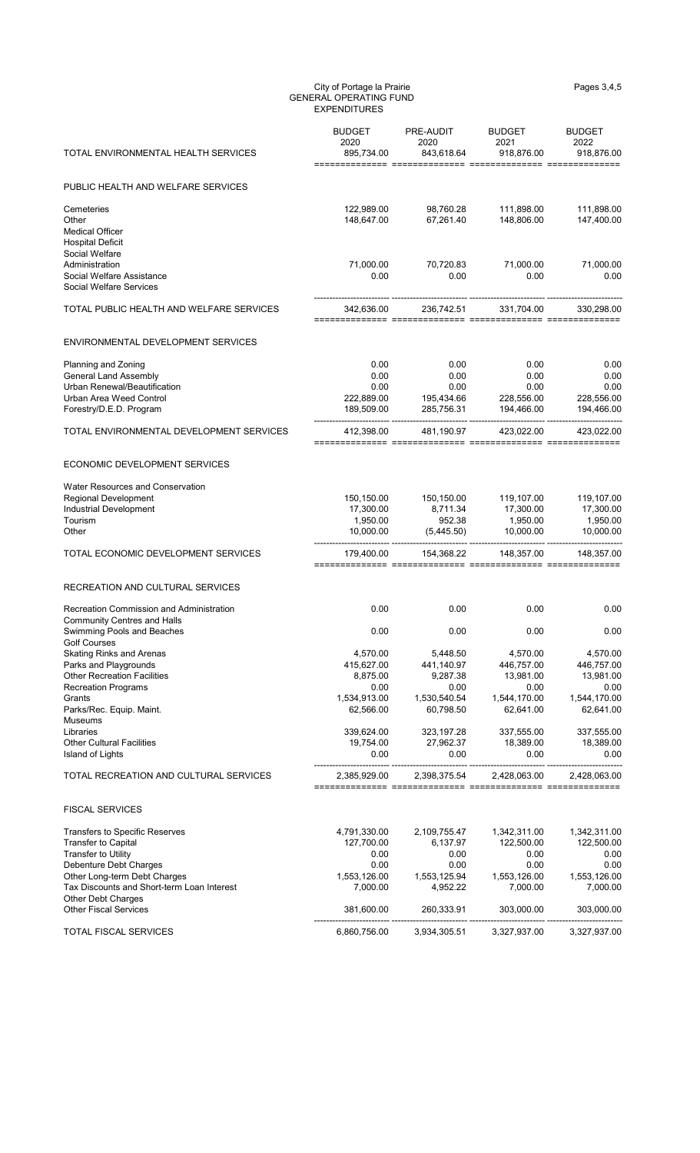| TOTAL ENVIRONMENTAL HEALTH SERVICES                                 | <b>BUDGET</b><br>2020<br>895,734.00 | PRE-AUDIT<br>2020<br>843,618.64 | <b>BUDGET</b><br>2021<br>918,876.00 | <b>BUDGET</b><br>2022<br>918,876.00 |
|---------------------------------------------------------------------|-------------------------------------|---------------------------------|-------------------------------------|-------------------------------------|
| PUBLIC HEALTH AND WELFARE SERVICES                                  |                                     |                                 |                                     |                                     |
| Cemeteries                                                          | 122,989.00                          | 98,760.28                       | 111,898.00                          | 111,898.00                          |
| Other                                                               | 148,647.00                          | 67,261.40                       | 148,806.00                          | 147,400.00                          |
| <b>Medical Officer</b><br><b>Hospital Deficit</b>                   |                                     |                                 |                                     |                                     |
| Social Welfare                                                      |                                     |                                 |                                     |                                     |
| Administration                                                      | 71,000.00                           | 70,720.83                       | 71,000.00                           | 71,000.00                           |
| Social Welfare Assistance<br><b>Social Welfare Services</b>         | 0.00                                | 0.00                            | 0.00                                | 0.00                                |
| TOTAL PUBLIC HEALTH AND WELFARE SERVICES                            | 342,636.00                          | 236,742.51                      | 331,704.00                          | 330,298.00                          |
|                                                                     |                                     |                                 |                                     |                                     |
| ENVIRONMENTAL DEVELOPMENT SERVICES                                  |                                     |                                 |                                     |                                     |
| Planning and Zoning                                                 | 0.00                                | 0.00                            | 0.00                                | 0.00                                |
| <b>General Land Assembly</b><br><b>Urban Renewal/Beautification</b> | 0.00                                | 0.00                            | 0.00                                | 0.00                                |
| <b>Urban Area Weed Control</b>                                      | 0.00<br>222,889.00                  | 0.00<br>195,434.66              | 0.00<br>228,556.00                  | 0.00<br>228,556.00                  |
| Forestry/D.E.D. Program                                             | 189,509.00                          | 285,756.31                      | 194,466.00                          | 194,466.00                          |
| TOTAL ENVIRONMENTAL DEVELOPMENT SERVICES                            | 412,398.00                          | 481,190.97                      | 423,022.00                          | 423,022.00                          |
| ECONOMIC DEVELOPMENT SERVICES                                       |                                     |                                 |                                     |                                     |
| <b>Water Resources and Conservation</b>                             |                                     |                                 |                                     |                                     |
| <b>Regional Development</b>                                         | 150,150.00                          | 150,150.00                      | 119,107.00                          | 119,107.00                          |
| Industrial Development<br>Tourism                                   | 17,300.00<br>1,950.00               | 8,711.34<br>952.38              | 17,300.00<br>1,950.00               | 17,300.00<br>1,950.00               |
| Other                                                               | 10,000.00                           | (5,445.50)                      | 10,000.00                           | 10,000.00                           |
| TOTAL ECONOMIC DEVELOPMENT SERVICES                                 | 179,400.00                          | 154,368.22                      | 148,357.00                          | 148,357.00                          |
| RECREATION AND CULTURAL SERVICES                                    |                                     |                                 |                                     |                                     |
| Recreation Commission and Administration                            | 0.00                                | 0.00                            | 0.00                                | 0.00                                |
| <b>Community Centres and Halls</b>                                  |                                     |                                 |                                     |                                     |
| Swimming Pools and Beaches<br><b>Golf Courses</b>                   | 0.00                                | 0.00                            | 0.00                                | 0.00                                |
| <b>Skating Rinks and Arenas</b>                                     | 4,570.00                            | 5,448.50                        | 4,570.00                            | 4,570.00                            |
| Parks and Playgrounds<br><b>Other Recreation Facilities</b>         | 415,627.00<br>8,875.00              | 441,140.97<br>9,287.38          | 446,757.00<br>13,981.00             | 446,757.00<br>13,981.00             |
| <b>Recreation Programs</b>                                          | 0.00                                | 0.00                            | 0.00                                | 0.00                                |
| Grants                                                              | 1,534,913.00                        | 1,530,540.54                    | 1,544,170.00                        | 1,544,170.00                        |
| Parks/Rec. Equip. Maint.                                            | 62,566.00                           | 60,798.50                       | 62,641.00                           | 62,641.00                           |
| <b>Museums</b><br>Libraries                                         | 339,624.00                          | 323,197.28                      | 337,555.00                          | 337,555.00                          |
| <b>Other Cultural Facilities</b>                                    | 19,754.00                           | 27,962.37                       | 18,389.00                           | 18,389.00                           |
| Island of Lights                                                    | 0.00                                | 0.00                            | 0.00                                | 0.00                                |
| TOTAL RECREATION AND CULTURAL SERVICES                              | 2,385,929.00                        | 2,398,375.54                    | 2,428,063.00                        | 2,428,063.00                        |

============== ============== ============== ==============

#### FISCAL SERVICES

| <b>Transfers to Specific Reserves</b>      | 4,791,330.00 | 2,109,755.47 | 1,342,311.00 | 1,342,311.00 |
|--------------------------------------------|--------------|--------------|--------------|--------------|
| <b>Transfer to Capital</b>                 | 127,700.00   | 6.137.97     | 122,500.00   | 122,500.00   |
| <b>Transfer to Utility</b>                 | 0.00         | 0.00         | 0.00         | 0.00         |
| Debenture Debt Charges                     | 0.00         | 0.00         | 0.00         | 0.00         |
| Other Long-term Debt Charges               | 1,553,126.00 | 1.553.125.94 | 1,553,126.00 | 1,553,126.00 |
| Tax Discounts and Short-term Loan Interest | 7.000.00     | 4.952.22     | 7.000.00     | 7,000.00     |
| <b>Other Debt Charges</b>                  |              |              |              |              |
| <b>Other Fiscal Services</b>               | 381,600.00   | 260,333.91   | 303.000.00   | 303,000.00   |
| <b>TOTAL FISCAL SERVICES</b>               | 6,860,756.00 | 3,934,305.51 | 3,327,937.00 | 3,327,937.00 |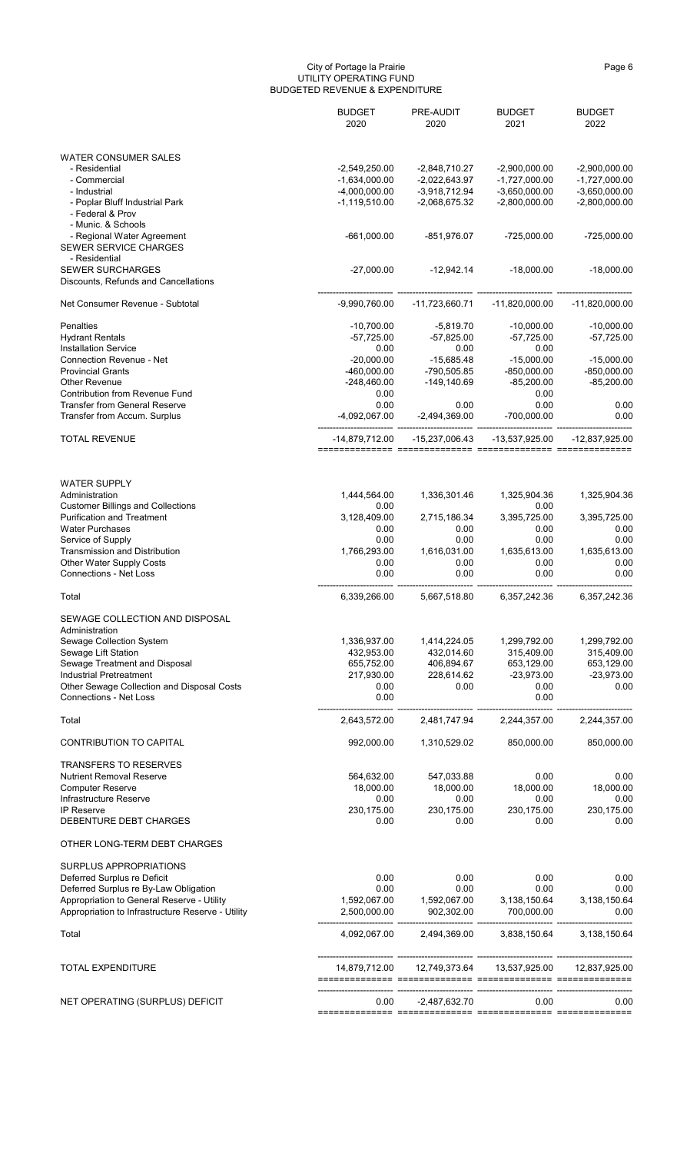#### City of Portage la Prairie Page 6 (Page 6 (Page 6 (Page 6 (Page 6  $\sim$  Page 6  $\sim$ UTILITY OPERATING FUND BUDGETED REVENUE & EXPENDITURE

|                                            | <b>BUDGET</b><br>2020 | PRE-AUDIT<br>2020 | <b>BUDGET</b><br>2021 | <b>BUDGET</b><br>2022 |
|--------------------------------------------|-----------------------|-------------------|-----------------------|-----------------------|
| <b>WATER CONSUMER SALES</b>                |                       |                   |                       |                       |
| - Residential                              | $-2,549,250.00$       | $-2,848,710.27$   | $-2,900,000.00$       | $-2,900,000.00$       |
| - Commercial                               | $-1,634,000.00$       | $-2,022,643.97$   | $-1,727,000.00$       | $-1,727,000.00$       |
| - Industrial                               | $-4,000,000.00$       | $-3,918,712.94$   | $-3,650,000.00$       | $-3,650,000.00$       |
| - Poplar Bluff Industrial Park             | $-1,119,510.00$       | $-2,068,675.32$   | $-2,800,000.00$       | $-2,800,000.00$       |
| - Federal & Prov                           |                       |                   |                       |                       |
| - Munic. & Schools                         |                       |                   |                       |                       |
| - Regional Water Agreement                 | $-661,000.00$         | -851,976.07       | $-725,000.00$         | $-725,000.00$         |
| SEWER SERVICE CHARGES                      |                       |                   |                       |                       |
| - Residential<br><b>SEWER SURCHARGES</b>   | $-27,000.00$          | $-12,942.14$      | $-18,000.00$          | $-18,000.00$          |
| Discounts, Refunds and Cancellations       |                       |                   |                       |                       |
|                                            |                       |                   |                       |                       |
| Net Consumer Revenue - Subtotal            | $-9,990,760.00$       | -11,723,660.71    | $-11,820,000.00$      | $-11,820,000.00$      |
| Penalties                                  | $-10,700.00$          | $-5,819.70$       | $-10,000.00$          | $-10,000.00$          |
| <b>Hydrant Rentals</b>                     | $-57,725.00$          | $-57,825.00$      | $-57,725.00$          | $-57,725.00$          |
| <b>Installation Service</b>                | 0.00                  | 0.00              | 0.00                  |                       |
| <b>Connection Revenue - Net</b>            | $-20,000.00$          | $-15,685.48$      | $-15,000.00$          | $-15,000.00$          |
| <b>Provincial Grants</b>                   | -460,000.00           | -790,505.85       | $-850,000.00$         | $-850,000.00$         |
| <b>Other Revenue</b>                       | $-248,460.00$         | $-149,140.69$     | $-85,200.00$          | $-85,200.00$          |
| <b>Contribution from Revenue Fund</b>      | 0.00                  |                   | 0.00                  |                       |
| <b>Transfer from General Reserve</b>       | 0.00                  | 0.00              | 0.00                  | 0.00                  |
| Transfer from Accum. Surplus               | -4,092,067.00         | $-2,494,369.00$   | -700,000.00           | 0.00                  |
| <b>TOTAL REVENUE</b>                       | -14,879,712.00        | -15,237,006.43    | -13,537,925.00        | -12,837,925.00        |
| <b>WATER SUPPLY</b>                        |                       |                   |                       |                       |
| Administration                             | 1,444,564.00          | 1,336,301.46      | 1,325,904.36          | 1,325,904.36          |
| <b>Customer Billings and Collections</b>   | 0.00                  |                   | 0.00                  |                       |
| Purification and Treatment                 | 3,128,409.00          | 2,715,186.34      | 3,395,725.00          | 3,395,725.00          |
| <b>Water Purchases</b>                     | 0.00                  | 0.00              | 0.00                  | 0.00                  |
| Service of Supply                          | 0.00                  | 0.00              | 0.00                  | 0.00                  |
| <b>Transmission and Distribution</b>       | 1,766,293.00          | 1,616,031.00      | 1,635,613.00          | 1,635,613.00          |
| <b>Other Water Supply Costs</b>            | 0.00                  | 0.00              | 0.00                  | 0.00                  |
| <b>Connections - Net Loss</b>              | 0.00                  | 0.00              | 0.00                  | 0.00                  |
| Total                                      | 6,339,266.00          | 5,667,518.80      | 6,357,242.36          | 6,357,242.36          |
| SEWAGE COLLECTION AND DISPOSAL             |                       |                   |                       |                       |
| Administration                             |                       |                   |                       |                       |
| Sewage Collection System                   | 1,336,937.00          | 1,414,224.05      | 1,299,792.00          | 1,299,792.00          |
| Sewage Lift Station                        | 432,953.00            | 432,014.60        | 315,409.00            | 315,409.00            |
| Sewage Treatment and Disposal              | 655,752.00            | 406,894.67        | 653,129.00            | 653,129.00            |
| <b>Industrial Pretreatment</b>             | 217,930.00            | 228,614.62        | $-23,973.00$          | $-23,973.00$          |
| Other Sewage Collection and Disposal Costs | 0.00                  | 0.00              | 0.00                  | 0.00                  |
| <b>Connections - Net Loss</b>              | 0.00                  |                   | 0.00                  |                       |
| Total                                      | 2,643,572.00          | 2,481,747.94      | 2,244,357.00          | 2,244,357.00          |
| <b>CONTRIBUTION TO CAPITAL</b>             | 992,000.00            | 1,310,529.02      | 850,000.00            | 850,000.00            |
| <b>TRANSFERS TO RESERVES</b>               |                       |                   |                       |                       |
| <b>Nutrient Removal Reserve</b>            | 564,632.00            | 547,033.88        | 0.00                  | 0.00                  |
| <b>Computer Reserve</b>                    | 18,000.00             | 18,000.00         | 18,000.00             | 18,000.00             |
| Infrastructure Reserve                     | 0.00                  | 0.00              | 0.00                  | 0.00                  |

| <b>IP Reserve</b>                                 | 230,175.00    | 230,175.00    | 230,175.00    | 230,175.00    |
|---------------------------------------------------|---------------|---------------|---------------|---------------|
| DEBENTURE DEBT CHARGES                            | 0.00          | 0.00          | 0.00          | 0.00          |
| OTHER LONG-TERM DEBT CHARGES                      |               |               |               |               |
| SURPLUS APPROPRIATIONS                            |               |               |               |               |
| Deferred Surplus re Deficit                       | 0.00          | 0.00          | 0.00          | 0.00          |
| Deferred Surplus re By-Law Obligation             | 0.00          | 0.00          | 0.00          | 0.00          |
| Appropriation to General Reserve - Utility        | 1,592,067.00  | 1,592,067.00  | 3,138,150.64  | 3,138,150.64  |
| Appropriation to Infrastructure Reserve - Utility | 2,500,000.00  | 902,302.00    | 700,000.00    | 0.00          |
| Total                                             | 4,092,067.00  | 2,494,369.00  | 3,838,150.64  | 3,138,150.64  |
| <b>TOTAL EXPENDITURE</b>                          | 14,879,712.00 | 12,749,373.64 | 13,537,925.00 | 12,837,925.00 |
| NET OPERATING (SURPLUS) DEFICIT                   | 0.00          | -2,487,632.70 | 0.00          | 0.00          |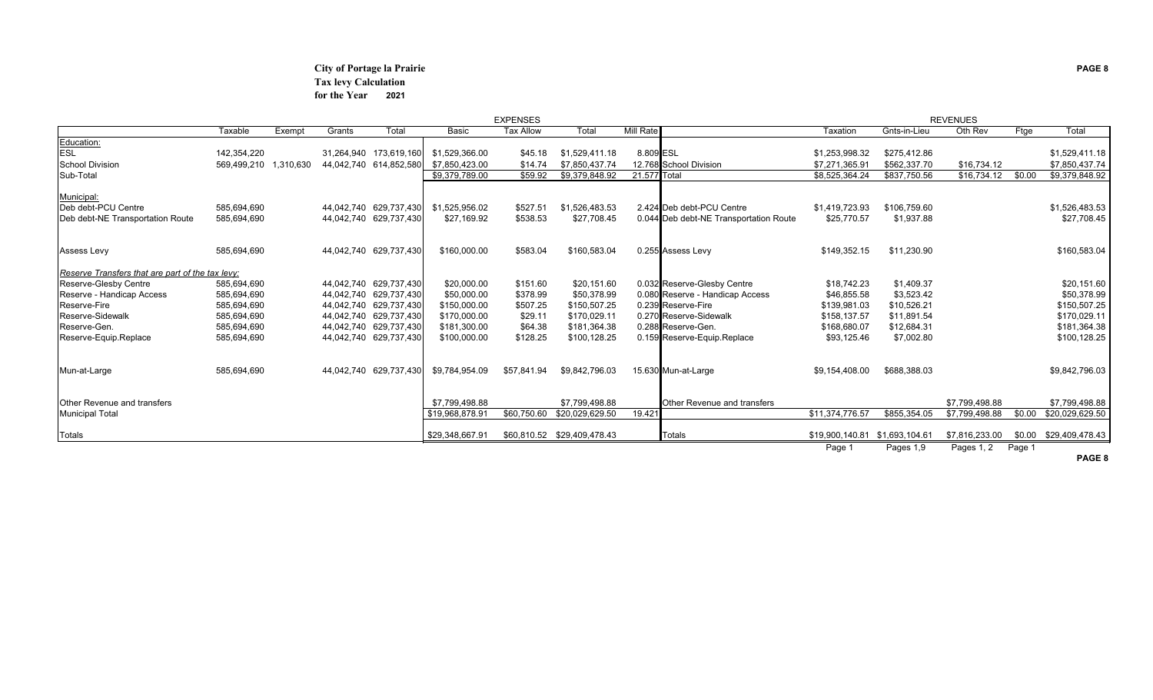## **City of Portage la Prairie PAGE 8 Tax levy Calculation for the Year 2021**

|                                                  |             |           |            |                        |                 | <b>EXPENSES</b>  |                 |                  |                                        |                                |              | <b>REVENUES</b> |        |                        |
|--------------------------------------------------|-------------|-----------|------------|------------------------|-----------------|------------------|-----------------|------------------|----------------------------------------|--------------------------------|--------------|-----------------|--------|------------------------|
|                                                  | Taxable     | Exempt    | Grants     | Total                  | <b>Basic</b>    | <b>Tax Allow</b> | Total           | <b>Mill Rate</b> |                                        | Taxation                       | Gnts-in-Lieu | Oth Rev         | Ftge   | Total                  |
| Education:                                       |             |           |            |                        |                 |                  |                 |                  |                                        |                                |              |                 |        |                        |
| <b>ESL</b>                                       | 142,354,220 |           |            | 31,264,940 173,619,160 | \$1,529,366.00  | \$45.18          | \$1,529,411.18  | 8.809 ESL        |                                        | \$1,253,998.32                 | \$275,412.86 |                 |        | \$1,529,411.18         |
| <b>School Division</b>                           | 569,499,210 | 1,310,630 |            | 44,042,740 614,852,580 | \$7,850,423.00  | \$14.74          | \$7,850,437.74  |                  | 12.768 School Division                 | \$7,271,365.91                 | \$562,337.70 | \$16,734.12     |        | \$7,850,437.74         |
| Sub-Total                                        |             |           |            |                        | \$9,379,789.00  | \$59.92          | \$9,379,848.92  | 21.577 Total     |                                        | \$8,525,364.24                 | \$837,750.56 | \$16,734.12     | \$0.00 | \$9,379,848.92         |
| Municipal:                                       |             |           |            |                        |                 |                  |                 |                  |                                        |                                |              |                 |        |                        |
| Deb debt-PCU Centre                              | 585,694,690 |           |            | 44,042,740 629,737,430 | \$1,525,956.02  | \$527.51         | \$1,526,483.53  |                  | 2.424 Deb debt-PCU Centre              | \$1,419,723.93                 | \$106,759.60 |                 |        | \$1,526,483.53         |
| Deb debt-NE Transportation Route                 | 585,694,690 |           |            | 44,042,740 629,737,430 | \$27,169.92     | \$538.53         | \$27,708.45     |                  | 0.044 Deb debt-NE Transportation Route | \$25,770.57                    | \$1,937.88   |                 |        | \$27,708.45            |
|                                                  |             |           |            |                        |                 |                  |                 |                  |                                        |                                |              |                 |        |                        |
| <b>Assess Levy</b>                               | 585,694,690 |           |            | 44,042,740 629,737,430 | \$160,000.00    | \$583.04         | \$160,583.04    |                  | 0.255 Assess Levy                      | \$149,352.15                   | \$11,230.90  |                 |        | \$160,583.04           |
| Reserve Transfers that are part of the tax levy: |             |           |            |                        |                 |                  |                 |                  |                                        |                                |              |                 |        |                        |
| <b>Reserve-Glesby Centre</b>                     | 585,694,690 |           |            | 44,042,740 629,737,430 | \$20,000.00     | \$151.60         | \$20,151.60     |                  | 0.032 Reserve-Glesby Centre            | \$18,742.23                    | \$1,409.37   |                 |        | \$20,151.60            |
| Reserve - Handicap Access                        | 585,694,690 |           |            | 44,042,740 629,737,430 | \$50,000.00     | \$378.99         | \$50,378.99     |                  | 0.080 Reserve - Handicap Access        | \$46,855.58                    | \$3,523.42   |                 |        | \$50,378.99            |
| Reserve-Fire                                     | 585,694,690 |           | 44,042,740 | 629,737,430            | \$150,000.00    | \$507.25         | \$150,507.25    |                  | 0.239 Reserve-Fire                     | \$139,981.03                   | \$10,526.21  |                 |        | \$150,507.25           |
| Reserve-Sidewalk                                 | 585,694,690 |           |            | 44,042,740 629,737,430 | \$170,000.00    | \$29.11          | \$170,029.11    |                  | 0.270 Reserve-Sidewalk                 | \$158,137.57                   | \$11,891.54  |                 |        | \$170,029.11           |
| Reserve-Gen.                                     | 585,694,690 |           |            | 44,042,740 629,737,430 | \$181,300.00    | \$64.38          | \$181,364.38    |                  | 0.288 Reserve-Gen.                     | \$168,680.07                   | \$12,684.31  |                 |        | \$181,364.38           |
| Reserve-Equip.Replace                            | 585,694,690 |           | 44,042,740 | 629,737,430            | \$100,000.00    | \$128.25         | \$100,128.25    |                  | 0.159 Reserve-Equip.Replace            | \$93,125.46                    | \$7,002.80   |                 |        | \$100,128.25           |
| Mun-at-Large                                     | 585,694,690 |           |            | 44,042,740 629,737,430 | \$9,784,954.09  | \$57,841.94      | \$9,842,796.03  |                  | 15.630 Mun-at-Large                    | \$9,154,408.00                 | \$688,388.03 |                 |        | \$9,842,796.03         |
|                                                  |             |           |            |                        |                 |                  |                 |                  |                                        |                                |              |                 |        |                        |
| Other Revenue and transfers                      |             |           |            |                        | \$7,799,498.88  |                  | \$7,799,498.88  |                  | Other Revenue and transfers            |                                |              | \$7,799,498.88  |        | \$7,799,498.88         |
| <b>Municipal Total</b>                           |             |           |            |                        | \$19,968,878.91 | \$60,750.60      | \$20,029,629.50 | 19.421           |                                        | \$11,374,776.57                | \$855,354.05 | \$7,799,498.88  | \$0.00 | \$20,029,629.50        |
| Totals                                           |             |           |            |                        | \$29,348,667.91 |                  |                 |                  | <b>Totals</b>                          | \$19,900,140.81 \$1,693,104.61 |              | \$7,816,233.00  |        | \$0.00 \$29,409,478.43 |
|                                                  |             |           |            |                        |                 |                  |                 |                  |                                        | Page 1                         | Pages 1,9    | Pages 1, 2      | Page 1 |                        |
|                                                  |             |           |            |                        |                 |                  |                 |                  |                                        |                                |              |                 |        | PAGE 8                 |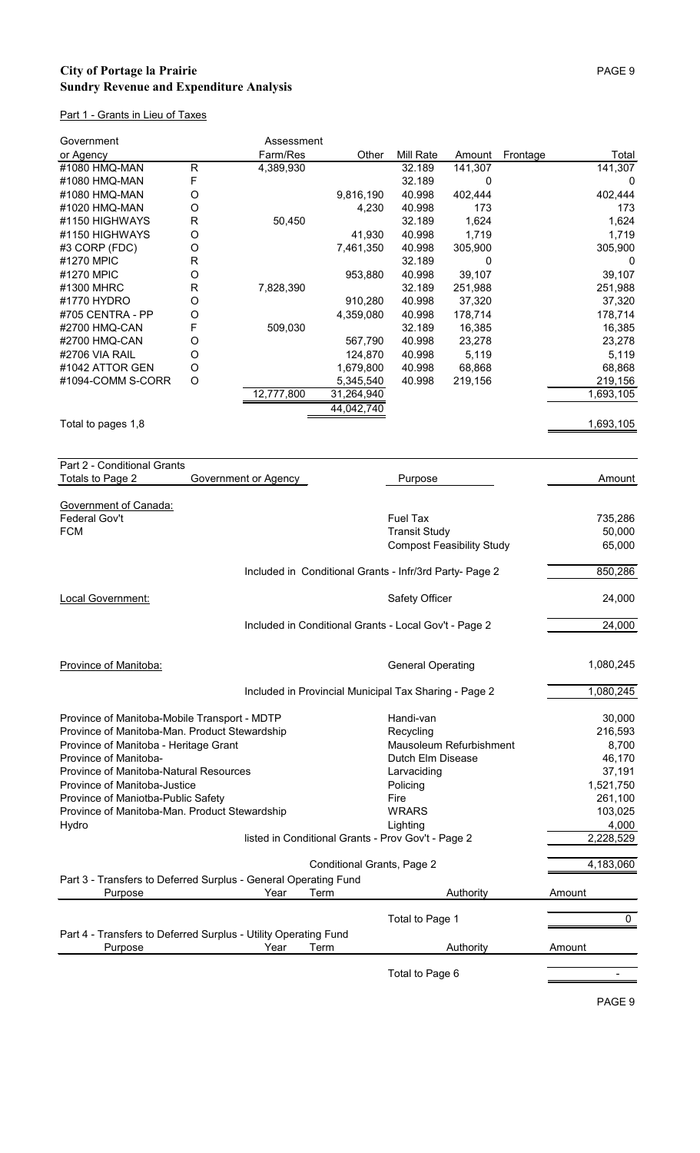## **City of Portage la Prairie** PAGE 9 **Sundry Revenue and Expenditure Analysis**

## Part 1 - Grants in Lieu of Taxes

| Government         |              | Assessment |            |           |         |          |           |
|--------------------|--------------|------------|------------|-----------|---------|----------|-----------|
| or Agency          |              | Farm/Res   | Other      | Mill Rate | Amount  | Frontage | Total     |
| #1080 HMQ-MAN      | $\mathsf{R}$ | 4,389,930  |            | 32.189    | 141,307 |          | 141,307   |
| #1080 HMQ-MAN      | F            |            |            | 32.189    | 0       |          | 0         |
| #1080 HMQ-MAN      | O            |            | 9,816,190  | 40.998    | 402,444 |          | 402,444   |
| #1020 HMQ-MAN      | O            |            | 4,230      | 40.998    | 173     |          | 173       |
| #1150 HIGHWAYS     | $\mathsf{R}$ | 50,450     |            | 32.189    | 1,624   |          | 1,624     |
| #1150 HIGHWAYS     | O            |            | 41,930     | 40.998    | 1,719   |          | 1,719     |
| #3 CORP (FDC)      | O            |            | 7,461,350  | 40.998    | 305,900 |          | 305,900   |
| #1270 MPIC         | $\mathsf{R}$ |            |            | 32.189    | 0       |          | 0         |
| #1270 MPIC         | O            |            | 953,880    | 40.998    | 39,107  |          | 39,107    |
| #1300 MHRC         | $\mathsf{R}$ | 7,828,390  |            | 32.189    | 251,988 |          | 251,988   |
| #1770 HYDRO        | O            |            | 910,280    | 40.998    | 37,320  |          | 37,320    |
| #705 CENTRA - PP   | O            |            | 4,359,080  | 40.998    | 178,714 |          | 178,714   |
| #2700 HMQ-CAN      | F            | 509,030    |            | 32.189    | 16,385  |          | 16,385    |
| #2700 HMQ-CAN      | O            |            | 567,790    | 40.998    | 23,278  |          | 23,278    |
| #2706 VIA RAIL     | O            |            | 124,870    | 40.998    | 5,119   |          | 5,119     |
| #1042 ATTOR GEN    | O            |            | 1,679,800  | 40.998    | 68,868  |          | 68,868    |
| #1094-COMM S-CORR  | O            |            | 5,345,540  | 40.998    | 219,156 |          | 219,156   |
|                    |              | 12,777,800 | 31,264,940 |           |         |          | 1,693,105 |
|                    |              |            | 44,042,740 |           |         |          |           |
| Total to pages 1,8 |              |            |            |           |         |          | 1,693,105 |

| Part 2 - Conditional Grants                                     |                      |      |                                                         |             |
|-----------------------------------------------------------------|----------------------|------|---------------------------------------------------------|-------------|
| Totals to Page 2                                                | Government or Agency |      | Purpose                                                 | Amount      |
|                                                                 |                      |      |                                                         |             |
| Government of Canada:                                           |                      |      |                                                         |             |
| Federal Gov't                                                   |                      |      | <b>Fuel Tax</b>                                         | 735,286     |
| <b>FCM</b>                                                      |                      |      | <b>Transit Study</b>                                    | 50,000      |
|                                                                 |                      |      | <b>Compost Feasibility Study</b>                        | 65,000      |
|                                                                 |                      |      | Included in Conditional Grants - Infr/3rd Party- Page 2 | 850,286     |
| Local Government:                                               |                      |      | Safety Officer                                          | 24,000      |
|                                                                 |                      |      | Included in Conditional Grants - Local Gov't - Page 2   | 24,000      |
|                                                                 |                      |      |                                                         |             |
| Province of Manitoba:                                           |                      |      | <b>General Operating</b>                                | 1,080,245   |
|                                                                 |                      |      | Included in Provincial Municipal Tax Sharing - Page 2   | 1,080,245   |
| Province of Manitoba-Mobile Transport - MDTP                    |                      |      | Handi-van                                               | 30,000      |
| Province of Manitoba-Man. Product Stewardship                   |                      |      | Recycling                                               | 216,593     |
| Province of Manitoba - Heritage Grant                           |                      |      | Mausoleum Refurbishment                                 | 8,700       |
| Province of Manitoba-                                           |                      |      | Dutch Elm Disease                                       | 46,170      |
| Province of Manitoba-Natural Resources                          |                      |      | Larvaciding                                             | 37,191      |
| Province of Manitoba-Justice                                    |                      |      | Policing                                                | 1,521,750   |
| Province of Maniotba-Public Safety                              |                      |      | Fire                                                    | 261,100     |
| Province of Manitoba-Man. Product Stewardship                   |                      |      | <b>WRARS</b>                                            | 103,025     |
| Hydro                                                           |                      |      | Lighting                                                | 4,000       |
|                                                                 |                      |      | listed in Conditional Grants - Prov Gov't - Page 2      | 2,228,529   |
|                                                                 |                      |      | <b>Conditional Grants, Page 2</b>                       | 4,183,060   |
| Part 3 - Transfers to Deferred Surplus - General Operating Fund |                      |      |                                                         |             |
| Purpose                                                         | Year                 | Term | Authority                                               | Amount      |
|                                                                 |                      |      | Total to Page 1                                         | $\mathbf 0$ |
| Part 4 - Transfers to Deferred Surplus - Utility Operating Fund |                      |      |                                                         |             |
| Purpose                                                         | Year                 | Term | Authority                                               | Amount      |
|                                                                 |                      |      | Total to Page 6                                         |             |
|                                                                 |                      |      |                                                         |             |

PAGE 9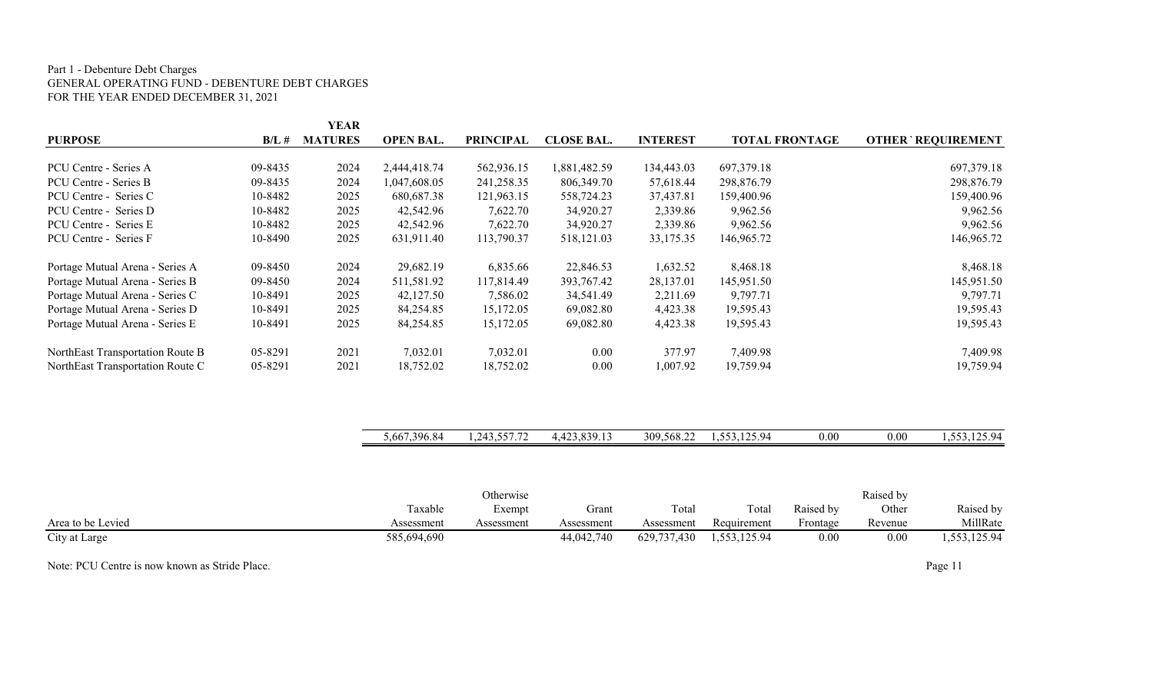#### Part 1 - Debenture Debt Charges GENERAL OPERATING FUND - DEBENTURE DEBT CHARGES FOR THE YEAR ENDED DECEMBER 31, 2021

|                                  |          | YEAR           |                  |                  |                   |                 |                       |                           |
|----------------------------------|----------|----------------|------------------|------------------|-------------------|-----------------|-----------------------|---------------------------|
| <b>PURPOSE</b>                   | $B/L \#$ | <b>MATURES</b> | <b>OPEN BAL.</b> | <b>PRINCIPAL</b> | <b>CLOSE BAL.</b> | <b>INTEREST</b> | <b>TOTAL FRONTAGE</b> | <b>OTHER' REQUIREMENT</b> |
|                                  |          |                |                  |                  |                   |                 |                       |                           |
| PCU Centre - Series A            | 09-8435  | 2024           | 2,444,418.74     | 562,936.15       | 1,881,482.59      | 134,443.03      | 697,379.18            | 697,379.18                |
| PCU Centre - Series B            | 09-8435  | 2024           | 1,047,608.05     | 241,258.35       | 806,349.70        | 57,618.44       | 298,876.79            | 298,876.79                |
| PCU Centre - Series C            | 10-8482  | 2025           | 680,687.38       | 121,963.15       | 558,724.23        | 37,437.81       | 159,400.96            | 159,400.96                |
| PCU Centre - Series D            | 10-8482  | 2025           | 42,542.96        | 7,622.70         | 34,920.27         | 2,339.86        | 9,962.56              | 9,962.56                  |
| PCU Centre - Series E            | 10-8482  | 2025           | 42,542.96        | 7,622.70         | 34,920.27         | 2,339.86        | 9,962.56              | 9,962.56                  |
| PCU Centre - Series F            | 10-8490  | 2025           | 631,911.40       | 113,790.37       | 518,121.03        | 33,175.35       | 146,965.72            | 146,965.72                |
| Portage Mutual Arena - Series A  | 09-8450  | 2024           | 29,682.19        | 6,835.66         | 22,846.53         | 1,632.52        | 8,468.18              | 8,468.18                  |
| Portage Mutual Arena - Series B  | 09-8450  | 2024           | 511,581.92       | 117,814.49       | 393,767.42        | 28,137.01       | 145,951.50            | 145,951.50                |
| Portage Mutual Arena - Series C  | 10-8491  | 2025           | 42,127.50        | 7,586.02         | 34,541.49         | 2,211.69        | 9,797.71              | 9,797.71                  |
| Portage Mutual Arena - Series D  | 10-8491  | 2025           | 84,254.85        | 15,172.05        | 69,082.80         | 4,423.38        | 19,595.43             | 19,595.43                 |
| Portage Mutual Arena - Series E  | 10-8491  | 2025           | 84,254.85        | 15,172.05        | 69,082.80         | 4,423.38        | 19,595.43             | 19,595.43                 |
| NorthEast Transportation Route B | 05-8291  | 2021           | 7,032.01         | 7,032.01         | $0.00\,$          | 377.97          | 7,409.98              | 7,409.98                  |
| NorthEast Transportation Route C | 05-8291  | 2021           | 18,752.02        | 18,752.02        | 0.00              | 1,007.92        | 19,759.94             | 19,759.94                 |

|                   | 5,667,396.84 | 1,243,557.72 | 4,423,839.13 | 309,568.22  | 1,553,125.94 | $0.00\,$  | 0.00      | 1,553,125.94 |
|-------------------|--------------|--------------|--------------|-------------|--------------|-----------|-----------|--------------|
|                   |              |              |              |             |              |           |           |              |
|                   |              |              |              |             |              |           |           |              |
|                   |              | Otherwise    |              |             |              |           | Raised by |              |
|                   | Taxable      | Exempt       | Grant        | Total       | Total        | Raised by | Other     | Raised by    |
| Area to be Levied | Assessment   | Assessment   | Assessment   | Assessment  | Requirement  | Frontage  | Revenue   | MillRate     |
| City at Large     | 585,694,690  |              | 44,042,740   | 629,737,430 | 1,553,125.94 | 0.00      | 0.00      | 1,553,125.94 |

Note: PCU Centre is now known as Stride Place. Page 11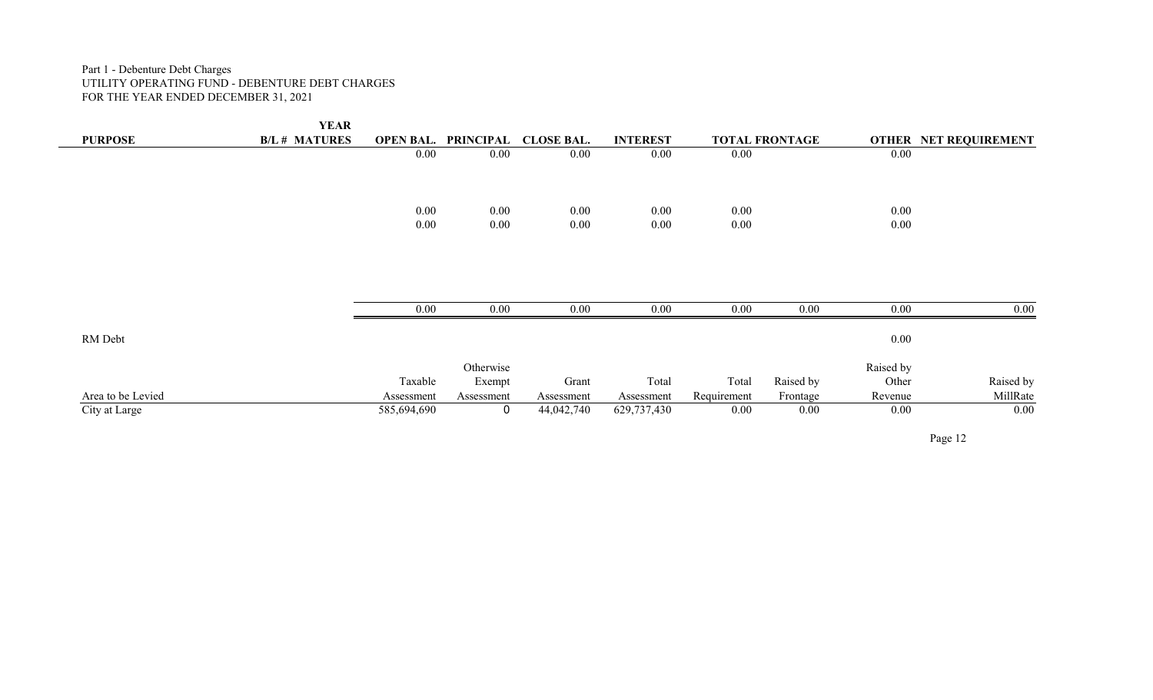#### Part 1 - Debenture Debt Charges UTILITY OPERATING FUND - DEBENTURE DEBT CHARGES FOR THE YEAR ENDED DECEMBER 31, 2021

|                   | <b>YEAR</b>          |                  |            |                   |                 |             |                       |           |                              |
|-------------------|----------------------|------------------|------------|-------------------|-----------------|-------------|-----------------------|-----------|------------------------------|
| <b>PURPOSE</b>    | <b>B/L # MATURES</b> | <b>OPEN BAL.</b> | PRINCIPAL  | <b>CLOSE BAL.</b> | <b>INTEREST</b> |             | <b>TOTAL FRONTAGE</b> |           | <b>OTHER NET REQUIREMENT</b> |
|                   |                      | 0.00             | 0.00       | 0.00              | 0.00            | $0.00\,$    |                       | $0.00\,$  |                              |
|                   |                      |                  |            |                   |                 |             |                       |           |                              |
|                   |                      | $0.00\,$         | $0.00\,$   | $0.00\,$          | 0.00            | $0.00\,$    |                       | $0.00\,$  |                              |
|                   |                      | $0.00\,$         | $0.00\,$   | $0.00\,$          | 0.00            | 0.00        |                       | $0.00\,$  |                              |
|                   |                      |                  |            |                   |                 |             |                       |           |                              |
|                   |                      |                  |            |                   |                 |             |                       |           |                              |
|                   |                      | $0.00\,$         | 0.00       | 0.00              | 0.00            | 0.00        | $0.00\,$              | $0.00\,$  | $\overline{0.00}$            |
| RM Debt           |                      |                  |            |                   |                 |             |                       | $0.00\,$  |                              |
|                   |                      |                  | Otherwise  |                   |                 |             |                       | Raised by |                              |
|                   |                      | Taxable          | Exempt     | Grant             | Total           | Total       | Raised by             | Other     | Raised by                    |
| Area to be Levied |                      | Assessment       | Assessment | Assessment        | Assessment      | Requirement | Frontage              | Revenue   | MillRate                     |
| City at Large     |                      | 585,694,690      | 0          | 44,042,740        | 629,737,430     | $0.00\,$    | 0.00                  | $0.00\,$  | $\overline{0.00}$            |
|                   |                      |                  |            |                   |                 |             |                       |           | ___                          |

Page 12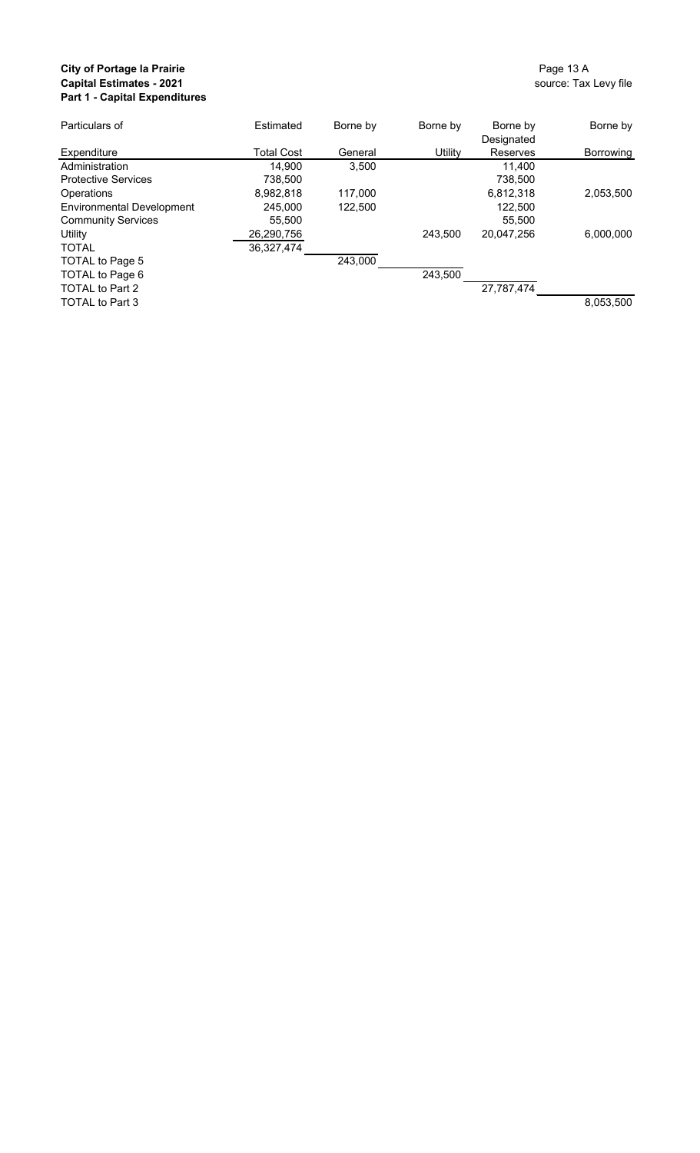## **City of Portage la Prairie City of Portage la Prairie** Page 13 A<br> **Capital Estimates - 2021**<br> **Capital Estimates - 2021 Capital Estimates - 2021 Part 1 - Capital Expenditures**

| Particulars of                   | Estimated         | Borne by | Borne by       | Borne by        | Borne by  |
|----------------------------------|-------------------|----------|----------------|-----------------|-----------|
|                                  |                   |          |                | Designated      |           |
| Expenditure                      | <b>Total Cost</b> | General  | <b>Utility</b> | <b>Reserves</b> | Borrowing |
| Administration                   | 14,900            | 3,500    |                | 11,400          |           |
| <b>Protective Services</b>       | 738,500           |          |                | 738,500         |           |
| <b>Operations</b>                | 8,982,818         | 117,000  |                | 6,812,318       | 2,053,500 |
| <b>Environmental Development</b> | 245,000           | 122,500  |                | 122,500         |           |
| <b>Community Services</b>        | 55,500            |          |                | 55,500          |           |
| Utility                          | 26,290,756        |          | 243,500        | 20,047,256      | 6,000,000 |
| <b>TOTAL</b>                     | 36,327,474        |          |                |                 |           |
| TOTAL to Page 5                  |                   | 243,000  |                |                 |           |
| TOTAL to Page 6                  |                   |          | 243,500        |                 |           |
| <b>TOTAL to Part 2</b>           |                   |          |                | 27,787,474      |           |
| <b>TOTAL to Part 3</b>           |                   |          |                |                 | 8,053,500 |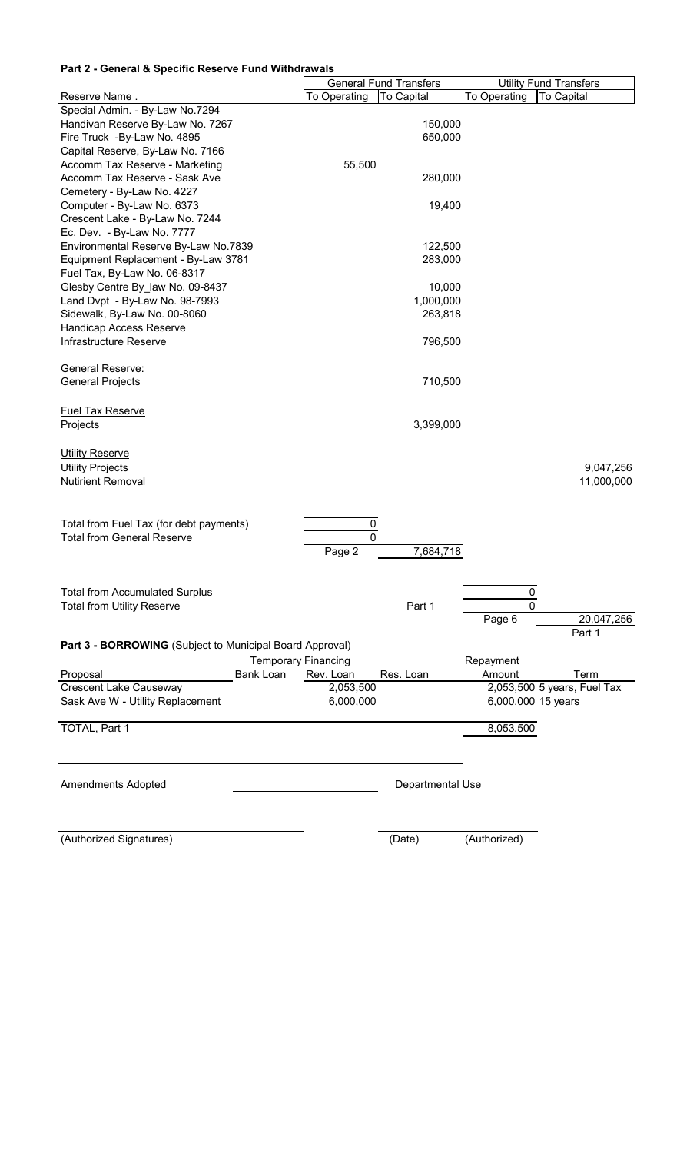### **Part 2 - General & Specific Reserve Fund Withdrawals**

|                                                          |              | <b>General Fund Transfers</b> |                    | <b>Utility Fund Transfers</b> |
|----------------------------------------------------------|--------------|-------------------------------|--------------------|-------------------------------|
| Reserve Name.                                            | To Operating | To Capital                    | To Operating       | <b>To Capital</b>             |
| Special Admin. - By-Law No.7294                          |              |                               |                    |                               |
| Handivan Reserve By-Law No. 7267                         |              | 150,000                       |                    |                               |
| Fire Truck - By-Law No. 4895                             |              | 650,000                       |                    |                               |
| Capital Reserve, By-Law No. 7166                         |              |                               |                    |                               |
| Accomm Tax Reserve - Marketing                           | 55,500       |                               |                    |                               |
| Accomm Tax Reserve - Sask Ave                            |              | 280,000                       |                    |                               |
| Cemetery - By-Law No. 4227                               |              |                               |                    |                               |
| Computer - By-Law No. 6373                               |              | 19,400                        |                    |                               |
| Crescent Lake - By-Law No. 7244                          |              |                               |                    |                               |
| Ec. Dev. - By-Law No. 7777                               |              |                               |                    |                               |
| Environmental Reserve By-Law No.7839                     |              | 122,500                       |                    |                               |
| Equipment Replacement - By-Law 3781                      |              | 283,000                       |                    |                               |
| Fuel Tax, By-Law No. 06-8317                             |              |                               |                    |                               |
| Glesby Centre By law No. 09-8437                         |              | 10,000                        |                    |                               |
| Land Dvpt - By-Law No. 98-7993                           |              | 1,000,000                     |                    |                               |
| Sidewalk, By-Law No. 00-8060                             |              | 263,818                       |                    |                               |
| <b>Handicap Access Reserve</b>                           |              |                               |                    |                               |
| Infrastructure Reserve                                   |              | 796,500                       |                    |                               |
|                                                          |              |                               |                    |                               |
| <b>General Reserve:</b>                                  |              |                               |                    |                               |
| <b>General Projects</b>                                  |              | 710,500                       |                    |                               |
|                                                          |              |                               |                    |                               |
|                                                          |              |                               |                    |                               |
| <b>Fuel Tax Reserve</b>                                  |              |                               |                    |                               |
| Projects                                                 |              | 3,399,000                     |                    |                               |
|                                                          |              |                               |                    |                               |
| <b>Utility Reserve</b>                                   |              |                               |                    |                               |
| <b>Utility Projects</b>                                  |              |                               |                    | 9,047,256                     |
| <b>Nutirient Removal</b>                                 |              |                               |                    | 11,000,000                    |
|                                                          |              |                               |                    |                               |
|                                                          |              |                               |                    |                               |
| Total from Fuel Tax (for debt payments)                  | 0            |                               |                    |                               |
| <b>Total from General Reserve</b>                        | O            |                               |                    |                               |
|                                                          | Page 2       | 7,684,718                     |                    |                               |
|                                                          |              |                               |                    |                               |
|                                                          |              |                               |                    |                               |
| <b>Total from Accumulated Surplus</b>                    |              |                               | 0                  |                               |
| <b>Total from Utility Reserve</b>                        |              | Part 1                        | 0                  |                               |
|                                                          |              |                               | Page 6             | 20,047,256                    |
|                                                          |              |                               |                    | Part 1                        |
| Part 3 - BORROWING (Subject to Municipal Board Approval) |              |                               |                    |                               |
| <b>Temporary Financing</b>                               |              |                               | Repayment          |                               |
| <b>Bank Loan</b><br>Proposal                             | Rev. Loan    | Res. Loan                     | Amount             | Term                          |
| <b>Crescent Lake Causeway</b>                            | 2,053,500    |                               |                    | 2,053,500 5 years, Fuel Tax   |
| Sask Ave W - Utility Replacement                         | 6,000,000    |                               | 6,000,000 15 years |                               |
|                                                          |              |                               |                    |                               |
| TOTAL, Part 1                                            |              |                               | 8,053,500          |                               |
|                                                          |              |                               |                    |                               |
|                                                          |              |                               |                    |                               |
|                                                          |              |                               |                    |                               |
| <b>Amendments Adopted</b>                                |              | Departmental Use              |                    |                               |
|                                                          |              |                               |                    |                               |
|                                                          |              |                               |                    |                               |
|                                                          |              |                               |                    |                               |
| (Authorized Signatures)                                  |              | (Date)                        | (Authorized)       |                               |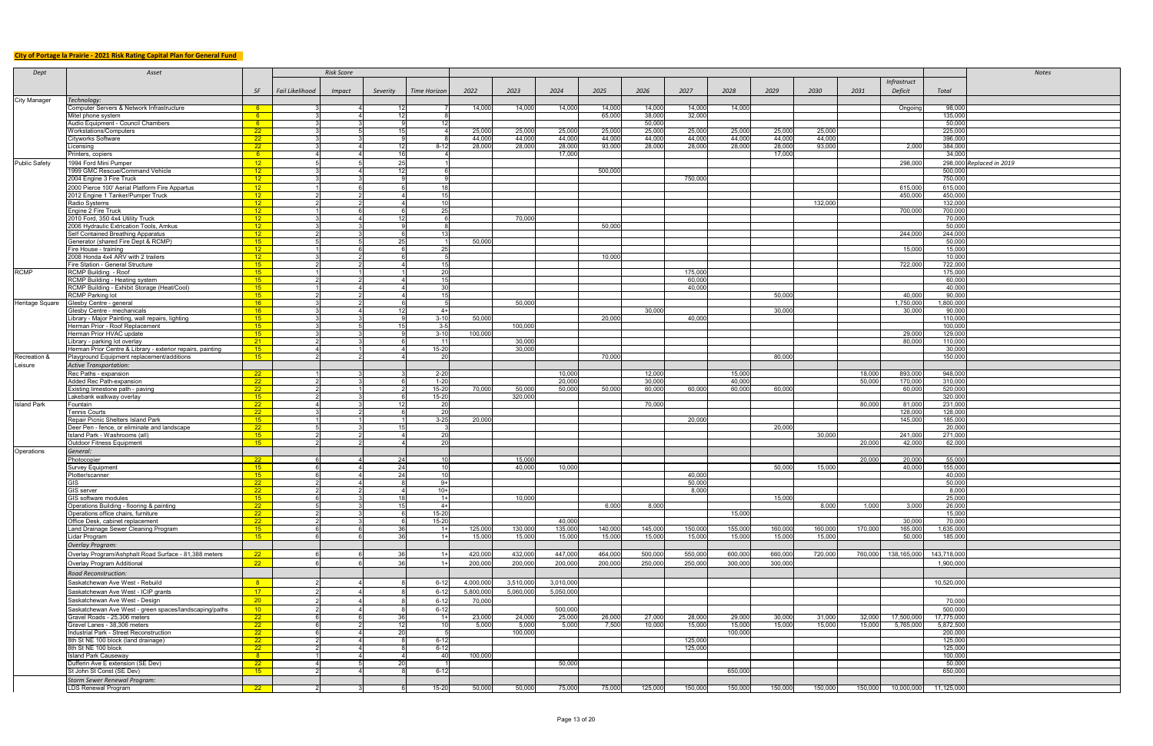# **City of Portage la Prairie - 2021 Risk Rating Capital Plan for General Fund**

| Dept                 | Asset                                                                               |                          |                 | <b>Risk Score</b> |                 |                   |                 |                 |                   |                 |                  |                  |                  |                  |                  |                  |                   |                      | <b>Notes</b>             |
|----------------------|-------------------------------------------------------------------------------------|--------------------------|-----------------|-------------------|-----------------|-------------------|-----------------|-----------------|-------------------|-----------------|------------------|------------------|------------------|------------------|------------------|------------------|-------------------|----------------------|--------------------------|
|                      |                                                                                     |                          |                 |                   |                 |                   |                 |                 |                   |                 |                  |                  |                  |                  |                  |                  | Infrastruct       |                      |                          |
|                      |                                                                                     |                          |                 |                   |                 |                   |                 |                 |                   |                 |                  |                  |                  |                  |                  |                  |                   |                      |                          |
|                      |                                                                                     | SE                       | Fail Likelihood | <b>Impact</b>     | Severity        | Time Horizon      | 2022            | 2023            | 2024              | 2025            | 2026             | 2027             | 2028             | 2029             | 2030             | 2031             | Deficit           | Total                |                          |
| <b>City Manager</b>  | Technology:                                                                         |                          |                 |                   |                 |                   |                 |                 |                   |                 |                  |                  |                  |                  |                  |                  |                   |                      |                          |
|                      | Computer Servers & Network Infrastructure                                           | - 6 -                    |                 |                   |                 |                   | 14,000          | 14,000          | 14,000            | 14,000          | 14,000           | 14,000           | 14,000           |                  |                  |                  | Ongoing           | 98,000               |                          |
|                      | Mitel phone system                                                                  | - 6 -                    |                 |                   | 12              |                   |                 |                 |                   | 65,000          | 38,000<br>50,000 | 32,000           |                  |                  |                  |                  |                   | 135,000              |                          |
|                      | Audio Equipment - Council Chambers<br>Workstations/Computers                        | - 6 -<br>$\overline{22}$ |                 |                   | -15             |                   | 25,000          | 25,000          | 25,000            | 25,000          | 25,000           | 25,000           | 25,000           | 25,000           | 25,000           |                  |                   | 50,000<br>225,000    |                          |
|                      | <b>Cityworks Software</b>                                                           | 22                       |                 |                   |                 |                   | 44,000          | 44,000          | 44,000            | 44,000          | 44,000           | 44,000           | 44,000           | 44,000           | 44,000           |                  |                   | 396,000              |                          |
|                      | Licensing                                                                           | $\overline{22}$          |                 |                   | -121            | $8 - 12$          | 28,000          | 28,000          | 28,000            | 93,000          | 28,000           | 28,000           | 28,000           | 28,000           | 93,000           |                  | 2,000             | 384,000              |                          |
|                      | Printers, copiers                                                                   | - 6 -                    |                 |                   | 16              |                   |                 |                 | 17,000            |                 |                  |                  |                  | 17,000           |                  |                  |                   | 34,000               |                          |
| <b>Public Safety</b> | 1994 Ford Mini Pumper                                                               | $\sqrt{12}$              |                 |                   | 25              |                   |                 |                 |                   |                 |                  |                  |                  |                  |                  |                  | 298,000           |                      | 298,000 Replaced in 2019 |
|                      | 1999 GMC Rescue/Command Vehicle                                                     | $\overline{12}$          |                 |                   | -12             |                   |                 |                 |                   | 500,000         |                  |                  |                  |                  |                  |                  |                   | 500,000              |                          |
|                      | 2004 Engine 3 Fire Truck                                                            | $-12$                    |                 |                   |                 |                   |                 |                 |                   |                 |                  | 750,000          |                  |                  |                  |                  |                   | 750,000              |                          |
|                      | 2000 Pierce 100' Aerial Platform Fire Appartus                                      | 12 <sup>2</sup>          |                 |                   |                 |                   |                 |                 |                   |                 |                  |                  |                  |                  |                  |                  | 615,000           | 615,000              |                          |
|                      | 2012 Engine 1 Tanker/Pumper Truck                                                   | $-12$                    |                 |                   |                 | 15                |                 |                 |                   |                 |                  |                  |                  |                  |                  |                  | 450,000           | 450,000              |                          |
|                      | Radio Systems                                                                       | $\overline{12}$          |                 |                   |                 | 10                |                 |                 |                   |                 |                  |                  |                  |                  | 132,000          |                  |                   | 132,000              |                          |
|                      | Engine 2 Fire Truck                                                                 | 12                       |                 |                   |                 |                   |                 |                 |                   |                 |                  |                  |                  |                  |                  |                  | 700,000           | 700,000              |                          |
|                      | 2010 Ford, 350 4x4 Utility Truck                                                    | $\overline{12}$          |                 |                   | 12              |                   |                 | 70,000          |                   |                 |                  |                  |                  |                  |                  |                  |                   | 70,000               |                          |
|                      | 2006 Hydraulic Extrication Tools, Amkus                                             | <u> 12 </u>              |                 |                   |                 |                   |                 |                 |                   | 50,000          |                  |                  |                  |                  |                  |                  |                   | 50,000               |                          |
|                      | Self Contained Breathing Apparatus                                                  | $\overline{12}$          |                 |                   |                 | 13                |                 |                 |                   |                 |                  |                  |                  |                  |                  |                  | 244,000           | 244,000              |                          |
|                      | Generator (shared Fire Dept & RCMP)                                                 | $-15$                    |                 |                   |                 |                   | 50,000          |                 |                   |                 |                  |                  |                  |                  |                  |                  |                   | 50,000               |                          |
|                      | Fire House - training                                                               | $\overline{12}$          |                 |                   |                 | 25                |                 |                 |                   |                 |                  |                  |                  |                  |                  |                  | 15,000            | 15,000               |                          |
|                      | 2008 Honda 4x4 ARV with 2 trailers                                                  | $\overline{12}$          |                 |                   |                 |                   |                 |                 |                   | 10,000          |                  |                  |                  |                  |                  |                  |                   | 10,000               |                          |
|                      | Fire Station - General Structure                                                    | $-15$                    |                 |                   |                 |                   |                 |                 |                   |                 |                  |                  |                  |                  |                  |                  | 722,000           | 722,000              |                          |
| <b>RCMP</b>          | <b>RCMP Building - Roof</b>                                                         | $-15$                    |                 |                   |                 | $\overline{20}$   |                 |                 |                   |                 |                  | 175,000          |                  |                  |                  |                  |                   | 175,000              |                          |
|                      | RCMP Building - Heating system                                                      | $-15$                    |                 |                   |                 | 15                |                 |                 |                   |                 |                  | 60,000           |                  |                  |                  |                  |                   | 60,000               |                          |
|                      | RCMP Building - Exhibit Storage (Heat/Cool)                                         | $-15$                    |                 |                   |                 | 30 <sup>1</sup>   |                 |                 |                   |                 |                  | 40.000           |                  |                  |                  |                  |                   | 40,000               |                          |
|                      | <b>RCMP Parking lot</b>                                                             | $-15$                    |                 |                   |                 |                   |                 |                 |                   |                 |                  |                  |                  | 50,000           |                  |                  | 40,000            | 90,000               |                          |
| Heritage Square      | Glesby Centre - general                                                             | 16                       |                 |                   |                 |                   |                 | 50,000          |                   |                 |                  |                  |                  |                  |                  |                  | 1,750,000         | 1,800,000            |                          |
|                      | Glesby Centre - mechanicals                                                         | 16                       |                 |                   |                 | $4+$              |                 |                 |                   |                 | 30,000           |                  |                  | 30,000           |                  |                  | 30,000            | 90,000               |                          |
|                      | Library - Major Painting, wall repairs, lighting<br>Herman Prior - Roof Replacement | $-15$<br>$-15$           |                 |                   |                 | $3 - 10$<br>$3-5$ | 50,000          | 100,000         |                   | 20,000          |                  | 40,000           |                  |                  |                  |                  |                   | 110,000<br>100,000   |                          |
|                      | Herman Prior HVAC update                                                            | $-15$                    |                 |                   |                 | $3 - 10$          | 100,000         |                 |                   |                 |                  |                  |                  |                  |                  |                  | 29,000            | 129,000              |                          |
|                      | Library - parking lot overlay                                                       | - 21 -                   |                 |                   |                 | -111              |                 | 30,000          |                   |                 |                  |                  |                  |                  |                  |                  | 80,000            | 110,000              |                          |
|                      | Herman Prior Centre & Library - exterior repairs, painting                          | $-15$                    |                 |                   |                 | $15-20$           |                 | 30,000          |                   |                 |                  |                  |                  |                  |                  |                  |                   | 30,000               |                          |
| Recreation &         | Playground Equipment replacement/additions                                          | 15                       |                 |                   |                 | 20                |                 |                 |                   | 70,000          |                  |                  |                  | 80,000           |                  |                  |                   | 150,000              |                          |
| Leisure              | <b>Active Transportation:</b>                                                       |                          |                 |                   |                 |                   |                 |                 |                   |                 |                  |                  |                  |                  |                  |                  |                   |                      |                          |
|                      | Rec Paths - expansion                                                               | $\overline{22}$          |                 |                   |                 | $2 - 20$          |                 |                 | 10,000            |                 | 12,000           |                  | 15,000           |                  |                  | 18,000           | 893,000           | 948,000              |                          |
|                      | <b>Added Rec Path-expansion</b>                                                     | $\overline{22}$          |                 |                   |                 | $1 - 20$          |                 |                 | 20,000            |                 | 30,000           |                  | 40,000           |                  |                  | 50,000           | 170,000           | 310,000              |                          |
|                      | Existing limestone path - paving                                                    | $\overline{22}$          |                 |                   |                 | $15 - 20$         | 70,000          | 50,000          | 50,000            | 50,000          | 60,000           | 60,000           | 60,000           | 60,000           |                  |                  | 60,000            | 520,000              |                          |
|                      | Lakebank walkway overlay                                                            | $-15$                    |                 |                   |                 | $15-20$           |                 | 320,000         |                   |                 |                  |                  |                  |                  |                  |                  |                   | 320,000              |                          |
| <b>Island Park</b>   | Fountain                                                                            | $\overline{22}$          |                 |                   |                 | 20                |                 |                 |                   |                 | 70,000           |                  |                  |                  |                  | 80,000           | 81,000            | 231,000              |                          |
|                      | Tennis Courts                                                                       | 22                       |                 |                   |                 | 20                |                 |                 |                   |                 |                  |                  |                  |                  |                  |                  | 128,000           | 128,000              |                          |
|                      | Repair Picnic Shelters Island Park                                                  | $-15$                    |                 |                   |                 | $3 - 25$          | 20,000          |                 |                   |                 |                  | 20,000           |                  |                  |                  |                  | 145,000           | 185,000              |                          |
|                      | Deer Pen - fence, or eliminate and landscape                                        | 22 <sub>2</sub>          |                 |                   | 15              |                   |                 |                 |                   |                 |                  |                  |                  | 20,000           |                  |                  |                   | 20,000               |                          |
|                      | Island Park - Washrooms (all)                                                       | 15                       |                 |                   |                 | 20                |                 |                 |                   |                 |                  |                  |                  |                  | 30,000           |                  | 241,000           | 271,000              |                          |
|                      | Outdoor Fitness Equipment                                                           | 15                       |                 |                   |                 | 20                |                 |                 |                   |                 |                  |                  |                  |                  |                  | 20,000           | 42,000            | 62,000               |                          |
| Operations           | General:                                                                            |                          |                 |                   |                 |                   |                 |                 |                   |                 |                  |                  |                  |                  |                  |                  |                   |                      |                          |
|                      | Photocopier                                                                         | $-22$                    |                 |                   | 24              | 10 <sup>1</sup>   |                 | 15,000          |                   |                 |                  |                  |                  |                  |                  | 20,000           | 20,000            | 55,000               |                          |
|                      | <b>Survey Equipment</b>                                                             | $-15$                    |                 |                   | 24              | 10                |                 | 40,000          | 10,000            |                 |                  |                  |                  | 50,000           | 15,000           |                  | 40,000            | 155,000              |                          |
|                      | Plotter/scanner                                                                     | $-15$                    |                 |                   | 24              | 10                |                 |                 |                   |                 |                  | 40,000           |                  |                  |                  |                  |                   | 40,000               |                          |
|                      |                                                                                     | $\overline{22}$          |                 |                   |                 | 9+                |                 |                 |                   |                 |                  | 50,000           |                  |                  |                  |                  |                   | 50,000               |                          |
|                      | GIS server                                                                          | $\overline{22}$          |                 |                   |                 | $10+$             |                 |                 |                   |                 |                  | 8,000            |                  |                  |                  |                  |                   | 8,000                |                          |
|                      | <b>GIS software modules</b>                                                         | 15                       |                 |                   |                 | $1+$              |                 | 10,000          |                   |                 |                  |                  |                  | 15,000           |                  |                  |                   | 25,000               |                          |
|                      | Operations Building - flooring & painting                                           | 22                       |                 |                   |                 | $4+$<br>$15 - 20$ |                 |                 |                   | 6,000           | 8,000            |                  |                  |                  | 8,000            | 1,000            | 3,000             | 26,000               |                          |
|                      | Operations office chairs, furniture                                                 | 22                       |                 |                   |                 | $15 - 20$         |                 |                 |                   |                 |                  |                  | 15,000           |                  |                  |                  |                   | 15,000               |                          |
|                      | Office Desk, cabinet replacement<br>Land Drainage Sewer Cleaning Program            | $\overline{22}$<br>$-15$ |                 |                   |                 | $1+$              | 125,000         | 130,000         | 40,000<br>135,000 | 140,000         | 145,000          | 150,000          | 155,000          | 160,000          | 160,000          | 170,000          | 30,000<br>165,000 | 70,000<br>1,635,000  |                          |
|                      | Lidar Program                                                                       | <u> 15 - </u>            |                 |                   |                 | $1 +$             | 15,000          | 15,000          | 15,000            | 15,000          | 15,000           | 15,000           | 15,000           | 15,000           | 15,000           |                  | 50,000            | 185,000              |                          |
|                      | Overlay Program:                                                                    |                          |                 |                   |                 |                   |                 |                 |                   |                 |                  |                  |                  |                  |                  |                  |                   |                      |                          |
|                      |                                                                                     |                          |                 |                   |                 |                   |                 |                 |                   |                 |                  |                  |                  |                  |                  |                  |                   |                      |                          |
|                      | Overlay Program/Ashphalt Road Surface - 81,388 meters                               | 22                       |                 |                   | ิวค             | $1+$              | 420,000         | 432,000         | 447,000           | 464,000         | 500,000          | 550,000          | 600,000          | 660,000          | 720,000          | 760,000          | 138,165,000       | 143,718,000          |                          |
|                      | Overlay Program Additional                                                          | 22                       |                 |                   |                 |                   | 200,000         | 200,000         | 200,000           | 200,000         | 250,000          | 250,000          | 300,000          | 300,000          |                  |                  |                   | 1,900,000            |                          |
|                      | <b>Road Reconstruction:</b>                                                         |                          |                 |                   |                 |                   |                 |                 |                   |                 |                  |                  |                  |                  |                  |                  |                   |                      |                          |
|                      | Saskatchewan Ave West - Rebuild                                                     | $\mathbf{R}$             |                 |                   |                 | $6 - 12$          | 4,000,000       | 3,510,000       | 3,010,000         |                 |                  |                  |                  |                  |                  |                  |                   | 10,520,000           |                          |
|                      | Saskatchewan Ave West - ICIP grants                                                 | 17 <sup>2</sup>          |                 |                   |                 | $6 - 12$          | 5,800,000       | 5,060,000       | 5,050,000         |                 |                  |                  |                  |                  |                  |                  |                   |                      |                          |
|                      | Saskatchewan Ave West - Design                                                      | 20 <sup>2</sup>          |                 |                   |                 | $6 - 12$          | 70,000          |                 |                   |                 |                  |                  |                  |                  |                  |                  |                   | 70,000               |                          |
|                      |                                                                                     |                          |                 |                   |                 |                   |                 |                 |                   |                 |                  |                  |                  |                  |                  |                  |                   |                      |                          |
|                      | Saskatchewan Ave West - green spaces/landscaping/paths                              | 10                       |                 |                   |                 | $6 - 12$          |                 |                 | 500,000           |                 |                  |                  |                  |                  |                  |                  |                   | 500,000              |                          |
|                      | Gravel Roads - 25,306 meters                                                        | 22                       |                 |                   | 36<br>-12       | $1+$              | 23,000<br>5,000 | 24,000<br>5,000 | 25,000<br>5,000   | 26,000<br>7,500 | 27,000<br>10,000 | 28,000<br>15,000 | 29,000<br>15,000 | 30,000<br>15,000 | 31,000<br>15,000 | 32,000<br>15,000 | 17,500,000        | 17,775,000           |                          |
|                      | Gravel Lanes - 38,306 meters<br>Industrial Park - Street Reconstruction             | 22<br>$\overline{22}$    |                 |                   | $\overline{20}$ |                   |                 | 100,000         |                   |                 |                  |                  | 100,000          |                  |                  |                  | 5,765,000         | 5,872,500<br>200,000 |                          |
|                      | 8th St NE 100 block (land drainage)                                                 | 22                       |                 |                   |                 | $6 - 12$          |                 |                 |                   |                 |                  | 125,000          |                  |                  |                  |                  |                   | 125,000              |                          |
|                      | 8th St NE 100 block                                                                 | $\overline{22}$          |                 |                   |                 | $6-12$            |                 |                 |                   |                 |                  | 125,000          |                  |                  |                  |                  |                   | 125,000              |                          |
|                      | <b>Island Park Causeway</b>                                                         | 8 <sup>°</sup>           |                 |                   |                 | 40                | 100,000         |                 |                   |                 |                  |                  |                  |                  |                  |                  |                   | 100,000              |                          |
|                      | Dufferin Ave E extension (SE Dev)                                                   | $\overline{22}$          |                 |                   | -20             |                   |                 |                 | 50,000            |                 |                  |                  |                  |                  |                  |                  |                   | 50,000               |                          |
|                      | St John St Const (SE Dev)                                                           | $-15$                    |                 |                   |                 | $6-12$            |                 |                 |                   |                 |                  |                  | 650,000          |                  |                  |                  |                   | 650,000              |                          |
|                      | <b>Storm Sewer Renewal Program:</b>                                                 |                          |                 |                   |                 |                   |                 |                 |                   |                 |                  |                  |                  |                  |                  |                  |                   |                      |                          |
|                      | <b>LDS Renewal Program</b>                                                          | 22                       |                 |                   |                 | $15-20$           | 50,000          | 50,000          | 75,000            | 75,000          | 125,000          | 150,000          | 150,000          | 150,000          | 150,000          | 150,000          | 10,000,000        | 11,125,000           |                          |
|                      |                                                                                     |                          |                 |                   |                 |                   |                 |                 |                   |                 |                  |                  |                  |                  |                  |                  |                   |                      |                          |

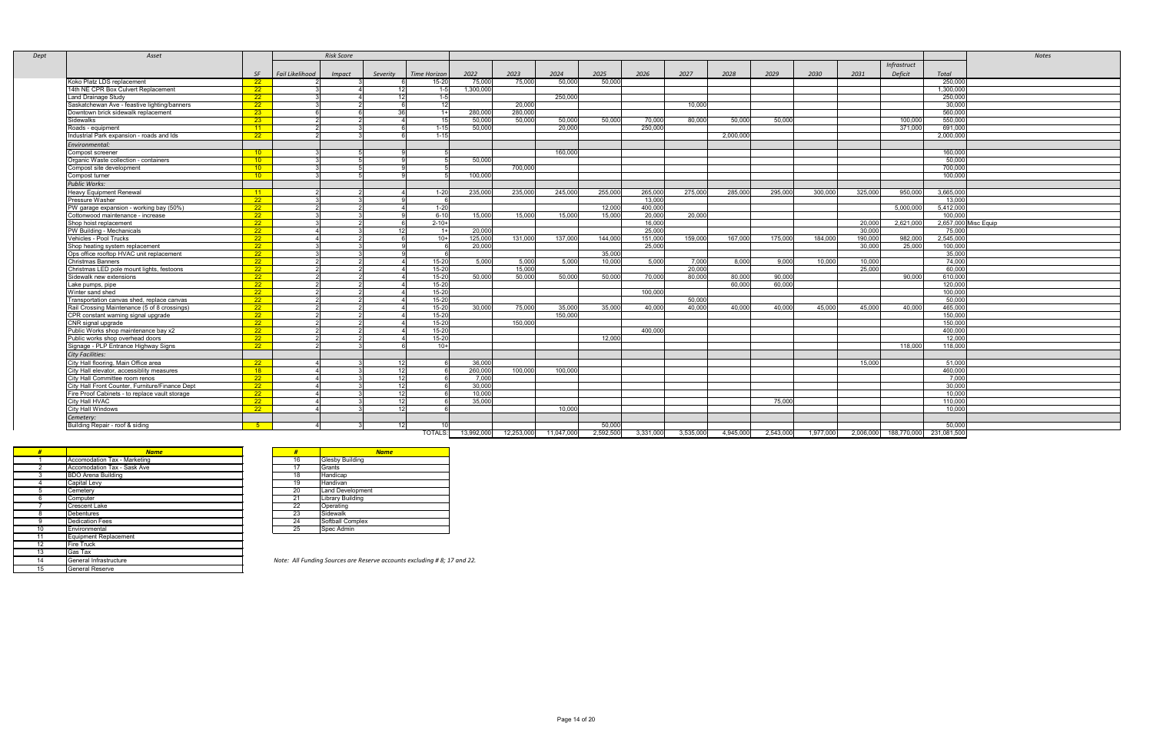| Asset                                           |                 |                 | <b>Risk Score</b> |                 |                 |           |         |         |         |         |         |           |         |         |         |             |           | Notes                |
|-------------------------------------------------|-----------------|-----------------|-------------------|-----------------|-----------------|-----------|---------|---------|---------|---------|---------|-----------|---------|---------|---------|-------------|-----------|----------------------|
|                                                 |                 |                 |                   |                 |                 |           |         |         |         |         |         |           |         |         |         | Infrastruct |           |                      |
|                                                 | SF              | Fail Likelihood | Impact            | Severity        | Time Horizon    | 2022      | 2023    | 2024    | 2025    | 2026    | 2027    | 2028      | 2029    | 2030    | 2031    | Deficit     | Total     |                      |
| Koko Platz LDS replacement                      | 22              |                 |                   |                 | $15 - 20$       | 75,000    | 75,000  | 50,000  | 50,000  |         |         |           |         |         |         |             | 250,000   |                      |
| 14th NE CPR Box Culvert Replacement             | 22              |                 |                   | 12              | 1-5             | 1,300,000 |         |         |         |         |         |           |         |         |         |             | 1,300,000 |                      |
| Land Drainage Study                             | $\overline{22}$ |                 |                   | 12              | $1 - 5$         |           |         | 250,000 |         |         |         |           |         |         |         |             | 250,000   |                      |
| Saskatchewan Ave - feastive lighting/banners    | 22              |                 |                   |                 | 12 <sup>1</sup> |           | 20,000  |         |         |         | 10,000  |           |         |         |         |             | 30,000    |                      |
| Downtown brick sidewalk replacement             | $23 -$          |                 |                   | วด              | $1+$            | 280,000   | 280,000 |         |         |         |         |           |         |         |         |             | 560,000   |                      |
| Sidewalks                                       | $23 -$          |                 |                   |                 | 15 <sup>1</sup> | 50,000    | 50,000  | 50,000  | 50,000  | 70,000  | 80,000  | 50,000    | 50,000  |         |         | 100,000     | 550,000   |                      |
| Roads - equipment                               | 11              |                 |                   |                 | $1 - 15$        | 50,000    |         | 20,000  |         | 250,000 |         |           |         |         |         | 371,000     | 691,000   |                      |
| Industrial Park expansion - roads and Ids       | 22              |                 |                   |                 | $1 - 15$        |           |         |         |         |         |         | 2,000,000 |         |         |         |             | 2,000,000 |                      |
| Environmental:                                  |                 |                 |                   |                 |                 |           |         |         |         |         |         |           |         |         |         |             |           |                      |
| Compost screener                                | $\overline{10}$ |                 |                   |                 |                 |           |         | 160,000 |         |         |         |           |         |         |         |             | 160,000   |                      |
| Organic Waste collection - containers           | 10              |                 |                   |                 |                 | 50,000    |         |         |         |         |         |           |         |         |         |             | 50,000    |                      |
| Compost site development                        | 10              |                 |                   |                 |                 |           | 700,000 |         |         |         |         |           |         |         |         |             | 700,000   |                      |
| Compost turner                                  | $10 -$          |                 |                   |                 |                 | 100,000   |         |         |         |         |         |           |         |         |         |             | 100,000   |                      |
| <b>Public Works:</b>                            |                 |                 |                   |                 |                 |           |         |         |         |         |         |           |         |         |         |             |           |                      |
| Heavy Equipment Renewal                         | 11              |                 |                   |                 | $1 - 20$        | 235,000   | 235,000 | 245,000 | 255,000 | 265,000 | 275,000 | 285,000   | 295,000 | 300,000 | 325,000 | 950,000     | 3,665,000 |                      |
| Pressure Washer                                 | $\overline{22}$ |                 |                   |                 |                 |           |         |         |         | 13,000  |         |           |         |         |         |             | 13,000    |                      |
| PW garage expansion - working bay (50%)         | 22              |                 |                   |                 | $1 - 20$        |           |         |         | 12,000  | 400,000 |         |           |         |         |         | 5,000,000   | 5,412,000 |                      |
| Cottonwood maintenance - increase               | $\overline{22}$ |                 |                   |                 | $6 - 10$        | 15,000    | 15,000  | 15,000  | 15,000  | 20,000  | 20,000  |           |         |         |         |             | 100,000   |                      |
| Shop hoist replacement                          | 22              |                 |                   |                 | $2 - 10+$       |           |         |         |         | 16,000  |         |           |         |         | 20,000  | 2,621,000   |           | 2,657,000 Misc Equip |
| <b>PW Building - Mechanicals</b>                | 22              |                 |                   |                 | $1 +$           | 20,000    |         |         |         | 25,000  |         |           |         |         | 30,000  |             | 75,000    |                      |
| Vehicles - Pool Trucks                          | $\overline{22}$ |                 |                   |                 | $10+$           | 125,000   | 131,000 | 137,000 | 144,000 | 151,000 | 159,000 | 167,000   | 175,000 | 184,000 | 190,000 | 982,000     | 2,545,000 |                      |
| Shop heating system replacement                 | 22              |                 |                   |                 |                 | 20,000    |         |         |         | 25,000  |         |           |         |         | 30,000  | 25,000      | 100,000   |                      |
| Ops office rooftop HVAC unit replacement        | 22              |                 |                   |                 |                 |           |         |         | 35,000  |         |         |           |         |         |         |             | 35,000    |                      |
| <b>Christmas Banners</b>                        | 22              |                 |                   |                 | $15 - 20$       | 5,000     | 5,000   | 5,000   | 10,000  | 5,000   | 7,000   | 8,000     | 9,000   | 10,000  | 10,000  |             | 74,000    |                      |
| Christmas LED pole mount lights, festoons       | $22 -$          |                 |                   |                 | $15 - 20$       |           | 15,000  |         |         |         | 20,000  |           |         |         | 25,000  |             | 60,000    |                      |
| Sidewalk new extensions                         | 22              |                 |                   |                 | $15 - 20$       | 50,000    | 50,000  | 50,000  | 50,000  | 70,000  | 80,000  | 80,000    | 90,000  |         |         | 90,000      | 610,000   |                      |
| Lake pumps, pipe                                | $\overline{22}$ |                 |                   |                 | $15-20$         |           |         |         |         |         |         | 60,000    | 60,000  |         |         |             | 120,000   |                      |
| Winter sand shed                                | 22              |                 |                   |                 | $15 - 20$       |           |         |         |         | 100,000 |         |           |         |         |         |             | 100,000   |                      |
| Transportation canvas shed, replace canvas      | $\overline{22}$ |                 |                   |                 | $15 - 20$       |           |         |         |         |         | 50,000  |           |         |         |         |             | 50,000    |                      |
| Rail Crossing Maintenance (5 of 8 crossings)    | 22 <sub>2</sub> |                 |                   |                 | $15 - 20$       | 30,000    | 75,000  | 35,000  | 35,000  | 40,000  | 40,000  | 40,000    | 40,000  | 45,000  | 45,000  | 40,000      | 465,000   |                      |
| CPR constant warning signal upgrade             | 22              |                 |                   |                 | $15 - 20$       |           |         | 150,000 |         |         |         |           |         |         |         |             | 150,000   |                      |
| CNR signal upgrade                              | $22 -$          |                 |                   |                 | $15-20$         |           | 150,000 |         |         |         |         |           |         |         |         |             | 150,000   |                      |
| Public Works shop maintenance bay x2            | $\overline{22}$ |                 |                   |                 | $15 - 20$       |           |         |         |         | 400,000 |         |           |         |         |         |             | 400,000   |                      |
| Public works shop overhead doors                | 22              |                 |                   |                 | $15-20$         |           |         |         | 12,000  |         |         |           |         |         |         |             | 12,000    |                      |
| Signage - PLP Entrance Highway Signs            | $\overline{22}$ |                 |                   |                 | $10+$           |           |         |         |         |         |         |           |         |         |         | 118,000     | 118,000   |                      |
| <b>City Facilities:</b>                         |                 |                 |                   |                 |                 |           |         |         |         |         |         |           |         |         |         |             |           |                      |
| City Hall flooring, Main Office area            | 22              |                 |                   | 12              |                 | 36,000    |         |         |         |         |         |           |         |         | 15,000  |             | 51,000    |                      |
| City Hall elevator, accessiblity measures       | 18              |                 |                   | 12              |                 | 260,000   | 100,000 | 100,000 |         |         |         |           |         |         |         |             | 460,000   |                      |
| City Hall Committee room renos                  | $\overline{22}$ |                 |                   | 12              |                 | 7,000     |         |         |         |         |         |           |         |         |         |             | 7,000     |                      |
| City Hall Front Counter, Furniture/Finance Dept | $\overline{22}$ |                 |                   | 12 <sup>1</sup> |                 | 30,000    |         |         |         |         |         |           |         |         |         |             | 30,000    |                      |
| Fire Proof Cabinets - to replace vault storage  | $\overline{22}$ |                 |                   | 12              |                 | 10,000    |         |         |         |         |         |           |         |         |         |             | 10,000    |                      |
| <b>City Hall HVAC</b>                           | $\overline{22}$ |                 |                   | 12 <sup>1</sup> |                 | 35,000    |         |         |         |         |         |           | 75,000  |         |         |             | 110,000   |                      |
| <b>City Hall Windows</b>                        | 22              |                 |                   | 12              |                 |           |         | 10,000  |         |         |         |           |         |         |         |             | 10,000    |                      |
| Cemetery:                                       |                 |                 |                   |                 |                 |           |         |         |         |         |         |           |         |         |         |             |           |                      |
| Building Repair - roof & siding                 | 5 <sup>5</sup>  |                 |                   | 12 <sup>1</sup> | 10              |           |         |         | 50,000  |         |         |           |         |         |         |             | 50,000    |                      |

| #  | <b>Name</b>                        | #  | <b>Name</b>                                |
|----|------------------------------------|----|--------------------------------------------|
|    | Accomodation Tax - Marketing       | 16 | <b>Glesby Building</b>                     |
| 2  | <b>Accomodation Tax - Sask Ave</b> | 17 | Grants                                     |
| 3  | <b>BDO Arena Building</b>          | 18 | Handicap                                   |
| 4  | Capital Levy                       | 19 | Handivan                                   |
| 5  | Cemetery                           | 20 | <b>Land Development</b>                    |
| 6  | Computer                           | 21 | <b>Library Building</b>                    |
|    | <b>Crescent Lake</b>               | 22 | Operating                                  |
| 8  | <b>Debentures</b>                  | 23 | Sidewalk                                   |
| 9  | <b>Dedication Fees</b>             | 24 | Softball Complex                           |
| 10 | Environmental                      | 25 | Spec Admin                                 |
| 11 | Equipment Replacement              |    |                                            |
| 12 | <b>Fire Truck</b>                  |    |                                            |
| 13 | Gas Tax                            |    |                                            |
| 14 | General Infrastructure             |    | Note: All Funding Sources are Reserve acco |
| 15 | <b>General Reserve</b>             |    |                                            |

| #  | <b>Name</b>             |
|----|-------------------------|
| 16 | <b>Glesby Building</b>  |
| 17 | Grants                  |
| 18 | Handicap                |
| 19 | Handivan                |
| 20 | <b>Land Development</b> |
| 21 | <b>Library Building</b> |
| 22 | Operating               |
| 23 | Sidewalk                |
| 24 | Softball Complex        |
| 25 | Spec Admin              |

Note: All Funding Sources are Reserve accounts excluding # 8; 17 and 22.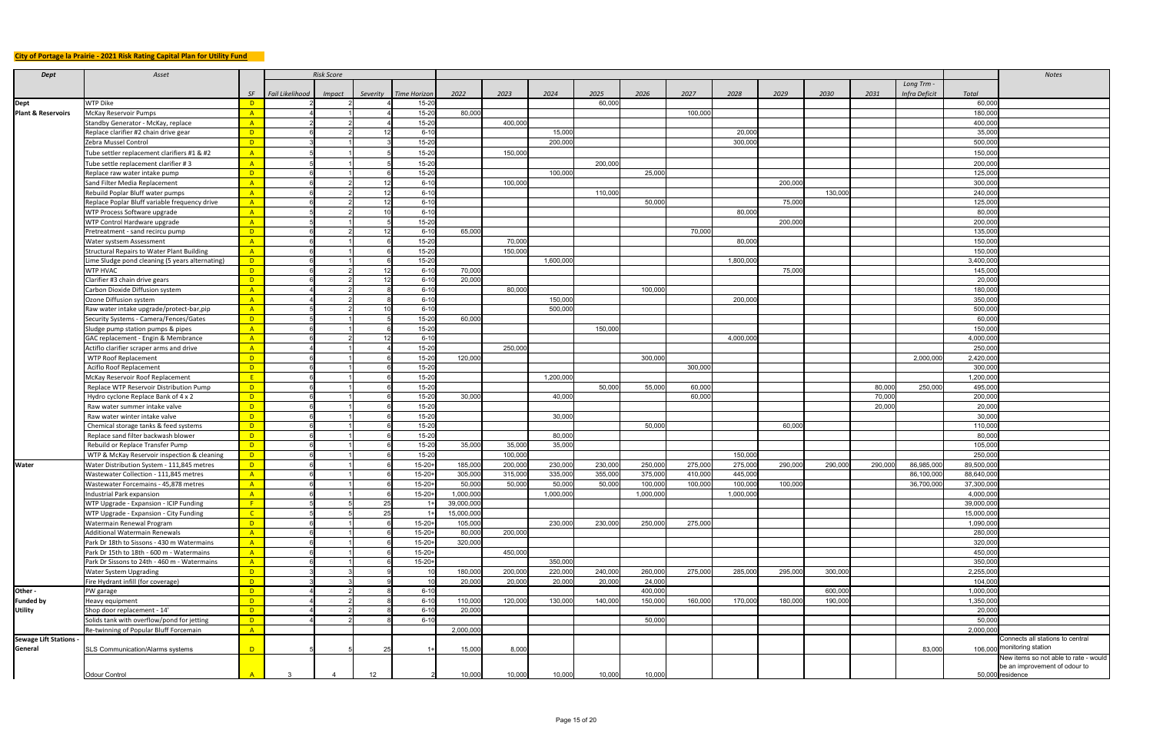## **City of Portage la Prairie - 2021 Risk Rating Capital Plan for Utility Fund**

| <b>Dept</b>                   | Asset                                                                                   |                     |                 | <b>Risk Score</b> |                 |                            |                   |                   |           |         |           |         |           |         |         |                  |               |                    | Notes                                                               |
|-------------------------------|-----------------------------------------------------------------------------------------|---------------------|-----------------|-------------------|-----------------|----------------------------|-------------------|-------------------|-----------|---------|-----------|---------|-----------|---------|---------|------------------|---------------|--------------------|---------------------------------------------------------------------|
|                               |                                                                                         |                     |                 |                   |                 |                            |                   |                   |           |         |           |         |           |         |         |                  | Long Trm -    |                    |                                                                     |
|                               |                                                                                         | SF                  | Fail Likelihood | Impact            | Severity        | Time Horizon               | 2022              | 2023              | 2024      | 2025    | 2026      | 2027    | 2028      | 2029    | 2030    | 2031             | Infra Deficit | Total              |                                                                     |
| Dept                          | <b>WTP Dike</b>                                                                         | $\overline{D}$      |                 |                   |                 | $15 - 20$                  |                   |                   |           | 60,000  |           |         |           |         |         |                  |               | 60,000             |                                                                     |
| <b>Plant &amp; Reservoirs</b> | McKay Reservoir Pumps                                                                   | A                   |                 |                   |                 | $15 - 20$                  | 80,000            |                   |           |         |           | 100,000 |           |         |         |                  |               | 180,000            |                                                                     |
|                               | Standby Generator - McKay, replace                                                      | A                   |                 |                   |                 | $15 - 20$                  |                   | 400,000           |           |         |           |         |           |         |         |                  |               | 400,000            |                                                                     |
|                               | Replace clarifier #2 chain drive gear                                                   | $\overline{D}$      |                 |                   |                 | $6 - 10$                   |                   |                   | 15,000    |         |           |         | 20,000    |         |         |                  |               | 35,000             |                                                                     |
|                               | Zebra Mussel Control                                                                    | $\mathsf{D}$        |                 |                   |                 | $15 - 20$                  |                   |                   | 200,000   |         |           |         | 300,000   |         |         |                  |               | 500,000            |                                                                     |
|                               | Tube settler replacement clarifiers #1 & #2                                             | A                   |                 |                   |                 | $15 - 20$                  |                   | 150,000           |           |         |           |         |           |         |         |                  |               | 150,000            |                                                                     |
|                               | Tube settle replacement clarifier #3                                                    | A                   |                 |                   |                 | $15 - 20$                  |                   |                   |           | 200,000 |           |         |           |         |         |                  |               | 200,000            |                                                                     |
|                               | Replace raw water intake pump                                                           | D                   |                 |                   |                 | $15-20$                    |                   |                   | 100,000   |         | 25,000    |         |           |         |         |                  |               | 125,000            |                                                                     |
|                               | Sand Filter Media Replacement                                                           | A                   |                 |                   |                 | $6 - 10$                   |                   | 100,000           |           |         |           |         |           | 200,000 |         |                  |               | 300,000            |                                                                     |
|                               | Rebuild Poplar Bluff water pumps                                                        | A                   |                 |                   |                 | $6 - 10$                   |                   |                   |           | 110,000 |           |         |           |         | 130,000 |                  |               | 240,000            |                                                                     |
|                               | Replace Poplar Bluff variable frequency drive                                           | A                   |                 |                   |                 | $6 - 10$                   |                   |                   |           |         | 50,000    |         |           | 75,000  |         |                  |               | 125,000            |                                                                     |
|                               | WTP Process Software upgrade                                                            | A                   |                 |                   |                 | $6 - 10$                   |                   |                   |           |         |           |         | 80,000    |         |         |                  |               | 80,000             |                                                                     |
|                               | WTP Control Hardware upgrade                                                            | A                   |                 |                   |                 | $15 - 20$                  |                   |                   |           |         |           |         |           | 200,000 |         |                  |               | 200,000            |                                                                     |
|                               | Pretreatment - sand recircu pump                                                        | $\overline{D}$      |                 |                   |                 | $6 - 10$<br>$15 - 20$      | 65,000            |                   |           |         |           | 70,000  |           |         |         |                  |               | 135,000            |                                                                     |
|                               | Water systsem Assessment<br>Structural Repairs to Water Plant Building                  | $\overline{A}$<br>A |                 |                   |                 | $15 - 20$                  |                   | 70,000<br>150,000 |           |         |           |         | 80,000    |         |         |                  |               | 150,000<br>150,000 |                                                                     |
|                               | Lime Sludge pond cleaning (5 years alternating)                                         | $\Box$              |                 |                   |                 | $15 - 20$                  |                   |                   | 1,600,000 |         |           |         | 1,800,000 |         |         |                  |               | 3,400,000          |                                                                     |
|                               | <b>WTP HVAC</b>                                                                         | D                   |                 |                   |                 | $6 - 10$                   | 70,000            |                   |           |         |           |         |           | 75,000  |         |                  |               | 145,000            |                                                                     |
|                               | Clarifier #3 chain drive gears                                                          | $\overline{D}$      |                 |                   |                 | $6 - 10$                   | 20,000            |                   |           |         |           |         |           |         |         |                  |               | 20,000             |                                                                     |
|                               | Carbon Dioxide Diffusion system                                                         | $\overline{A}$      |                 |                   |                 | $6 - 10$                   |                   | 80,000            |           |         | 100,000   |         |           |         |         |                  |               | 180,000            |                                                                     |
|                               | Ozone Diffusion system                                                                  | $\overline{A}$      |                 |                   |                 | $6 - 10$                   |                   |                   | 150,000   |         |           |         | 200,000   |         |         |                  |               | 350,000            |                                                                     |
|                               | Raw water intake upgrade/protect-bar, pip                                               | A                   |                 |                   |                 | $6 - 10$                   |                   |                   | 500,000   |         |           |         |           |         |         |                  |               | 500,000            |                                                                     |
|                               | Security Systems - Camera/Fences/Gates                                                  | $\overline{D}$      |                 |                   |                 | $15 - 20$                  | 60,000            |                   |           |         |           |         |           |         |         |                  |               | 60,000             |                                                                     |
|                               | Sludge pump station pumps & pipes                                                       | A                   |                 |                   |                 | $15 - 20$                  |                   |                   |           | 150,000 |           |         |           |         |         |                  |               | 150,000            |                                                                     |
|                               | GAC replacement - Engin & Membrance                                                     | A                   |                 |                   |                 | $6 - 10$                   |                   |                   |           |         |           |         | 4,000,000 |         |         |                  |               | 4,000,000          |                                                                     |
|                               | Actiflo clarifier scraper arms and drive                                                | A                   |                 |                   |                 | $15 - 20$                  |                   | 250,000           |           |         |           |         |           |         |         |                  |               | 250,000            |                                                                     |
|                               | <b>WTP Roof Replacement</b>                                                             | $\mathsf{D}$        |                 |                   |                 | $15 - 20$                  | 120,000           |                   |           |         | 300,000   |         |           |         |         |                  | 2,000,000     | 2,420,000          |                                                                     |
|                               | Aciflo Roof Replacement                                                                 | $\overline{D}$      |                 |                   |                 | $15 - 20$                  |                   |                   |           |         |           | 300,000 |           |         |         |                  |               | 300,000            |                                                                     |
|                               | McKay Reservoir Roof Replacement                                                        | E                   |                 |                   |                 | $15 - 20$                  |                   |                   | 1,200,000 |         |           |         |           |         |         |                  |               | 1,200,000          |                                                                     |
|                               | Replace WTP Reservoir Distribution Pump                                                 | $\overline{D}$      |                 |                   |                 | $15 - 20$                  |                   |                   |           | 50,000  | 55,000    | 60,000  |           |         |         | 80,000           | 250,000       | 495,000            |                                                                     |
|                               | Hydro cyclone Replace Bank of 4 x 2<br>Raw water summer intake valve                    | $\overline{D}$<br>D |                 |                   |                 | $15 - 20$<br>$15 - 20$     | 30,000            |                   | 40,000    |         |           | 60,000  |           |         |         | 70,000<br>20,000 |               | 200,000<br>20,000  |                                                                     |
|                               | Raw water winter intake valve                                                           | D                   |                 |                   |                 | $15 - 20$                  |                   |                   | 30,000    |         |           |         |           |         |         |                  |               | 30,000             |                                                                     |
|                               | Chemical storage tanks & feed systems                                                   | $\overline{D}$      |                 |                   |                 | $15 - 20$                  |                   |                   |           |         | 50,000    |         |           | 60,000  |         |                  |               | 110,000            |                                                                     |
|                               | Replace sand filter backwash blower                                                     | $\overline{D}$      |                 |                   |                 | $15 - 20$                  |                   |                   | 80,000    |         |           |         |           |         |         |                  |               | 80,000             |                                                                     |
|                               | Rebuild or Replace Transfer Pump                                                        | $\overline{D}$      |                 |                   |                 | $15 - 20$                  | 35,000            | 35,000            | 35,000    |         |           |         |           |         |         |                  |               | 105,000            |                                                                     |
|                               | WTP & McKay Reservoir inspection & cleaning                                             | $\overline{D}$      |                 |                   |                 | $15 - 20$                  |                   | 100,000           |           |         |           |         | 150,000   |         |         |                  |               | 250,000            |                                                                     |
| <b>Water</b>                  | Water Distribution System - 111,845 metres                                              | $\overline{D}$      |                 |                   |                 | $15 - 20 +$                | 185,000           | 200,000           | 230,000   | 230,000 | 250,000   | 275,000 | 275,000   | 290,000 | 290,000 | 290,000          | 86,985,000    | 89,500,000         |                                                                     |
|                               | Wastewater Collection - 111,845 metres                                                  | A                   |                 |                   |                 | $15 - 20 +$                | 305,000           | 315,000           | 335,000   | 355,000 | 375,000   | 410,000 | 445,000   |         |         |                  | 86,100,000    | 88,640,00          |                                                                     |
|                               | Wastewater Forcemains - 45,878 metres                                                   | A                   |                 |                   |                 | $15 - 20 +$                | 50,000            | 50,000            | 50,000    | 50,000  | 100,000   | 100,000 | 100,000   | 100,000 |         |                  | 36,700,000    | 37,300,00          |                                                                     |
|                               | Industrial Park expansion                                                               | A                   |                 |                   |                 | $15 - 20 +$                | 1,000,000         |                   | 1,000,000 |         | 1,000,000 |         | 1,000,000 |         |         |                  |               | 4,000,000          |                                                                     |
|                               | WTP Upgrade - Expansion - ICIP Funding                                                  | F                   |                 |                   |                 |                            | 39,000,000        |                   |           |         |           |         |           |         |         |                  |               | 39,000,00          |                                                                     |
|                               | WTP Upgrade - Expansion - City Funding                                                  | $\overline{C}$      |                 |                   | ິດເ             |                            | 15,000,000        |                   |           |         |           |         |           |         |         |                  |               | 15,000,000         |                                                                     |
|                               | <b>Watermain Renewal Program</b>                                                        | $\overline{D}$      |                 |                   |                 | $15 - 20 +$                | 105,000           |                   | 230,000   | 230,000 | 250,000   | 275,000 |           |         |         |                  |               | 1,090,000          |                                                                     |
|                               | Additional Watermain Renewals                                                           | A<br>A              |                 |                   |                 | $15 - 20 +$<br>$15 - 20 +$ | 80,000<br>320,000 | 200,000           |           |         |           |         |           |         |         |                  |               | 280,000<br>320,000 |                                                                     |
|                               | Park Dr 18th to Sissons - 430 m Watermains<br>Park Dr 15th to 18th - 600 m - Watermains | A                   |                 |                   |                 | $15 - 20 +$                |                   | 450,000           |           |         |           |         |           |         |         |                  |               | 450,000            |                                                                     |
|                               | Park Dr Sissons to 24th - 460 m - Watermains                                            | A                   |                 |                   |                 | $15 - 20 +$                |                   |                   | 350,000   |         |           |         |           |         |         |                  |               | 350,000            |                                                                     |
|                               | <b>Water System Upgrading</b>                                                           | $\overline{D}$      |                 |                   |                 |                            | 180,000           | 200,000           | 220,000   | 240,000 | 260,000   | 275,000 | 285,000   | 295,000 | 300,000 |                  |               | 2,255,000          |                                                                     |
|                               | Fire Hydrant infill (for coverage)                                                      | $\overline{D}$      |                 |                   |                 |                            | 20,000            | 20,000            | 20,000    | 20,000  | 24,000    |         |           |         |         |                  |               | 104,00             |                                                                     |
| Other -                       | PW garage                                                                               | $\overline{D}$      |                 |                   |                 | $6 - 10$                   |                   |                   |           |         | 400,000   |         |           |         | 600,000 |                  |               | 1,000,00           |                                                                     |
| <b>Funded by</b>              | Heavy equipment                                                                         | $\mathsf{D}$        |                 |                   |                 | $6 - 10$                   | 110,000           | 120,000           | 130,000   | 140,000 | 150,000   | 160,000 | 170,000   | 180,000 | 190,000 |                  |               | 1,350,00           |                                                                     |
| <b>Utility</b>                | Shop door replacement - 14'                                                             | $\overline{D}$      |                 |                   |                 | $6 - 10$                   | 20,000            |                   |           |         |           |         |           |         |         |                  |               | 20,000             |                                                                     |
|                               | Solids tank with overflow/pond for jetting                                              | $\overline{D}$      |                 |                   |                 | $6 - 10$                   |                   |                   |           |         | 50,000    |         |           |         |         |                  |               | 50,000             |                                                                     |
|                               | Re-twinning of Popular Bluff Forcemain                                                  | A                   |                 |                   |                 |                            | 2,000,000         |                   |           |         |           |         |           |         |         |                  |               | 2,000,000          |                                                                     |
| Sewage Lift Stations .        |                                                                                         |                     |                 |                   |                 |                            |                   |                   |           |         |           |         |           |         |         |                  |               |                    | Connects all stations to central                                    |
| General                       | <b>SLS Communication/Alarms systems</b>                                                 | $\overline{D}$      |                 |                   |                 |                            | 15,000            | 8,000             |           |         |           |         |           |         |         |                  | 83,000        |                    | 106,000 monitoring station<br>New items so not able to rate - would |
|                               |                                                                                         |                     |                 |                   |                 |                            |                   |                   |           |         |           |         |           |         |         |                  |               |                    | be an improvement of odour to                                       |
|                               | Odour Control                                                                           |                     |                 |                   | 12 <sup>°</sup> |                            | 10,000            | 10,000            | 10,000    | 10,000  | 10,000    |         |           |         |         |                  |               |                    | 50,000 residence                                                    |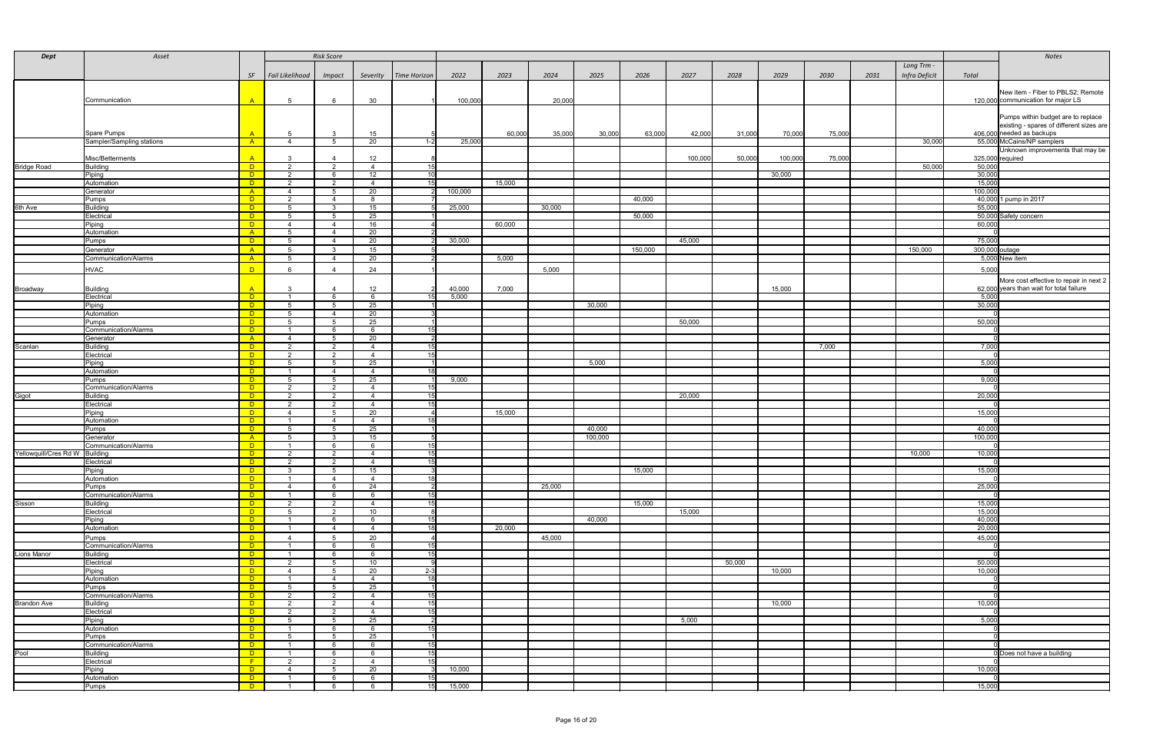| <b>Dept</b>                    | Asset                            |                          |                                  | <b>Risk Score</b> |                      |                                    |         |        |        |         |         |         |        |         |        |      |               |                  | Notes                                    |
|--------------------------------|----------------------------------|--------------------------|----------------------------------|-------------------|----------------------|------------------------------------|---------|--------|--------|---------|---------|---------|--------|---------|--------|------|---------------|------------------|------------------------------------------|
|                                |                                  |                          |                                  |                   |                      |                                    |         |        |        |         |         |         |        |         |        |      | Long Trm -    |                  |                                          |
|                                |                                  | SF                       | Fail Likelihood                  | <b>Impact</b>     | Severity             | <b>Time Horizon</b>                | 2022    | 2023   | 2024   | 2025    | 2026    | 2027    | 2028   | 2029    | 2030   | 2031 | Infra Deficit | Total            |                                          |
|                                |                                  |                          |                                  |                   |                      |                                    |         |        |        |         |         |         |        |         |        |      |               |                  |                                          |
|                                |                                  |                          |                                  |                   |                      |                                    |         |        |        |         |         |         |        |         |        |      |               |                  | New item - Fiber to PBLS2; Remote        |
|                                | Communication                    | A                        | -5                               |                   | 30                   |                                    | 100,000 |        | 20,000 |         |         |         |        |         |        |      |               |                  | 120,000 communication for major LS       |
|                                |                                  |                          |                                  |                   |                      |                                    |         |        |        |         |         |         |        |         |        |      |               |                  | Pumps within budget are to replace       |
|                                |                                  |                          |                                  |                   |                      |                                    |         |        |        |         |         |         |        |         |        |      |               |                  | existing - spares of different sizes are |
|                                | Spare Pumps                      |                          | 5.                               |                   | 15                   |                                    |         | 60,000 | 35,000 | 30,000  | 63,000  | 42,000  | 31,000 | 70,000  | 75,000 |      |               |                  | 406,000 needed as backups                |
|                                | Sampler/Sampling stations        | $-A$                     | $\mathbf{\Lambda}$               | -5                | 20                   | $1-2$                              | 25,000  |        |        |         |         |         |        |         |        |      | 30,000        |                  | 55,000 McCains/NP samplers               |
|                                |                                  |                          |                                  |                   |                      |                                    |         |        |        |         |         |         |        |         |        |      |               |                  | Unknown improvements that may be         |
|                                | Misc/Betterments                 | $\mathsf{A}$             |                                  |                   | 12                   |                                    |         |        |        |         |         | 100,000 | 50,000 | 100,000 | 75,000 |      |               |                  | $325,000$ required                       |
| <b>Bridge Road</b>             | Building                         | <b>D</b>                 | $\overline{2}$<br>$\overline{2}$ | 2<br>- 6          | $\overline{4}$<br>12 | 15<br>10                           |         |        |        |         |         |         |        |         |        |      | 50,000        | 50,000<br>30,000 |                                          |
|                                | Piping<br>Automation             | $\Box$ D<br>$\Box$       | $\overline{2}$                   | $\overline{2}$    | $\overline{4}$       | 15                                 |         | 15,000 |        |         |         |         |        | 30,000  |        |      |               | 15,000           |                                          |
|                                | Generator                        | $\mathsf{A}$             |                                  | 5                 | 20                   |                                    | 100,000 |        |        |         |         |         |        |         |        |      |               | 100,000          |                                          |
|                                | Pumps                            | $\Box$                   | ົາ                               |                   | -8                   |                                    |         |        |        |         | 40,000  |         |        |         |        |      |               |                  | 40,000 1 pump in 2017                    |
| 6th Ave                        | Building                         | $\Box$                   | -5                               | - 3               | 15                   |                                    | 25,000  |        | 30,000 |         |         |         |        |         |        |      |               | 55,000           |                                          |
|                                | Electrical                       | <b>D</b>                 | -5                               | - 5               | 25                   |                                    |         |        |        |         | 50,000  |         |        |         |        |      |               |                  | 50,000 Safety concern                    |
|                                | Piping                           | $\Box$ D                 |                                  | $\overline{4}$    | 16                   |                                    |         | 60,000 |        |         |         |         |        |         |        |      |               | 60,000           |                                          |
|                                | Automation                       | A                        | .5                               | $\overline{4}$    | 20                   |                                    |         |        |        |         |         |         |        |         |        |      |               |                  |                                          |
|                                | Pumps                            | $\Box$ D                 |                                  |                   | 20                   |                                    | 30,000  |        |        |         |         | 45,000  |        |         |        |      |               | 75,000           |                                          |
|                                | Generator                        | A                        | Б.<br>5                          | ູ                 | 15                   |                                    |         |        |        |         | 150,000 |         |        |         |        |      | 150,000       |                  | 300,000 outage                           |
|                                | <b>Communication/Alarms</b>      | A                        |                                  |                   | 20                   |                                    |         | 5,000  |        |         |         |         |        |         |        |      |               |                  | 5,000 New item                           |
|                                | <b>HVAC</b>                      | $\overline{D}$           |                                  |                   | 24                   |                                    |         |        | 5,000  |         |         |         |        |         |        |      |               | 5,000            |                                          |
|                                |                                  |                          |                                  |                   |                      |                                    |         |        |        |         |         |         |        |         |        |      |               |                  | More cost effective to repair in next 2  |
| Broadway                       | Building                         | $\mathsf{A}$             |                                  |                   | 12                   |                                    | 40,000  | 7,000  |        |         |         |         |        | 15,000  |        |      |               |                  | 62,000 years than wait for total failure |
|                                | Electrical                       | $\blacksquare$ D         |                                  |                   |                      | 15I                                | 5,000   |        |        |         |         |         |        |         |        |      |               | 5,000            |                                          |
|                                | Piping                           | $\Box$ D                 |                                  |                   | 25                   |                                    |         |        |        | 30,000  |         |         |        |         |        |      |               | 30,000           |                                          |
|                                | Automation<br>Pumps              | $\Box$<br>$\Box$         |                                  |                   | 20<br>25             |                                    |         |        |        |         |         | 50,000  |        |         |        |      |               | 50,000           |                                          |
|                                | Communication/Alarms             | $\Box$                   |                                  |                   |                      | 15 <sup>1</sup>                    |         |        |        |         |         |         |        |         |        |      |               |                  |                                          |
|                                | Generator                        | $\mathsf{A}$             |                                  |                   | 20                   |                                    |         |        |        |         |         |         |        |         |        |      |               |                  |                                          |
| Scanlan                        | Building                         | $\Box$                   |                                  |                   |                      | 15                                 |         |        |        |         |         |         |        |         | 7,000  |      |               | 7,000            |                                          |
|                                | Electrical                       | $\overline{D}$           | ົດ                               | $\overline{2}$    |                      | 15 <sup>1</sup>                    |         |        |        |         |         |         |        |         |        |      |               |                  |                                          |
|                                | Piping                           | $\Box$                   |                                  |                   | 25                   |                                    |         |        |        | 5,000   |         |         |        |         |        |      |               | 5,000            |                                          |
|                                | Automation                       | $\Box$ D                 |                                  |                   | - 4                  | 18I                                |         |        |        |         |         |         |        |         |        |      |               |                  |                                          |
|                                | Pumps<br>Communication/Alarms    | $\Box$<br>$\Box$         | $\overline{2}$                   | $\overline{2}$    | 25<br>4              | 15                                 | 9,000   |        |        |         |         |         |        |         |        |      |               | 9,000            |                                          |
| Gigot                          | Building                         | $\Box$                   | $\overline{2}$                   | $\overline{2}$    | $\overline{4}$       | 15                                 |         |        |        |         |         | 20,000  |        |         |        |      |               | 20,000           |                                          |
|                                | Electrical                       | $\Box$                   | $\mathcal{D}$                    | $\overline{2}$    | 4                    | 15                                 |         |        |        |         |         |         |        |         |        |      |               |                  |                                          |
|                                | Piping                           | $\Box$                   |                                  | -5                | 20                   |                                    |         | 15,000 |        |         |         |         |        |         |        |      |               | 15,000           |                                          |
|                                | Automation                       | $\Box$                   |                                  |                   | $\overline{4}$       | 18I                                |         |        |        |         |         |         |        |         |        |      |               |                  |                                          |
|                                | Pumps                            | $\Box$                   |                                  |                   | $\overline{25}$      |                                    |         |        |        | 40,000  |         |         |        |         |        |      |               | 40,000           |                                          |
|                                | Generator                        | A                        |                                  | ູຈ                | 15                   |                                    |         |        |        | 100,000 |         |         |        |         |        |      |               | 100,000          |                                          |
| Yellowquill/Cres Rd W Building | Communication/Alarms             | $\Box$ D<br>$\Box$       |                                  | 2                 | -4                   | 15 <sup>1</sup><br>15 <sup>1</sup> |         |        |        |         |         |         |        |         |        |      | 10,000        | 10,000           |                                          |
|                                | Electrical                       | $\Box$                   | ົ                                | 2                 | 4                    | 15 <sup>1</sup>                    |         |        |        |         |         |         |        |         |        |      |               |                  |                                          |
|                                |                                  | $\Box$                   |                                  | -5                | 15                   |                                    |         |        |        |         | 15,000  |         |        |         |        |      |               | 15,000           |                                          |
|                                | Piping<br>Automation             | $\Box$                   |                                  |                   | $\overline{4}$       | 18I                                |         |        |        |         |         |         |        |         |        |      |               |                  |                                          |
|                                | Pumps                            | $\Box$ D                 |                                  | - 6               | 24                   |                                    |         |        | 25,000 |         |         |         |        |         |        |      |               | 25,000           |                                          |
|                                | <b>Communication/Alarms</b>      | $\Box$                   |                                  | - 6               | -6                   | 15                                 |         |        |        |         |         |         |        |         |        |      |               |                  |                                          |
| Sisson                         | Building                         | $\Box$                   | $\overline{2}$                   | $\overline{2}$    | $\overline{4}$       | 15                                 |         |        |        |         | 15,000  |         |        |         |        |      |               | 15,000           |                                          |
|                                | Electrical                       | $\blacksquare$<br>$\Box$ | $5 -$                            | 2<br>6            | 10                   | 15I                                |         |        |        | 40,000  |         | 15,000  |        |         |        |      |               | 15,000<br>40,000 |                                          |
|                                | Piping<br>Automation             | $\Box$                   |                                  |                   | $\overline{4}$       | - 18 I                             |         | 20,000 |        |         |         |         |        |         |        |      |               | 20,000           |                                          |
|                                | Pumps                            | $\overline{D}$           |                                  |                   | 20                   |                                    |         |        | 45,000 |         |         |         |        |         |        |      |               | 45,000           |                                          |
|                                | Communication/Alarms             | $\Box$                   |                                  |                   |                      | 15                                 |         |        |        |         |         |         |        |         |        |      |               |                  |                                          |
| Lions Manor                    | Building                         | $\blacksquare$           |                                  |                   |                      | 15                                 |         |        |        |         |         |         |        |         |        |      |               |                  |                                          |
|                                | Electrical                       | $\Box$                   | ົດ                               |                   | 10                   | $\Omega$                           |         |        |        |         |         |         | 50,000 |         |        |      |               | 50,000           |                                          |
|                                | Piping                           | $\Box$                   |                                  |                   | 20                   | $2-3$                              |         |        |        |         |         |         |        | 10,000  |        |      |               | 10,000           |                                          |
|                                | Automation                       | $\Box$                   |                                  |                   | $\overline{4}$       | -18I                               |         |        |        |         |         |         |        |         |        |      |               |                  |                                          |
|                                | Pumps                            | $\Box$                   |                                  | ົາ                | $\overline{25}$      |                                    |         |        |        |         |         |         |        |         |        |      |               |                  |                                          |
| <b>Brandon Ave</b>             | Communication/Alarms<br>Building | $\Box$ D<br>$\Box$ D     |                                  | $\mathcal{P}$     | $\overline{4}$<br>4  | 15<br>15 <sup>1</sup>              |         |        |        |         |         |         |        | 10,000  |        |      |               | 10,000           |                                          |
|                                | Electrical                       | $\Box$                   | $\Omega$                         | $\mathcal{P}$     | -4                   | 15                                 |         |        |        |         |         |         |        |         |        |      |               |                  |                                          |
|                                | Piping                           | $\Box$                   |                                  |                   | 25                   | - 2                                |         |        |        |         |         | 5,000   |        |         |        |      |               | 5,000            |                                          |
|                                | Automation                       | $\Box$                   |                                  |                   |                      | 15 <sup>1</sup>                    |         |        |        |         |         |         |        |         |        |      |               |                  |                                          |
|                                | Pumps                            | $\mathsf{D}$             |                                  |                   | 25                   |                                    |         |        |        |         |         |         |        |         |        |      |               |                  |                                          |
|                                | Communication/Alarms             | $\Box$                   |                                  |                   |                      | 15                                 |         |        |        |         |         |         |        |         |        |      |               |                  |                                          |
| Pool                           | Building                         | $\Box$                   |                                  |                   | -6                   | 15                                 |         |        |        |         |         |         |        |         |        |      |               |                  | 0 Does not have a building               |
|                                | Electrical                       | F<br>$\Box$              | $\overline{2}$                   | $\overline{2}$    | $\overline{4}$<br>20 | 15                                 | 10,000  |        |        |         |         |         |        |         |        |      |               | 10,000           |                                          |
|                                | Piping<br>Automation             | $\Box$                   |                                  |                   |                      | 15I                                |         |        |        |         |         |         |        |         |        |      |               |                  |                                          |
|                                | Pumps                            | $\Box$                   |                                  | -6                |                      | 15 I                               | 15,000  |        |        |         |         |         |        |         |        |      |               | 15,000           |                                          |
|                                |                                  |                          |                                  |                   |                      |                                    |         |        |        |         |         |         |        |         |        |      |               |                  |                                          |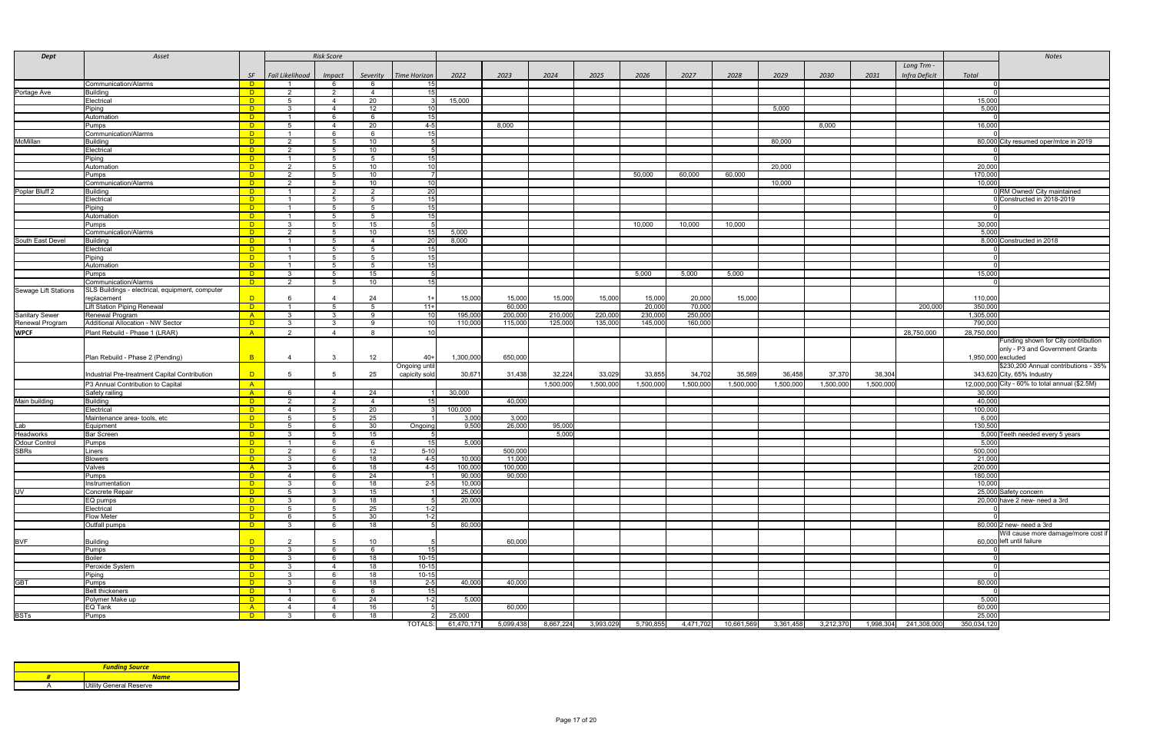| <b>Dept</b>           | Asset                                           |                            |                 | <b>Risk Score</b> |                 |                         |                   |                   |           |           |           |           |            |           |           |           |                      |                    | <b>Notes</b>                                                           |
|-----------------------|-------------------------------------------------|----------------------------|-----------------|-------------------|-----------------|-------------------------|-------------------|-------------------|-----------|-----------|-----------|-----------|------------|-----------|-----------|-----------|----------------------|--------------------|------------------------------------------------------------------------|
|                       |                                                 |                            |                 |                   |                 |                         |                   |                   |           |           |           |           |            |           |           |           | Long Trm -           |                    |                                                                        |
|                       |                                                 | SF                         | Fail Likelihood | <i>Impact</i>     | Severity        | Time Horizon            | 2022              | 2023              | 2024      | 2025      | 2026      | 2027      | 2028       | 2029      | 2030      | 2031      | <b>Infra Deficit</b> | Total              |                                                                        |
|                       | Communication/Alarms                            | <b>D</b>                   |                 |                   | - 6             |                         |                   |                   |           |           |           |           |            |           |           |           |                      |                    |                                                                        |
| Portage Ave           | <b>Building</b>                                 | $\Box$                     |                 |                   |                 | 15                      |                   |                   |           |           |           |           |            |           |           |           |                      |                    |                                                                        |
|                       | Electrical                                      | $\overline{D}$             |                 |                   | 20              |                         | 15,000            |                   |           |           |           |           |            |           |           |           |                      | 15,000             |                                                                        |
|                       | Piping                                          | $\Box$                     |                 |                   | 12              |                         |                   |                   |           |           |           |           |            | 5,000     |           |           |                      | 5,000              |                                                                        |
|                       | Automation                                      | $\Box$                     |                 |                   | - 6             | 15                      |                   |                   |           |           |           |           |            |           |           |           |                      |                    |                                                                        |
|                       | Pumps<br>Communication/Alarms                   | $\Box$                     |                 |                   | 20              | $4-5$<br>1 <sub>E</sub> |                   | 8,000             |           |           |           |           |            |           | 8,000     |           |                      | 16,000             |                                                                        |
| <b>McMillan</b>       | <b>Building</b>                                 | $\Box$ D<br>$\overline{D}$ |                 |                   | - 6<br>10       |                         |                   |                   |           |           |           |           |            | 80,000    |           |           |                      |                    | 80,000 City resumed oper/mtce in 2019                                  |
|                       | Electrical                                      | $\overline{D}$             |                 |                   | 10              |                         |                   |                   |           |           |           |           |            |           |           |           |                      |                    |                                                                        |
|                       | Piping                                          | $\overline{D}$             |                 |                   | -5              | 15                      |                   |                   |           |           |           |           |            |           |           |           |                      |                    |                                                                        |
|                       | Automation                                      | $\overline{D}$             |                 |                   | 10              | 10                      |                   |                   |           |           |           |           |            | 20,000    |           |           |                      | 20,000             |                                                                        |
|                       | Pumps                                           | $\overline{D}$             | ົາ              |                   | 10              |                         |                   |                   |           |           | 50,000    | 60,000    | 60,000     |           |           |           |                      | 170,000            |                                                                        |
|                       | Communication/Alarms                            | $\overline{D}$             | റ               |                   | 10              | 10                      |                   |                   |           |           |           |           |            | 10,000    |           |           |                      | 10,000             |                                                                        |
| Poplar Bluff 2        | <b>Building</b>                                 | $\overline{D}$             |                 |                   | $\overline{2}$  | 20                      |                   |                   |           |           |           |           |            |           |           |           |                      |                    | 0 RM Owned/ City maintained                                            |
|                       | Electrical                                      | $\overline{D}$             |                 |                   | -5              | 1F                      |                   |                   |           |           |           |           |            |           |           |           |                      |                    | Constructed in 2018-2019                                               |
|                       | Piping                                          | $\Box$                     |                 |                   | -5              | 15                      |                   |                   |           |           |           |           |            |           |           |           |                      |                    |                                                                        |
|                       | Automation                                      | $\overline{D}$             |                 | -5                | -5              | 15                      |                   |                   |           |           |           |           |            |           |           |           |                      |                    |                                                                        |
|                       | Pumps<br>Communication/Alarms                   | $\Box$<br>$\overline{D}$   |                 |                   | 15<br>10        |                         | 5,000             |                   |           |           | 10,000    | 10,000    | 10,000     |           |           |           |                      | 30,000<br>5,000    |                                                                        |
| South East Devel      | <b>Building</b>                                 | $\Box$                     |                 |                   |                 | 20                      | 8,000             |                   |           |           |           |           |            |           |           |           |                      |                    | 8,000 Constructed in 2018                                              |
|                       | Electrical                                      | $\Box$ D                   |                 |                   | - 5             |                         |                   |                   |           |           |           |           |            |           |           |           |                      |                    |                                                                        |
|                       | Piping                                          | $\Box$                     |                 |                   | -5              | 15                      |                   |                   |           |           |           |           |            |           |           |           |                      |                    |                                                                        |
|                       | Automation                                      | $\Box$                     |                 |                   | -5              | 15                      |                   |                   |           |           |           |           |            |           |           |           |                      |                    |                                                                        |
|                       | Pumps                                           | <b>D</b>                   | -3              |                   | 15              |                         |                   |                   |           |           | 5,000     | 5,000     | 5,000      |           |           |           |                      | 15,000             |                                                                        |
|                       | Communication/Alarms                            | <b>D</b>                   | ົາ              |                   | 10              |                         |                   |                   |           |           |           |           |            |           |           |           |                      |                    |                                                                        |
| Sewage Lift Stations  | SLS Buildings - electrical, equipment, computer |                            |                 |                   |                 |                         |                   |                   |           |           |           |           |            |           |           |           |                      |                    |                                                                        |
|                       | replacement                                     | $\Box$                     |                 |                   | 24              | $1 +$                   | 15,000            | 15,000            | 15,000    | 15,000    | 15,000    | 20,000    | 15,000     |           |           |           |                      | 110,000            |                                                                        |
|                       | Lift Station Piping Renewal                     | $\Box$                     |                 | — Б               | $5 -$           | $11+$                   |                   | 60,000            |           |           | 20,000    | 70,000    |            |           |           |           | 200,000              | 350,000            |                                                                        |
| <b>Sanitary Sewer</b> | Renewal Program                                 | $-A$                       |                 |                   | -9              | 10 <sup>1</sup>         | 195,000           | 200,000           | 210,000   | 220,000   | 230,000   | 250,000   |            |           |           |           |                      | 1,305,000          |                                                                        |
| Renewal Program       | <b>Additional Allocation - NW Sector</b>        | $\Box$                     |                 |                   | -9              |                         | 110,000           | 115,000           | 125,000   | 135,000   | 145,000   | 160,000   |            |           |           |           |                      | 790,000            |                                                                        |
| <b>WPCF</b>           | Plant Rebuild - Phase 1 (LRAR)                  | A                          |                 |                   | -8              |                         |                   |                   |           |           |           |           |            |           |           |           | 28,750,000           | 28,750,000         |                                                                        |
|                       |                                                 |                            |                 |                   |                 |                         |                   |                   |           |           |           |           |            |           |           |           |                      |                    | Funding shown for City contribution<br>only - P3 and Government Grants |
|                       | Plan Rebuild - Phase 2 (Pending)                | $\overline{B}$             |                 |                   | 12              | $40+$                   | 1,300,000         | 650,000           |           |           |           |           |            |           |           |           |                      | 1,950,000 excluded |                                                                        |
|                       |                                                 |                            |                 |                   |                 | Ongoing until           |                   |                   |           |           |           |           |            |           |           |           |                      |                    | \$230,200 Annual contributions - 35%                                   |
|                       | Industrial Pre-treatment Capital Contribution   | $\Box$                     |                 |                   | 25              | capicity sold           | 30,671            | 31,438            | 32,224    | 33,029    | 33,855    | 34,702    | 35,569     | 36,458    | 37,370    | 38,304    |                      |                    | 343,620 City, 65% Industry                                             |
|                       | P3 Annual Contribution to Capital               | A                          |                 |                   |                 |                         |                   |                   | 1,500,000 | 1,500,000 | 1,500,000 | 1,500,000 | 1,500,000  | 1,500,000 | 1,500,000 | 1,500,000 |                      |                    | 12,000,000 City - 60% to total annual (\$2.5M)                         |
|                       | Safety railing                                  | $\mathsf{A}$               |                 |                   | 24              |                         | 30,000            |                   |           |           |           |           |            |           |           |           |                      | 30,000             |                                                                        |
| Main building         | <b>Building</b>                                 | $\overline{D}$             |                 |                   | $\overline{a}$  |                         |                   | 40,000            |           |           |           |           |            |           |           |           |                      | 40,000             |                                                                        |
|                       | Electrical                                      | $\overline{D}$             |                 |                   | 20              |                         | 100,000           |                   |           |           |           |           |            |           |           |           |                      | 100,000            |                                                                        |
|                       | Maintenance area- tools, etc                    | $\Box$                     |                 |                   | 25              |                         | 3,000             | 3,000             |           |           |           |           |            |           |           |           |                      | 6,000              |                                                                        |
| Lab                   | Equipment                                       | <b>D</b>                   |                 |                   | 30              | Ongoing                 | 9,500             | 26,000            | 95,000    |           |           |           |            |           |           |           |                      | 130,500            |                                                                        |
| <b>Headworks</b>      | <b>Bar Screen</b>                               | $\Box$                     |                 |                   | 15              |                         |                   |                   | 5,000     |           |           |           |            |           |           |           |                      |                    | 5,000 Teeth needed every 5 years                                       |
| Odour Control         | Pumps                                           | $\Box$                     |                 |                   | -6              | 15                      | 5,000             |                   |           |           |           |           |            |           |           |           |                      | 5,000              |                                                                        |
| <b>SBRs</b>           | Liners                                          | $\Box$                     |                 |                   | 12              | $5 - 10$                |                   | 500,000           |           |           |           |           |            |           |           |           |                      | 500,000            |                                                                        |
|                       | <b>Blowers</b><br>Valves                        | $\Box$<br>A                |                 |                   | 18<br>18        | $4-5$<br>$4-5$          | 10,000<br>100,000 | 11,000<br>100,000 |           |           |           |           |            |           |           |           |                      | 21,000<br>200,000  |                                                                        |
|                       | Pumps                                           | $\overline{D}$             |                 |                   | 24              |                         | 90,000            | 90,000            |           |           |           |           |            |           |           |           |                      | 180,000            |                                                                        |
|                       | Instrumentation                                 | $\Box$                     |                 |                   | 18              | $2 - 5$                 | 10,000            |                   |           |           |           |           |            |           |           |           |                      | 10,000             |                                                                        |
| UV                    | Concrete Repair                                 | $\Box$                     |                 |                   | 15              |                         | 25,000            |                   |           |           |           |           |            |           |           |           |                      |                    | 25,000 Safety concern                                                  |
|                       | EQ pumps                                        | $\overline{D}$             |                 |                   | 18              |                         | 20,000            |                   |           |           |           |           |            |           |           |           |                      |                    | 20,000 have 2 new- need a 3rd                                          |
|                       | Electrical                                      | $\overline{D}$             |                 |                   | 25              | $1-2$                   |                   |                   |           |           |           |           |            |           |           |           |                      |                    |                                                                        |
|                       | <b>Flow Meter</b>                               | $\Box$                     |                 |                   | 30              | $1-2$                   |                   |                   |           |           |           |           |            |           |           |           |                      |                    |                                                                        |
|                       | Outfall pumps                                   | $\Box$                     |                 |                   | 18              |                         | 80,000            |                   |           |           |           |           |            |           |           |           |                      |                    | 80,000 2 new- need a 3rd                                               |
|                       |                                                 |                            |                 |                   |                 |                         |                   |                   |           |           |           |           |            |           |           |           |                      |                    | Will cause more damage/more cost if                                    |
| <b>BVF</b>            | <b>Building</b>                                 | $\Box$                     |                 |                   | 10              |                         |                   | 60,000            |           |           |           |           |            |           |           |           |                      |                    | 60,000 left until failure                                              |
|                       | Pumps<br><b>Boiler</b>                          | $\Box$                     |                 |                   | - 6             | 15<br>$10 - 15$         |                   |                   |           |           |           |           |            |           |           |           |                      |                    |                                                                        |
|                       | Peroxide System                                 | $\Box$<br><b>D</b>         |                 |                   | 18<br>18        | $10-15$                 |                   |                   |           |           |           |           |            |           |           |           |                      |                    |                                                                        |
|                       | Piping                                          | $\overline{D}$             |                 |                   | 18              | $10-15$                 |                   |                   |           |           |           |           |            |           |           |           |                      |                    |                                                                        |
| <b>GBT</b>            | Pumps                                           | $\overline{D}$             |                 |                   | 18              | $2 - 5$                 | 40,000            | 40,000            |           |           |           |           |            |           |           |           |                      | 80,000             |                                                                        |
|                       | <b>Belt thickeners</b>                          | $\Box$                     |                 |                   | - 6             | 15                      |                   |                   |           |           |           |           |            |           |           |           |                      |                    |                                                                        |
|                       | Polymer Make up                                 | $\overline{D}$             |                 |                   | $\overline{24}$ | $1 - 2$                 | 5,000             |                   |           |           |           |           |            |           |           |           |                      | 5,000              |                                                                        |
|                       | EQ Tank                                         | A                          |                 |                   | 16              |                         |                   | 60,000            |           |           |           |           |            |           |           |           |                      | 60,000             |                                                                        |
| <b>BSTs</b>           | Pumps                                           | $\Box$ D                   |                 |                   | 18              |                         | 25,000            |                   |           |           |           |           |            |           |           |           |                      | 25,000             |                                                                        |
|                       |                                                 |                            |                 |                   |                 | <b>TOTALS:</b>          | 61,470,171        | 5,099,438         | 8,667,224 | 3,993,029 | 5,790,855 | 4,471,702 | 10,661,569 | 3,361,458 | 3,212,370 | 1,998,304 | 241,308,000          | 350,034,120        |                                                                        |

| <b>Funding Source</b>   |
|-------------------------|
| <b>Name</b>             |
| Utility General Reserve |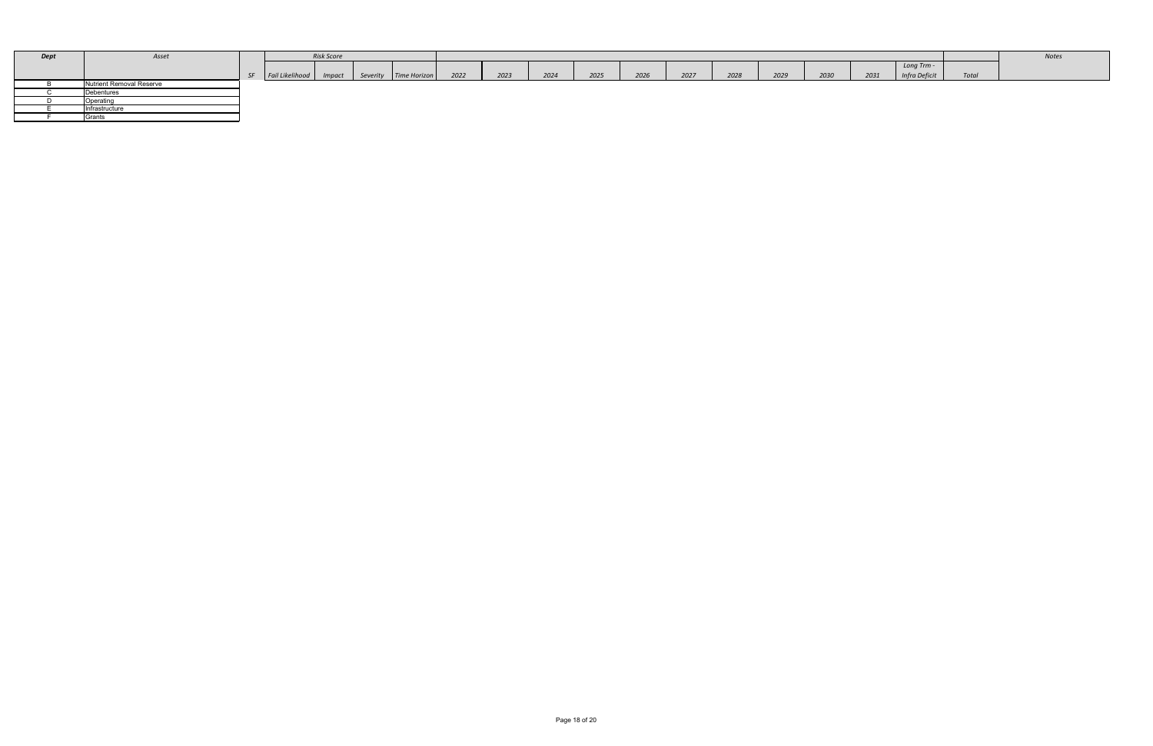| <b>Dept</b> | Asset                           |         |                          | <b>Risk Score</b> |                         |      |      |      |      |      |      |      |      |      |      |                      |       | Notes |
|-------------|---------------------------------|---------|--------------------------|-------------------|-------------------------|------|------|------|------|------|------|------|------|------|------|----------------------|-------|-------|
|             |                                 |         |                          |                   |                         |      |      |      |      |      |      |      |      |      |      | Long Trm -           |       |       |
|             |                                 | $\zeta$ | Fail Likelihood   Impact |                   | Severity   Time Horizon | 2022 | 2023 | 2024 | 2025 | 2026 | 2027 | 2028 | 2029 | 2030 | 2031 | <b>Infra Deficit</b> | Total |       |
|             | <b>Nutrient Removal Reserve</b> |         |                          |                   |                         |      |      |      |      |      |      |      |      |      |      |                      |       |       |
|             | Debentures                      |         |                          |                   |                         |      |      |      |      |      |      |      |      |      |      |                      |       |       |
|             | Operating                       |         |                          |                   |                         |      |      |      |      |      |      |      |      |      |      |                      |       |       |
|             | Infrastructure                  |         |                          |                   |                         |      |      |      |      |      |      |      |      |      |      |                      |       |       |
|             | Grants                          |         |                          |                   |                         |      |      |      |      |      |      |      |      |      |      |                      |       |       |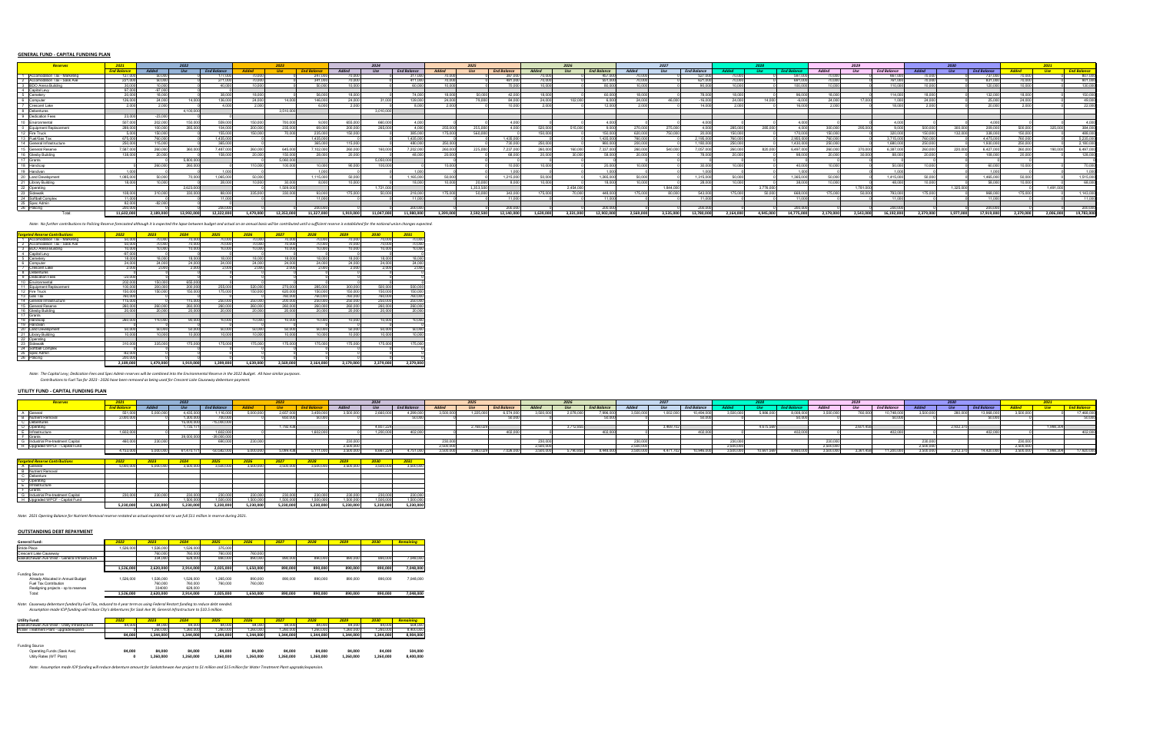# **GENERAL FUND - CAPITAL FUNDING PLAN**

| Reserves                      | 2021               |              |               |                    |              |               |                    |              | 2024          |                    |              | 2025       |                    |         | 2026      |                                        |           | 2027          |                    |           |           |                   |         | 2029      |                    |          |               |                    |           |           |                    |
|-------------------------------|--------------------|--------------|---------------|--------------------|--------------|---------------|--------------------|--------------|---------------|--------------------|--------------|------------|--------------------|---------|-----------|----------------------------------------|-----------|---------------|--------------------|-----------|-----------|-------------------|---------|-----------|--------------------|----------|---------------|--------------------|-----------|-----------|--------------------|
|                               | <b>End Balance</b> | <b>Added</b> |               | <b>End Balance</b> | <b>Inded</b> |               | <b>Fnd Balance</b> | <b>Added</b> | $\frac{1}{5}$ | <b>End Balance</b> | <b>Added</b> | <b>Use</b> | <b>End Balance</b> | hahhA   |           | <b>End Balance</b>                     | hahhA     | $\frac{1}{5}$ | <b>End Balance</b> |           |           | <b>End Baland</b> | Added   |           | <b>End Balance</b> |          | $\frac{1}{2}$ | <b>End Balance</b> |           |           | <b>End Balance</b> |
| comodation Tax - Marketing    |                    |              |               |                    |              |               |                    |              |               |                    |              |            |                    |         |           |                                        |           |               |                    |           |           | -597.00           |         |           |                    |          |               |                    |           |           | 807.000            |
| Accomodation Tax - Sask Ave   |                    |              |               |                    |              |               |                    |              |               | 411 N              |              |            | 481 O              |         |           |                                        |           |               |                    |           |           | - 691 000         |         |           |                    |          |               |                    |           |           | 901.000            |
| <b>BDO Arena Building</b>     |                    |              |               | 40 N               |              |               |                    |              |               |                    |              |            |                    |         |           |                                        |           |               |                    |           |           | - 100 00          |         |           |                    |          |               |                    |           |           | 130,000            |
| Capital Levy<br>Cemetery      |                    |              |               |                    |              |               |                    |              |               |                    |              |            |                    |         |           |                                        |           |               |                    |           |           |                   |         |           |                    |          |               |                    |           |           |                    |
|                               |                    |              |               |                    |              |               |                    |              |               |                    |              |            | -42.000            |         |           |                                        |           |               |                    |           |           | 96.000            |         |           |                    |          |               |                    |           |           | 150.000            |
| Computer                      | 126,000            | 24.000       | 14 000        | 136.000            | 24,000       | 14 000 L      | 146,000            | 24.000       | 31.000        | 139,000            | 24.000       | 79.000     | 84.000             | 24,000  | 102.000   |                                        | 24.000    | 46.000        | $-16.00($          | 24.000    | 14 000 I  | $-6.000$          | 24,000  | 17 በበበ    |                    |          |               | 25 U               | 24 NNN    |           | 49,000             |
| <b>Crescent Lake</b>          |                    |              |               | 4.000              | 2. UU        |               |                    | 2000         |               |                    | זחה נ        |            | 10,000             |         |           | וחח כ                                  | 2 UUU C   |               | 14 <sub>0</sub>    |           |           | 16.000L           |         |           | <b>R OO</b>        |          |               |                    | זחה נ     |           | 22,000             |
| Debentures                    |                    |              | 4.100.000     |                    |              | 3.510.000     |                    |              | 3.010.000     |                    |              |            |                    |         |           |                                        |           |               |                    |           |           |                   |         |           |                    |          |               |                    |           |           |                    |
| Dedication Fees               | າາ ທ               |              |               |                    |              |               |                    |              |               |                    |              |            |                    |         |           |                                        |           |               |                    |           |           |                   |         |           |                    |          |               |                    |           |           |                    |
| Environmental                 | 507.00             |              |               | 559.00             | 150.00       | 700           |                    | 655,000      | 660.00        |                    |              |            | <b>4 UUU</b>       |         |           |                                        |           |               |                    |           |           | 4.000             |         |           |                    |          |               |                    |           |           | 4.000              |
| <b>I Equipment Replaceme</b>  | 289,000            | -100 000     | 285,000       | 104.000            | -200.000     | 235.000       |                    | 200.000      | 265,000       |                    | 255.000      | 255.000    | ⊿ ∩∩∩ I            | 520.000 | 515.000   |                                        | 270 DOOL  | 275.000       |                    | -285.0001 | 285.000   | 4.000 L           | -300.00 | 295,000   |                    | 500,000  | 300.000       | 209,00             | - 500.000 | 325,000   | 384,000            |
| 2 Fire Truck                  | - 5 000            | 150.000      |               | 155.000            | 150.000      | - 70.000 l    | 235,000            | 150.000      |               | 385,000            | 175.0001     | 560.000    |                    | 150,000 |           | 150.000                                | 620,000   | 750.000       | 20.00              | 150.000   |           | 170,000           | 150.000 |           | 320,000            | 150,000  | 132,000       | 338,000            | 150.000   |           | 488,000            |
| Fuel/Gas Tax                  | 675.00             | ו חמם ח      |               | 1.435.000          |              |               | 1 435 000          |              |               | 1 435 000          |              |            | 1.435.000          |         |           | 1 435 000                              | 760 000 I |               | 2.195.00           | וממם מ    |           | 2.955.000         | 760.00  |           | 3 715 000          | 760 0001 |               | 4.475.00           | וחחח חה   |           | 5,235,000          |
| <b>Seneral Infrastructure</b> | 250,000            | 115 000      |               | 365,000            |              |               | 365,000            | 115 000 l    |               | 480.000            | 250,000      |            | 730.000            | 250,00  |           | 980,000                                | 200 000T  |               | 1 180 000          | 250,000   |           | 1 430 000         | 250,000 |           | 1.680.000          | 250.000  |               | 1.930.00           | 250,000   |           | 2,180,000          |
| <b>General Reserve</b>        | 7.587.00           | 260.0001     | 360 000.      | 7 487 000          | 260,000      | 645.000       | 102.000            | 260.000      | 160.00        | 7.202.000          | ି 260 000।   | 225 NNO    | 7.237.000          | 260.00  | 160.000   | ' 337 000                              | 260.000   | 540.000       | 7.057.00           | 260.0001  | 820.000   | 6 497 000         | 260.00  |           | 6.387.00           | 260 000  | 22N NNN       | 6.427.00           | 260.0001  | 190.000   | 6,497,000          |
| <b>Glesby Building</b>        | 138.000            |              |               | 158 000            |              | 150,000       |                    | ንበ በበበ       |               | 48.OO              |              |            | 68.000             |         |           |                                        |           |               |                    |           |           | 98.000            |         |           |                    |          |               | 108.00             |           |           | 128,000            |
| ່ IGrants                     |                    |              | - 5.800.00    |                    |              | 5.060.000     |                    |              | - 5.050.000   |                    |              |            |                    |         |           |                                        |           |               |                    |           |           |                   |         |           |                    |          |               |                    |           |           |                    |
| 18 Handicap                   |                    | 260.000      | 260.000       |                    | 110.000      | 100.000       |                    | an nnn I     | 100.000       |                    | nn nnn 1     |            | 10.000 L           | 10.00   |           |                                        |           |               |                    |           |           | 40.0001           | 10.00   |           |                    |          |               |                    |           |           | 70,000             |
| Handivan                      | 1.000              |              |               | 1.000 L            |              |               |                    |              |               |                    |              |            | 1.000 L            |         |           |                                        |           |               |                    |           |           | 1.000             |         |           |                    |          |               |                    |           |           | 1.000              |
| Land Developmer               | 1.085.000          | 50 000 l     |               | 1 065 000          | 50.000       |               |                    | 50 000 L     |               | 1.165.000          | 50,000       |            | 1.215.000          |         |           | 1 265 000                              | so ooot   |               | 1.315.000          | 50 000I   |           | 1.365.000         | 50 Q    |           | 1.415.000          |          |               | 1.465.00           | וחחח הז   |           | 1,515,000          |
| <b>Library Building</b>       | 18 N               | 10 000 I     |               | 28,000             |              | 30,000        |                    | 10.000       |               | 18 N               | 10 000 l     | 20 UU      | 8.000 L            | 1በ በበ   |           |                                        | IN 000.   |               |                    | IN UUU    |           | 38.000            | 10,00   |           | LR NN              |          |               |                    | IN UUU    |           | 68,000             |
| 2 Operating                   |                    |              | 2.623.000     |                    |              | 1.509.000     |                    |              | 1.721.000     |                    |              | 1.353.500  |                    |         | 2.454.00  |                                        |           | 1 844 000     |                    |           | 3 776 000 |                   |         | 1.781.000 |                    |          | 1.325.000     |                    |           | 1.491.000 |                    |
| Sidewalk                      | 108.000            |              | <b>330 UU</b> |                    |              | <b>330 UU</b> |                    | 175,000      |               | <b>2181</b>        |              |            | 343.000            |         |           | $\triangle$ <sub>448</sub> $\triangle$ | 175.000   |               | 512                |           |           | 668.000           | 175 NO  |           |                    | 175 C    |               | <b>QGR</b>         |           |           | 1.143.000          |
| Softball Complex              |                    |              |               |                    |              |               |                    |              |               |                    |              |            |                    |         |           |                                        |           |               |                    |           |           |                   |         |           |                    |          |               |                    |           |           |                    |
| i ISpec Admin                 |                    | וחחם לא.     |               |                    |              |               |                    |              |               |                    |              |            |                    |         |           |                                        |           |               |                    |           |           |                   |         |           |                    |          |               |                    |           |           |                    |
| 26 Policing                   | - 200 00           |              |               | onn nnr            |              |               | 200 000I           |              |               | 200.000            |              |            | 200.000            |         |           | ാവെ വവ I                               |           |               | 200.000            |           |           | 200.0001          |         |           | ാവറ വസ             |          |               | 200.00             |           |           | 200.000            |
| Total:                        | 11,602,000         | 2.189.000    | 13 992 000    | 12.0001            | 1.479.000    | 2.353.000     |                    |              | 1.047.000     |                    | I 399.0001   |            | 2.140.000          | G39,000 | 3.331.000 | 12.902.000                             |           | 535 000 I     |                    | 2.164.000 | 4.945.000 | 4.775.000         | 179.000 | 2.543.000 |                    | 379,000  | i 977 nnnl    | 17 919 000         | 2.379.000 | 2.006.000 | 19.783.000         |

Note: No further contributions to Policing Reserve forecasted although it is expected the lapse between budget and actual on an annual basis will be contributed until a sufficient reserve is established for the national un

|                 | <b>Targeted Reserve Contributions</b> | 2022      | 2023      | 2024      | 2025      | 2026      | 2027      | 2028      | 2029      | 2030      | 2031      |
|-----------------|---------------------------------------|-----------|-----------|-----------|-----------|-----------|-----------|-----------|-----------|-----------|-----------|
|                 | Accomodation Tax - Marketing          | 50,000    | 70,000    | 70,000    | 70,000    | 70,000    | 70,000    | 70,000    | 70,000    | 70,000    | 70,000    |
|                 | Accomodation Tax - Sask Ave           | 50,000    | 70,000    | 70,000    | 70,000    | 70,000    | 70,000    | 70,000    | 70,000    | 70,000    | 70,000    |
| 3               | <b>BDO Arena Building</b>             | 10,000    | 10,000    | 10,000    | 10,000    | 10,000    | 10,000    | 10,000    | 10,000    | 10,000    | 10,000    |
|                 | Capital Levy                          | $-97,000$ |           |           |           |           |           |           |           |           |           |
| 5               | Cemetery                              | 18,000    | 18,000    | 18,000    | 18,000    | 18,000    | 18,000    | 18,000    | 18,000    | 18,000    | 18,000    |
| 6               | Computer                              | 24,000    | 24,000    | 24,000    | 24,000    | 24,000    | 24,000    | 24,000    | 24,000    | 24,000    | 24,000    |
|                 | <b>Crescent Lake</b>                  | 2,000     | 2,000     | 2,000     | 2,000     | 2,000     | 2,000     | 2,000     | 2,000     | 2,000     | 2,000     |
|                 | <b>Debentures</b>                     |           |           |           |           |           |           |           |           |           |           |
|                 | <b>Dedication Fees</b>                | $-23,000$ |           |           |           |           |           |           |           |           |           |
| 10              | Environmental                         | 202,000   | 150,000   | 655,000   |           |           |           |           |           |           |           |
|                 | Equipment Replacement                 | 100,000   | 200,000   | 200,000   | 255,000   | 520,000   | 270,000   | 285,000   | 300,000   | 500,000   | 500,000   |
| 12 <sup>°</sup> | Fire Truck                            | 150,000   | 150,000   | 150,000   | 175,000   | 150,000   | 620,000   | 150,000   | 150,000   | 150,000   | 150,000   |
| 13 <sup>°</sup> | Gas Tax                               | 760,000   |           |           |           |           | 760,000   | 760,000   | 760,000   | 760,000   | 760,000   |
|                 | General Infrastructure                | 115,000   |           | 115,000   | 250,000   | 250,000   | 200,000   | 250,000   | 250,000   | 250,000   | 250,000   |
| 15              | <b>General Reserve</b>                | 260,000   | 260,000   | 260,000   | 260,000   | 260,000   | 260,000   | 260,000   | 260,000   | 260,000   | 260,000   |
| 16              | <b>Glesby Building</b>                | 20,000    | 20,000    | 20,000    | 20,000    | 20,000    | 20,000    | 20,000    | 20,000    | 20,000    | 20,000    |
| 17              | Grants                                |           |           |           |           |           |           |           |           |           |           |
| 18              | Handicap                              | 260,000   | 110,000   | 90,000    | 10,000    | 10,000    | 10,000    | 10,000    | 10,000    | 10,000    | 10,000    |
| 19              | Handivan                              |           |           |           |           |           |           |           |           |           |           |
| 20              | Land Development                      | 50,000    | 50,000    | 50,000    | 50,000    | 50,000    | 50,000    | 50,000    | 50,000    | 50,000    | 50,000    |
| 21              | Library Building                      | 10,000    | 10,000    | 10,000    | 10,000    | 10,000    | 10,000    | 10,000    | 10,000    | 10,000    | 10,000    |
| $\overline{22}$ | Operating                             |           |           |           |           |           |           |           |           |           |           |
| 23              | Sidewalk                              | 310,000   | 335,000   | 175,000   | 175,000   | 175,000   | 175,000   | 175,000   | 175,000   | 175,000   | 175,000   |
| 24              | <b>Softball Complex</b>               |           |           |           |           |           |           |           |           |           |           |
| 25              | Spec Admin                            | $-82,000$ |           |           |           |           |           |           |           |           |           |
| 26              | Policing                              | 200,000   |           |           |           |           |           |           |           |           |           |
|                 |                                       | 2,189,000 | 1,479,000 | 1,919,000 | 1,399,000 | 1,639,000 | 2,569,000 | 2,164,000 | 2,179,000 | 2,379,000 | 2,379,000 |

*Note: The Capital Levy; Dedication Fees and Spec Admin reserves will be combined into the Environmental Reserve in the 2022 Budget. All have similar purposes. Contributions to Fuel Tax for 2023 - 2026 have been removed as being used for Crescent Lake Causeway debenture payment.*

# **UTILITY FUND - CAPITAL FUNDING PLAN**

| Reserves                                                       | 2021               |              |            |                    |              | 2023       |                    |                | 2024       |                    |              | 2025    |                    |              | 2026       |                    |           | 2027       |                    |              |           |                   |              | 2029       |                    |                       | 2030       |                    |              | 2031       |                    |
|----------------------------------------------------------------|--------------------|--------------|------------|--------------------|--------------|------------|--------------------|----------------|------------|--------------------|--------------|---------|--------------------|--------------|------------|--------------------|-----------|------------|--------------------|--------------|-----------|-------------------|--------------|------------|--------------------|-----------------------|------------|--------------------|--------------|------------|--------------------|
|                                                                | <b>End Balance</b> | <b>Added</b> | Use        | <b>End Balance</b> | <b>Added</b> | <b>Use</b> | <b>End Balance</b> | Added          | <b>Use</b> | <b>End Balance</b> | <b>Added</b> | Use     | <b>End Balance</b> | <b>Added</b> | <b>Use</b> | <b>End Balance</b> | Added     | <b>Use</b> | <b>End Balance</b> | <b>Added</b> |           | <b>End Baland</b> | <b>Added</b> | <b>Use</b> | <b>End Balance</b> |                       | <b>Use</b> | <b>End Balance</b> | <b>Added</b> | <b>Use</b> | <b>End Balance</b> |
| ∖  General                                                     |                    |              | 4 4 3 5 1  | 1 116 N            |              |            |                    |                |            |                    |              |         | 3 574 N            |              |            | <b>YYA</b>         |           |            |                    |              | 5 986 00  | 8.008.00          |              |            | 748                |                       |            | 3 QGR N            |              |            | 17.468.000         |
| <b>Nutrient Removal</b>                                        | 20000              |              |            |                    |              |            |                    |                |            |                    |              |         |                    |              |            |                    |           |            |                    |              |           |                   |              |            |                    |                       |            |                    |              |            |                    |
| Debentures                                                     |                    |              | 15.000.000 | 15 NNN N           |              |            |                    |                |            |                    |              |         |                    |              |            |                    |           |            |                    |              |           |                   |              |            |                    |                       |            |                    |              |            |                    |
|                                                                |                    |              |            |                    |              | 1,792,438  |                    |                | 4.807.224  |                    |              | 2 768 C |                    |              | 3 712 855  |                    |           | 3,469,70   |                    |              | 4 675 569 |                   |              | 2,601,458  |                    |                       |            |                    |              | 1.998.304  |                    |
| Operating<br>Infrastructure<br><b>____</b>                     | 1.602.00           |              |            |                    |              |            |                    |                |            |                    |              |         |                    |              |            |                    |           |            |                    |              |           |                   |              |            |                    |                       |            |                    |              |            | 402.000            |
| ——<br>Grants                                                   |                    |              | 39.000.000 |                    |              |            |                    |                |            |                    |              |         |                    |              |            |                    |           |            |                    |              |           |                   |              |            |                    |                       |            |                    |              |            |                    |
| i Industrial Pre-treatment Capital                             | 460.000            | חחח חדפ      |            | . GQN NN           | 230.000      |            |                    | 230 UU         |            |                    | 230.0001     |         |                    | 230.000      |            |                    | ି ୨୨୦ ୦୦୯ |            |                    | 230.0001     |           |                   | 230 UU       |            |                    | ാദ്ധ വസ               |            |                    | 230.0001     |            |                    |
| H Upgraded WPCF - Capital Fund                                 |                    |              |            |                    |              |            |                    | $\sim$ 500.000 |            |                    |              |         |                    | 2.500.000    |            |                    | n ann a   |            |                    |              |           |                   | 2.500.000    |            |                    | $\sim$ 500 0 $\cdots$ |            |                    |              |            |                    |
|                                                                |                    |              |            |                    |              |            |                    |                |            |                    |              |         |                    |              |            |                    |           |            |                    |              |           |                   |              |            |                    |                       |            |                    |              |            |                    |
|                                                                |                    |              |            |                    |              |            |                    |                |            |                    |              |         |                    |              |            |                    |           |            |                    |              |           |                   |              |            |                    |                       |            |                    |              |            |                    |
| <mark>rgeted Reserve Contributions</mark>                      | 2022               |              |            |                    |              |            | 2028               | 2029           | 2030       | 2031               |              |         |                    |              |            |                    |           |            |                    |              |           |                   |              |            |                    |                       |            |                    |              |            |                    |
| General                                                        | - 5 000 000        | s nnn r      |            |                    | -3.500.000   | 3 500 000  |                    | . 500.000      | 3.500.000  | 3.500.000          |              |         |                    |              |            |                    |           |            |                    |              |           |                   |              |            |                    |                       |            |                    |              |            |                    |
| <b>Nutrient Removal</b>                                        |                    |              |            |                    |              |            |                    |                |            |                    |              |         |                    |              |            |                    |           |            |                    |              |           |                   |              |            |                    |                       |            |                    |              |            |                    |
| <u>C Debenture</u><br><u>D Operating<br/> E Infrastructure</u> |                    |              |            |                    |              |            |                    |                |            |                    |              |         |                    |              |            |                    |           |            |                    |              |           |                   |              |            |                    |                       |            |                    |              |            |                    |
|                                                                |                    |              |            |                    |              |            |                    |                |            |                    |              |         |                    |              |            |                    |           |            |                    |              |           |                   |              |            |                    |                       |            |                    |              |            |                    |
|                                                                |                    |              |            |                    |              |            |                    |                |            |                    |              |         |                    |              |            |                    |           |            |                    |              |           |                   |              |            |                    |                       |            |                    |              |            |                    |
| <b>IGrants</b>                                                 |                    |              |            |                    |              |            |                    |                |            |                    |              |         |                    |              |            |                    |           |            |                    |              |           |                   |              |            |                    |                       |            |                    |              |            |                    |
| Industrial Pre-treatment Capital                               |                    |              |            |                    |              |            |                    |                |            |                    |              |         |                    |              |            |                    |           |            |                    |              |           |                   |              |            |                    |                       |            |                    |              |            |                    |
| H Upgraded WPCF - Capital Fund                                 |                    |              |            |                    |              |            |                    |                |            |                    |              |         |                    |              |            |                    |           |            |                    |              |           |                   |              |            |                    |                       |            |                    |              |            |                    |
|                                                                | 5,230,000          | 5,230,000    | 5,230,000  | 5,230,000          | 5,230,000    | 5,230,000  | 5,230,000          | 5,230,000      | 5,230,000  | 5,230,000          |              |         |                    |              |            |                    |           |            |                    |              |           |                   |              |            |                    |                       |            |                    |              |            |                    |

*Note: 2021 Opening Balance for Nutrient Removal reserve restated as actual expected not to use full \$11 million in reserve during 2021.*

# **OUTSTANDING DEBT REPAYMENT**

| <b>General Fund:</b>                           | 2022      | 2023      | 2024      | 2025      | 2026      | 2027    | 2028    | 2029    | 2030    | Remaining |
|------------------------------------------------|-----------|-----------|-----------|-----------|-----------|---------|---------|---------|---------|-----------|
| <b>Stride Place</b>                            | 1,526,000 | 1,526,000 | 1,526,000 | 375,000   |           |         |         |         |         |           |
| <b>Crescent Lake Causeway</b>                  |           | 760,000   | 760,000   | 760,000   | 760,000   |         |         |         |         |           |
| Saskatchewan Ave West - General Infrastructure |           | 334,000   | 628,000   | 890,000   | 890,000   | 890,000 | 890,000 | 890,000 | 890,000 | 7,048,000 |
|                                                |           |           |           |           |           |         |         |         |         |           |
|                                                | 1,526,000 | 2,620,000 | 2,914,000 | 2,025,000 | 1,650,000 | 890,000 | 890,000 | 890,000 | 890,000 | 7,048,000 |
| <b>Funding Source</b>                          |           |           |           |           |           |         |         |         |         |           |
| Already Allocated in Annual Budget             | 1,526,000 | 1,526,000 | 1,526,000 | ,265,000  | 890,000   | 890,000 | 890,000 | 890,000 | 890,000 | 7,048,000 |
| <b>Fuel Tax Contribution</b>                   |           | 760,000   | 760,000   | 760,000   | 760,000   |         |         |         |         |           |
| Realigning projects - op to reserves           |           | 334000    | 628,000   |           |           |         |         |         |         |           |
| Total:                                         | 1,526,000 | 2,620,000 | 2,914,000 | 2,025,000 | 1,650,000 | 890,000 | 890,000 | 890,000 | 890,000 | 7,048,000 |

*Note: Causeway debenture funded by Fuel Tax, reduced to 4 year term as using Federal Restart funding to reduce debt needed. Assumption made ICIP funding will reduce City's debentures for Sask Ave W, General Infrastructure to \$10.5 million.*

| <b>Utility Fund:</b>                           | 2022   | 2023      | 2024      | 2025      | 2026      | 2027      | 2028      | 2029      | 2030      | <b>Remaining</b> |
|------------------------------------------------|--------|-----------|-----------|-----------|-----------|-----------|-----------|-----------|-----------|------------------|
| Saskatchewan Ave West - Utility Infrastructure | 84,000 | 84,000    | 84,000    | 84,000    | 84,000    | 84,000    | 84,000    | 84,000    | 84,000    | 504,000          |
| Water Treatment Plant - upgrade/expand         |        | 260,000,  | 260,000,  | 1,260,000 | 1,260,000 | 1,260,000 | 1,260,000 | 260,000,  | 1,260,000 | 8,400,000        |
|                                                | 84,000 | 1,344,000 | 1,344,000 | 1,344,000 | 1,344,000 | 1,344,000 | 1,344,000 | 1,344,000 | 1,344,000 | 8,904,000        |
| <b>Funding Source</b>                          |        |           |           |           |           |           |           |           |           |                  |
| Operating Funds (Sask Ave)                     | 84,000 | 84,000    | 84,000    | 84,000    | 84,000    | 84,000    | 84,000    | 84,000    | 84,000    | 504,000          |
| Utiity Rates (WT Plant)                        |        | 1,260,000 | 1,260,000 | 1,260,000 | 1,260,000 | 1,260,000 | 1,260,000 | 1,260,000 | 1,260,000 | 8,400,000        |

*Note: Assumption made ICIP funding will reduce debenture amount for Saskatchewan Ave project to \$1 million and \$15 million for Water Treatment Plant upgrade/expansion.*